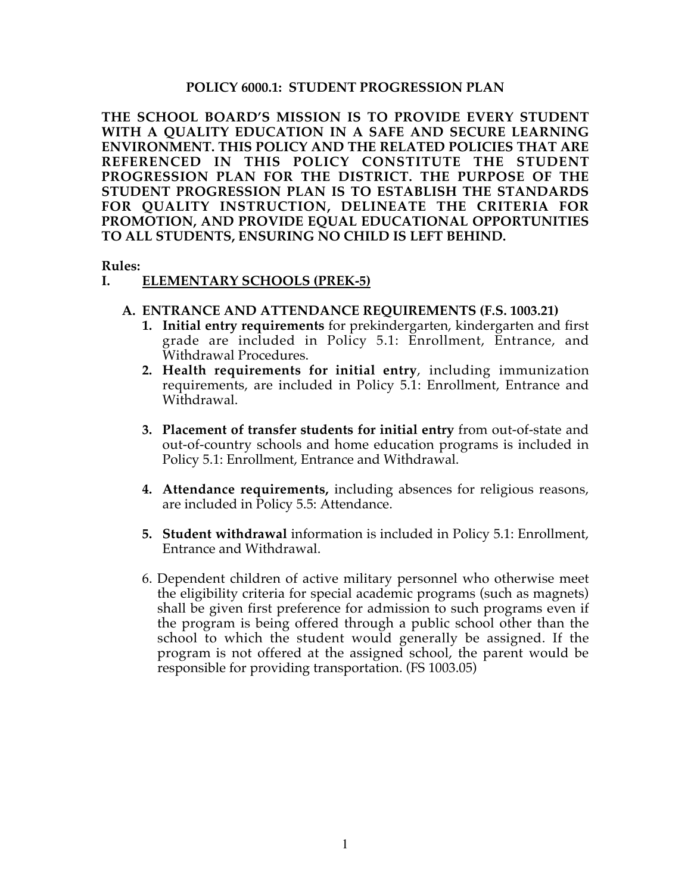#### **POLICY 6000.1: STUDENT PROGRESSION PLAN**

**THE SCHOOL BOARD'S MISSION IS TO PROVIDE EVERY STUDENT WITH A QUALITY EDUCATION IN A SAFE AND SECURE LEARNING ENVIRONMENT. THIS POLICY AND THE RELATED POLICIES THAT ARE REFERENCED IN THIS POLICY CONSTITUTE THE STUDENT PROGRESSION PLAN FOR THE DISTRICT. THE PURPOSE OF THE STUDENT PROGRESSION PLAN IS TO ESTABLISH THE STANDARDS FOR QUALITY INSTRUCTION, DELINEATE THE CRITERIA FOR PROMOTION, AND PROVIDE EQUAL EDUCATIONAL OPPORTUNITIES TO ALL STUDENTS, ENSURING NO CHILD IS LEFT BEHIND.**

#### **Rules:**

#### **I. ELEMENTARY SCHOOLS (PREK-5)**

- **A. ENTRANCE AND ATTENDANCE REQUIREMENTS (F.S. 1003.21)**
	- **1. Initial entry requirements** for prekindergarten, kindergarten and first grade are included in Policy 5.1: Enrollment, Entrance, and Withdrawal Procedures.
	- **2. Health requirements for initial entry**, including immunization requirements, are included in Policy 5.1: Enrollment, Entrance and Withdrawal.
	- **3. Placement of transfer students for initial entry** from out-of-state and out-of-country schools and home education programs is included in Policy 5.1: Enrollment, Entrance and Withdrawal.
	- **4. Attendance requirements,** including absences for religious reasons, are included in Policy 5.5: Attendance.
	- **5. Student withdrawal** information is included in Policy 5.1: Enrollment, Entrance and Withdrawal.
	- 6. Dependent children of active military personnel who otherwise meet the eligibility criteria for special academic programs (such as magnets) shall be given first preference for admission to such programs even if the program is being offered through a public school other than the school to which the student would generally be assigned. If the program is not offered at the assigned school, the parent would be responsible for providing transportation. (FS 1003.05)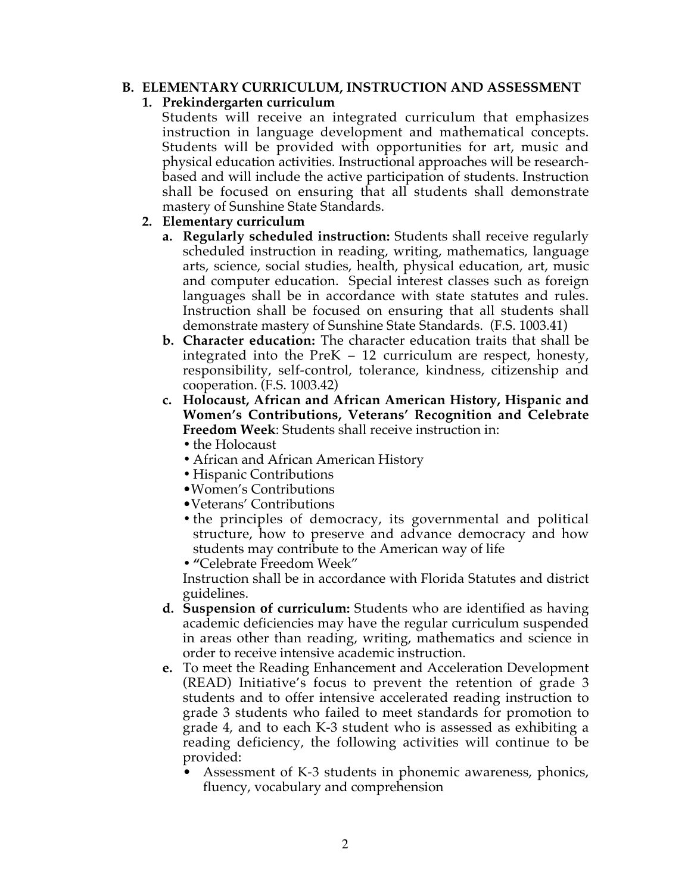### **B. ELEMENTARY CURRICULUM, INSTRUCTION AND ASSESSMENT**

### **1. Prekindergarten curriculum**

Students will receive an integrated curriculum that emphasizes instruction in language development and mathematical concepts. Students will be provided with opportunities for art, music and physical education activities. Instructional approaches will be researchbased and will include the active participation of students. Instruction shall be focused on ensuring that all students shall demonstrate mastery of Sunshine State Standards.

## **2. Elementary curriculum**

- **a. Regularly scheduled instruction:** Students shall receive regularly scheduled instruction in reading, writing, mathematics, language arts, science, social studies, health, physical education, art, music and computer education. Special interest classes such as foreign languages shall be in accordance with state statutes and rules. Instruction shall be focused on ensuring that all students shall demonstrate mastery of Sunshine State Standards. (F.S. 1003.41)
- **b. Character education:** The character education traits that shall be integrated into the PreK – 12 curriculum are respect, honesty, responsibility, self-control, tolerance, kindness, citizenship and cooperation. (F.S. 1003.42)
- **c. Holocaust, African and African American History, Hispanic and Women's Contributions, Veterans' Recognition and Celebrate Freedom Week**: Students shall receive instruction in:
	- **•** the Holocaust
	- **•**African and African American History
	- **•** Hispanic Contributions
	- •Women's Contributions
	- •Veterans' Contributions
	- **•** the principles of democracy, its governmental and political structure, how to preserve and advance democracy and how students may contribute to the American way of life
	- **• "**Celebrate Freedom Week"

Instruction shall be in accordance with Florida Statutes and district guidelines.

- **d. Suspension of curriculum:** Students who are identified as having academic deficiencies may have the regular curriculum suspended in areas other than reading, writing, mathematics and science in order to receive intensive academic instruction.
- **e.** To meet the Reading Enhancement and Acceleration Development (READ) Initiative's focus to prevent the retention of grade 3 students and to offer intensive accelerated reading instruction to grade 3 students who failed to meet standards for promotion to grade 4, and to each K-3 student who is assessed as exhibiting a reading deficiency, the following activities will continue to be provided:
	- Assessment of K-3 students in phonemic awareness, phonics, fluency, vocabulary and comprehension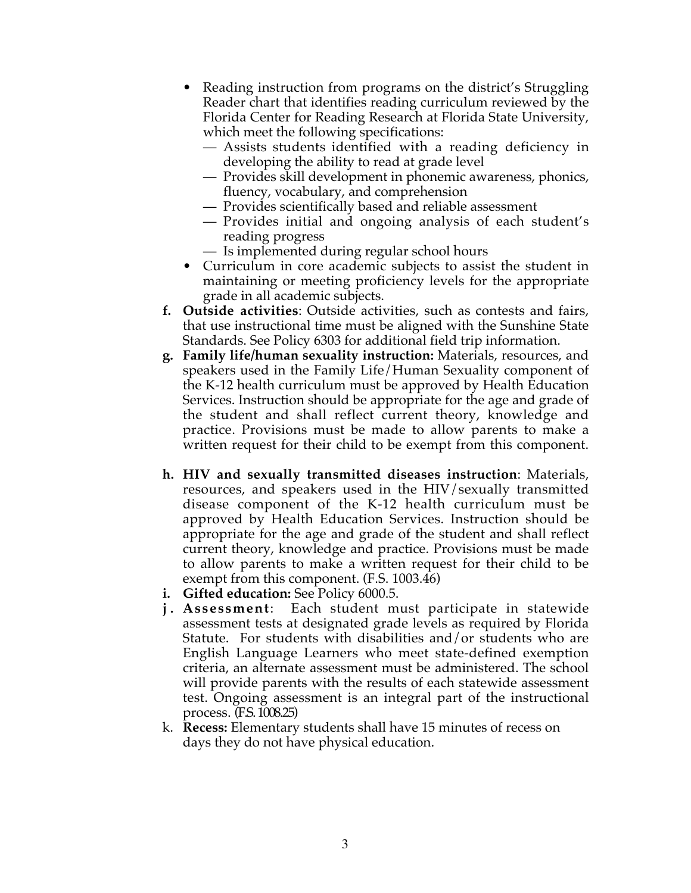- Reading instruction from programs on the district's Struggling Reader chart that identifies reading curriculum reviewed by the Florida Center for Reading Research at Florida State University, which meet the following specifications:
	- Assists students identified with a reading deficiency in developing the ability to read at grade level
	- Provides skill development in phonemic awareness, phonics, fluency, vocabulary, and comprehension
	- Provides scientifically based and reliable assessment
	- Provides initial and ongoing analysis of each student's reading progress
	- Is implemented during regular school hours
- Curriculum in core academic subjects to assist the student in maintaining or meeting proficiency levels for the appropriate grade in all academic subjects.
- **f. Outside activities**: Outside activities, such as contests and fairs, that use instructional time must be aligned with the Sunshine State Standards. See Policy 6303 for additional field trip information.
- **g. Family life/human sexuality instruction:** Materials, resources, and speakers used in the Family Life/Human Sexuality component of the K-12 health curriculum must be approved by Health Education Services. Instruction should be appropriate for the age and grade of the student and shall reflect current theory, knowledge and practice. Provisions must be made to allow parents to make a written request for their child to be exempt from this component.
- **h. HIV and sexually transmitted diseases instruction**: Materials, resources, and speakers used in the HIV/sexually transmitted disease component of the K-12 health curriculum must be approved by Health Education Services. Instruction should be appropriate for the age and grade of the student and shall reflect current theory, knowledge and practice. Provisions must be made to allow parents to make a written request for their child to be exempt from this component. (F.S. 1003.46)
- **i. Gifted education:** See Policy 6000.5.
- **j.** Assessment: Each student must participate in statewide assessment tests at designated grade levels as required by Florida Statute. For students with disabilities and/or students who are English Language Learners who meet state-defined exemption criteria, an alternate assessment must be administered. The school will provide parents with the results of each statewide assessment test. Ongoing assessment is an integral part of the instructional process. (F.S.1008.25)
- k. **Recess:** Elementary students shall have 15 minutes of recess on days they do not have physical education.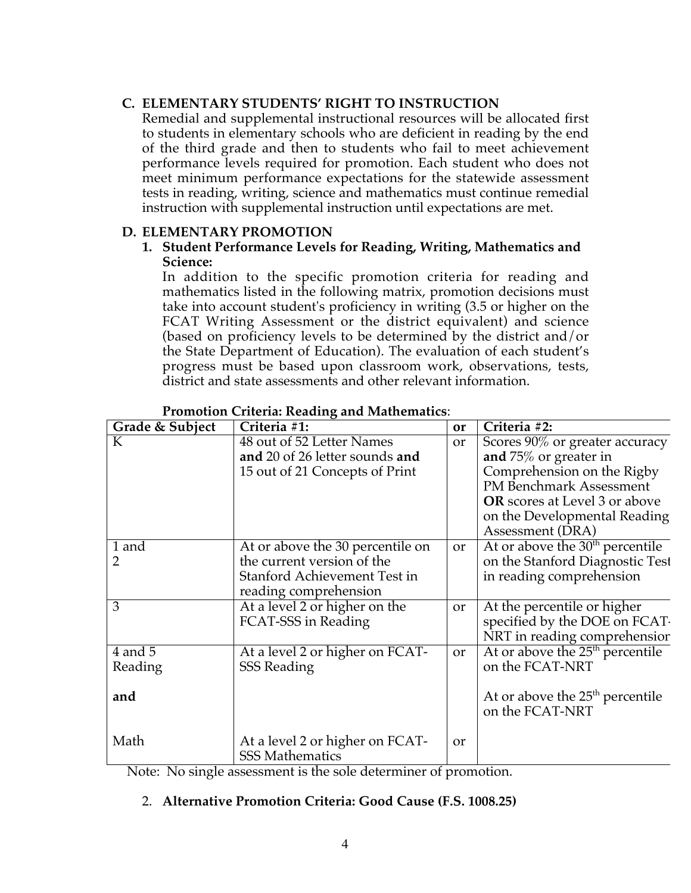# **C. ELEMENTARY STUDENTS' RIGHT TO INSTRUCTION**

Remedial and supplemental instructional resources will be allocated first to students in elementary schools who are deficient in reading by the end of the third grade and then to students who fail to meet achievement performance levels required for promotion. Each student who does not meet minimum performance expectations for the statewide assessment tests in reading, writing, science and mathematics must continue remedial instruction with supplemental instruction until expectations are met.

## **D. ELEMENTARY PROMOTION**

### **1. Student Performance Levels for Reading, Writing, Mathematics and Science:**

In addition to the specific promotion criteria for reading and mathematics listed in the following matrix, promotion decisions must take into account student's proficiency in writing (3.5 or higher on the FCAT Writing Assessment or the district equivalent) and science (based on proficiency levels to be determined by the district and/or the State Department of Education). The evaluation of each student's progress must be based upon classroom work, observations, tests, district and state assessments and other relevant information.

| Grade & Subject                              | Criteria #1:                                                                                                                   | or            | Criteria #2:                                                                                                                                                                                                 |
|----------------------------------------------|--------------------------------------------------------------------------------------------------------------------------------|---------------|--------------------------------------------------------------------------------------------------------------------------------------------------------------------------------------------------------------|
| K                                            | 48 out of 52 Letter Names<br>and 20 of 26 letter sounds and<br>15 out of 21 Concepts of Print                                  | or            | Scores 90% or greater accuracy<br>and 75% or greater in<br>Comprehension on the Rigby<br>PM Benchmark Assessment<br><b>OR</b> scores at Level 3 or above<br>on the Developmental Reading<br>Assessment (DRA) |
| 1 and                                        | At or above the 30 percentile on<br>the current version of the<br><b>Stanford Achievement Test in</b><br>reading comprehension | or            | At or above the 30 <sup>th</sup> percentile<br>on the Stanford Diagnostic Test<br>in reading comprehension                                                                                                   |
| 3                                            | At a level 2 or higher on the<br><b>FCAT-SSS in Reading</b>                                                                    | <b>or</b>     | At the percentile or higher<br>specified by the DOE on FCAT<br>NRT in reading comprehensior                                                                                                                  |
| $\overline{4}$ and $\overline{5}$<br>Reading | At a level 2 or higher on FCAT-<br><b>SSS Reading</b>                                                                          | or            | At or above the $25th$ percentile<br>on the FCAT-NRT                                                                                                                                                         |
| and                                          |                                                                                                                                |               | At or above the 25 <sup>th</sup> percentile<br>on the FCAT-NRT                                                                                                                                               |
| Math                                         | At a level 2 or higher on FCAT-<br><b>SSS Mathematics</b>                                                                      | <sub>or</sub> |                                                                                                                                                                                                              |

# **Promotion Criteria: Reading and Mathematics**:

Note: No single assessment is the sole determiner of promotion.

# 2. **Alternative Promotion Criteria: Good Cause (F.S. 1008.25)**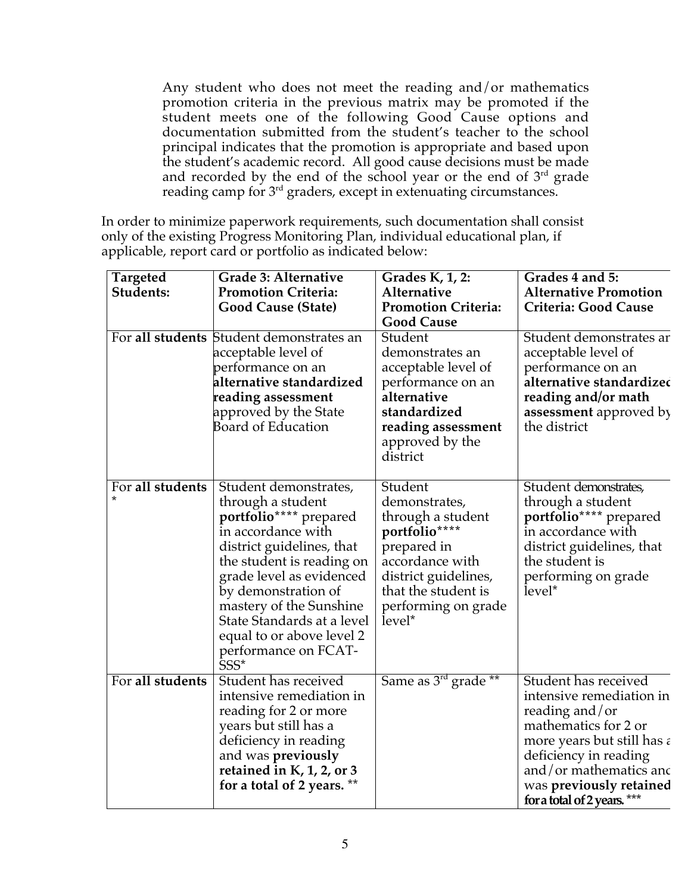Any student who does not meet the reading and/or mathematics promotion criteria in the previous matrix may be promoted if the student meets one of the following Good Cause options and documentation submitted from the student's teacher to the school principal indicates that the promotion is appropriate and based upon the student's academic record. All good cause decisions must be made and recorded by the end of the school year or the end of  $3<sup>rd</sup>$  grade reading camp for 3<sup>rd</sup> graders, except in extenuating circumstances.

In order to minimize paperwork requirements, such documentation shall consist only of the existing Progress Monitoring Plan, individual educational plan, if applicable, report card or portfolio as indicated below:

| <b>Targeted</b><br><b>Students:</b> | Grade 3: Alternative<br><b>Promotion Criteria:</b><br><b>Good Cause (State)</b>                                                                                                                                                                                                                                               | <b>Grades K, 1, 2:</b><br><b>Alternative</b><br><b>Promotion Criteria:</b><br><b>Good Cause</b>                                                                                  | Grades 4 and 5:<br><b>Alternative Promotion</b><br>Criteria: Good Cause                                                                                                                                                                           |
|-------------------------------------|-------------------------------------------------------------------------------------------------------------------------------------------------------------------------------------------------------------------------------------------------------------------------------------------------------------------------------|----------------------------------------------------------------------------------------------------------------------------------------------------------------------------------|---------------------------------------------------------------------------------------------------------------------------------------------------------------------------------------------------------------------------------------------------|
|                                     | For all students Student demonstrates an<br>acceptable level of<br>performance on an<br>alternative standardized<br>reading assessment<br>approved by the State<br>Board of Education                                                                                                                                         | Student<br>demonstrates an<br>acceptable level of<br>performance on an<br>alternative<br>standardized<br>reading assessment<br>approved by the<br>district                       | Student demonstrates ar<br>acceptable level of<br>performance on an<br>alternative standardized<br>reading and/or math<br>assessment approved by<br>the district                                                                                  |
| For all students                    | Student demonstrates,<br>through a student<br>portfolio**** prepared<br>in accordance with<br>district guidelines, that<br>the student is reading on<br>grade level as evidenced<br>by demonstration of<br>mastery of the Sunshine<br>State Standards at a level<br>equal to or above level 2<br>performance on FCAT-<br>SSS* | Student<br>demonstrates,<br>through a student<br>portfolio****<br>prepared in<br>accordance with<br>district guidelines,<br>that the student is<br>performing on grade<br>level* | Student demonstrates,<br>through a student<br>portfolio**** prepared<br>in accordance with<br>district guidelines, that<br>the student is<br>performing on grade<br>level*                                                                        |
| For all students                    | Student has received<br>intensive remediation in<br>reading for 2 or more<br>years but still has a<br>deficiency in reading<br>and was previously<br>retained in K, 1, 2, or 3<br>for a total of 2 years. **                                                                                                                  | Same as 3 <sup>rd</sup> grade **                                                                                                                                                 | Student has received<br>intensive remediation in<br>reading and/or<br>mathematics for 2 or<br>more years but still has $\varepsilon$<br>deficiency in reading<br>and/or mathematics and<br>was previously retained<br>for a total of 2 years. *** |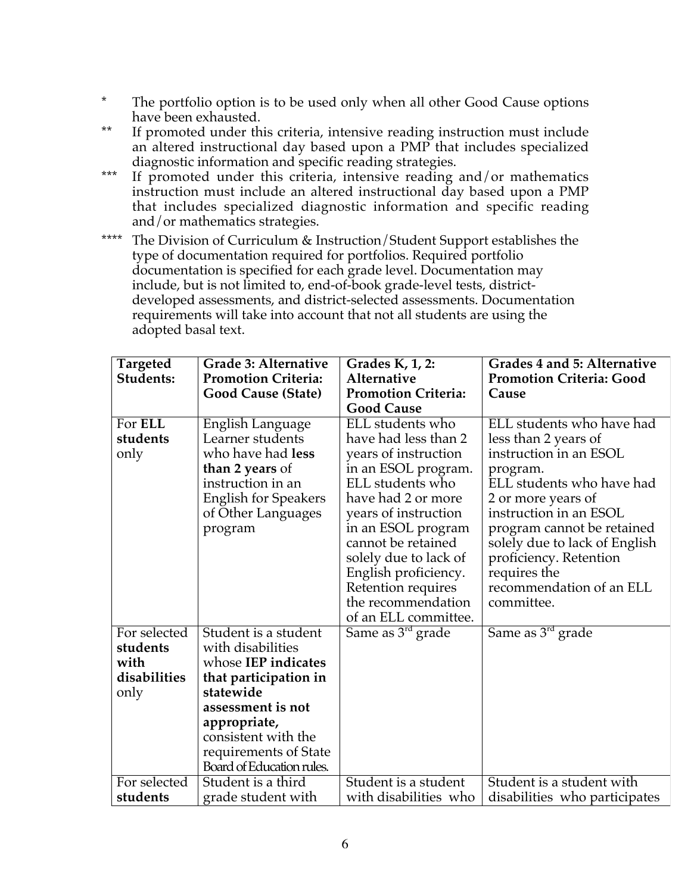- \* The portfolio option is to be used only when all other Good Cause options have been exhausted.
- \*\* If promoted under this criteria, intensive reading instruction must include an altered instructional day based upon a PMP that includes specialized diagnostic information and specific reading strategies.
- \*\*\* If promoted under this criteria, intensive reading and/or mathematics instruction must include an altered instructional day based upon a PMP that includes specialized diagnostic information and specific reading and/or mathematics strategies.
- \*\*\*\* The Division of Curriculum & Instruction/Student Support establishes the type of documentation required for portfolios. Required portfolio documentation is specified for each grade level. Documentation may include, but is not limited to, end-of-book grade-level tests, districtdeveloped assessments, and district-selected assessments. Documentation requirements will take into account that not all students are using the adopted basal text.

| <b>Targeted</b>             | Grade 3: Alternative                                                                                                                                              | Grades K, 1, 2:                                                                                                                                                                                                                                                                                                            | Grades 4 and 5: Alternative                                                                                                                                                                                                                                                                                             |
|-----------------------------|-------------------------------------------------------------------------------------------------------------------------------------------------------------------|----------------------------------------------------------------------------------------------------------------------------------------------------------------------------------------------------------------------------------------------------------------------------------------------------------------------------|-------------------------------------------------------------------------------------------------------------------------------------------------------------------------------------------------------------------------------------------------------------------------------------------------------------------------|
| <b>Students:</b>            | <b>Promotion Criteria:</b>                                                                                                                                        | Alternative<br><b>Promotion Criteria:</b>                                                                                                                                                                                                                                                                                  | <b>Promotion Criteria: Good</b>                                                                                                                                                                                                                                                                                         |
|                             | <b>Good Cause (State)</b>                                                                                                                                         |                                                                                                                                                                                                                                                                                                                            | Cause                                                                                                                                                                                                                                                                                                                   |
|                             |                                                                                                                                                                   | <b>Good Cause</b>                                                                                                                                                                                                                                                                                                          |                                                                                                                                                                                                                                                                                                                         |
| For ELL<br>students<br>only | English Language<br>Learner students<br>who have had less<br>than 2 years of<br>instruction in an<br><b>English for Speakers</b><br>of Other Languages<br>program | ELL students who<br>have had less than 2<br>years of instruction<br>in an ESOL program.<br>ELL students who<br>have had 2 or more<br>years of instruction<br>in an ESOL program<br>cannot be retained<br>solely due to lack of<br>English proficiency.<br>Retention requires<br>the recommendation<br>of an ELL committee. | ELL students who have had<br>less than 2 years of<br>instruction in an ESOL<br>program.<br>ELL students who have had<br>2 or more years of<br>instruction in an ESOL<br>program cannot be retained<br>solely due to lack of English<br>proficiency. Retention<br>requires the<br>recommendation of an ELL<br>committee. |
| For selected<br>students    | Student is a student<br>with disabilities                                                                                                                         | Same as $3rd$ grade                                                                                                                                                                                                                                                                                                        | Same as $3rd$ grade                                                                                                                                                                                                                                                                                                     |
| with                        | whose <b>IEP</b> indicates                                                                                                                                        |                                                                                                                                                                                                                                                                                                                            |                                                                                                                                                                                                                                                                                                                         |
| disabilities                | that participation in                                                                                                                                             |                                                                                                                                                                                                                                                                                                                            |                                                                                                                                                                                                                                                                                                                         |
| only                        | statewide                                                                                                                                                         |                                                                                                                                                                                                                                                                                                                            |                                                                                                                                                                                                                                                                                                                         |
|                             | assessment is not                                                                                                                                                 |                                                                                                                                                                                                                                                                                                                            |                                                                                                                                                                                                                                                                                                                         |
|                             | appropriate,<br>consistent with the<br>requirements of State<br>Board of Education rules.                                                                         |                                                                                                                                                                                                                                                                                                                            |                                                                                                                                                                                                                                                                                                                         |
| For selected                | Student is a third                                                                                                                                                | Student is a student                                                                                                                                                                                                                                                                                                       | Student is a student with                                                                                                                                                                                                                                                                                               |
| students                    | grade student with                                                                                                                                                | with disabilities who                                                                                                                                                                                                                                                                                                      | disabilities who participates                                                                                                                                                                                                                                                                                           |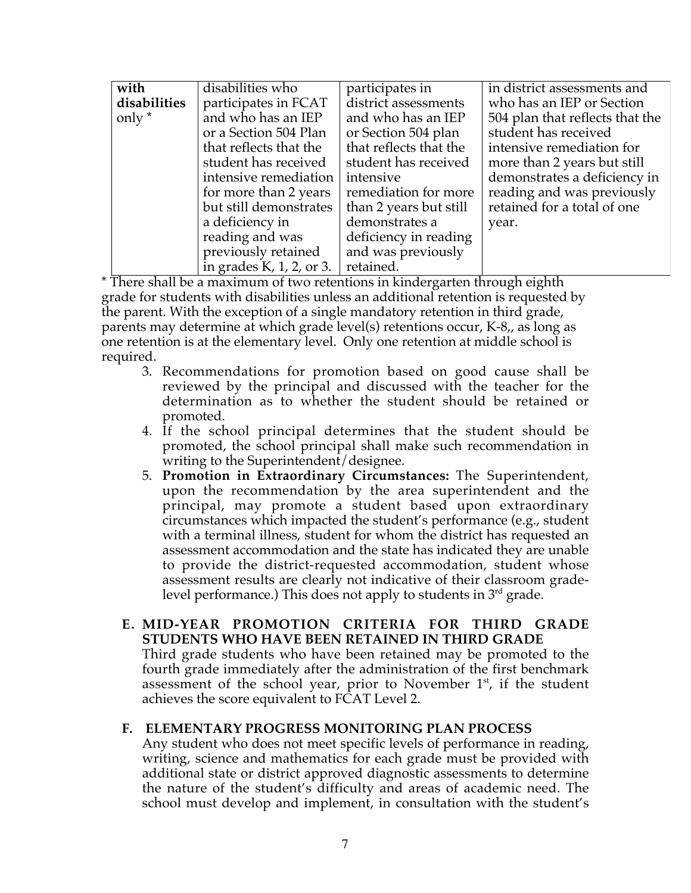| with         | disabilities who               | participates in        | in district assessments and     |
|--------------|--------------------------------|------------------------|---------------------------------|
| disabilities | participates in FCAT           | district assessments   | who has an IEP or Section       |
| only $*$     | and who has an IEP             | and who has an IEP     | 504 plan that reflects that the |
|              | or a Section 504 Plan          | or Section 504 plan    | student has received            |
|              | that reflects that the         | that reflects that the | intensive remediation for       |
|              | student has received           | student has received   | more than 2 years but still     |
|              | intensive remediation          | intensive              | demonstrates a deficiency in    |
|              | for more than 2 years          | remediation for more   | reading and was previously      |
|              | but still demonstrates         | than 2 years but still | retained for a total of one     |
|              | a deficiency in                | demonstrates a         | year.                           |
|              | reading and was                | deficiency in reading  |                                 |
|              | previously retained            | and was previously     |                                 |
|              | in grades K, $1$ , $2$ , or 3. | retained.              |                                 |

\* There shall be a maximum of two retentions in kindergarten through eighth grade for students with disabilities unless an additional retention is requested by the parent. With the exception of a single mandatory retention in third grade, parents may determine at which grade level(s) retentions occur, K-8,, as long as one retention is at the elementary level. Only one retention at middle school is required.

- 3. Recommendations for promotion based on good cause shall be reviewed by the principal and discussed with the teacher for the determination as to whether the student should be retained or promoted.
- 4. If the school principal determines that the student should be promoted, the school principal shall make such recommendation in writing to the Superintendent/designee.
- 5. **Promotion in Extraordinary Circumstances:** The Superintendent, upon the recommendation by the area superintendent and the principal, may promote a student based upon extraordinary circumstances which impacted the student's performance (e.g., student with a terminal illness, student for whom the district has requested an assessment accommodation and the state has indicated they are unable to provide the district-requested accommodation, student whose assessment results are clearly not indicative of their classroom gradelevel performance.) This does not apply to students in  $3<sup>rd</sup>$  grade.
- **E. MID-YEAR PROMOTION CRITERIA FOR THIRD GRADE STUDENTS WHO HAVE BEEN RETAINED IN THIRD GRADE** Third grade students who have been retained may be promoted to the

fourth grade immediately after the administration of the first benchmark assessment of the school year, prior to November  $1<sup>st</sup>$ , if the student achieves the score equivalent to FCAT Level 2.

## **F. ELEMENTARY PROGRESS MONITORING PLAN PROCESS**

Any student who does not meet specific levels of performance in reading, writing, science and mathematics for each grade must be provided with additional state or district approved diagnostic assessments to determine the nature of the student's difficulty and areas of academic need. The school must develop and implement, in consultation with the student's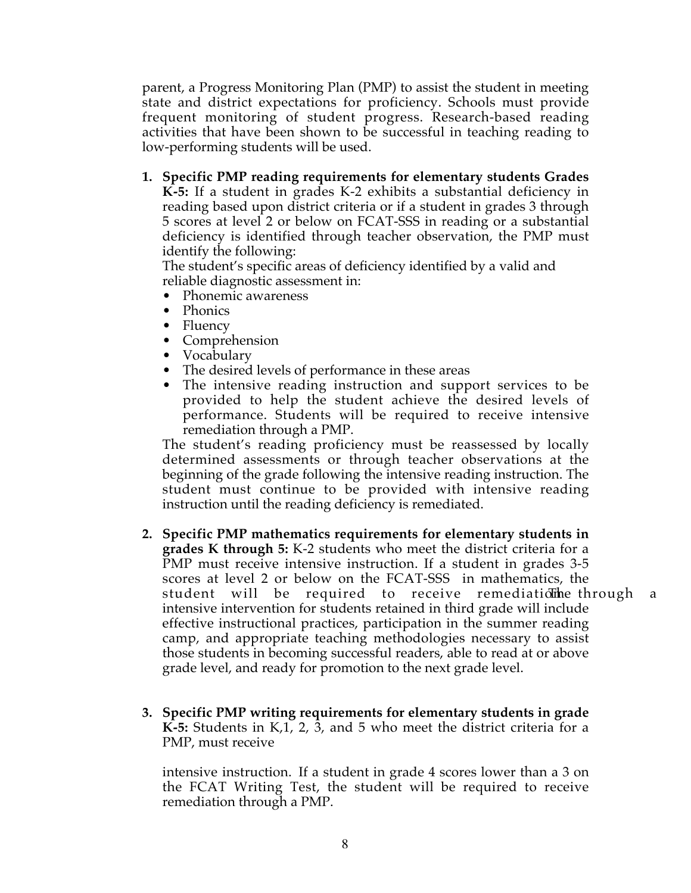parent, a Progress Monitoring Plan (PMP) to assist the student in meeting state and district expectations for proficiency. Schools must provide frequent monitoring of student progress. Research-based reading activities that have been shown to be successful in teaching reading to low-performing students will be used.

**1. Specific PMP reading requirements for elementary students Grades K-5:** If a student in grades K-2 exhibits a substantial deficiency in reading based upon district criteria or if a student in grades 3 through 5 scores at level 2 or below on FCAT-SSS in reading or a substantial deficiency is identified through teacher observation, the PMP must identify the following:

The student's specific areas of deficiency identified by a valid and reliable diagnostic assessment in:

- Phonemic awareness
- Phonics
- Fluency
- Comprehension
- Vocabulary
- The desired levels of performance in these areas
- The intensive reading instruction and support services to be provided to help the student achieve the desired levels of performance. Students will be required to receive intensive remediation through a PMP.

The student's reading proficiency must be reassessed by locally determined assessments or through teacher observations at the beginning of the grade following the intensive reading instruction. The student must continue to be provided with intensive reading instruction until the reading deficiency is remediated.

- **2. Specific PMP mathematics requirements for elementary students in grades K through 5:** K-2 students who meet the district criteria for a PMP must receive intensive instruction. If a student in grades 3-5 scores at level 2 or below on the FCAT-SSS in mathematics, the student will be required to receive remediatiothe through a intensive intervention for students retained in third grade will include effective instructional practices, participation in the summer reading camp, and appropriate teaching methodologies necessary to assist those students in becoming successful readers, able to read at or above grade level, and ready for promotion to the next grade level.
- **3. Specific PMP writing requirements for elementary students in grade K-5:** Students in K,1, 2, 3, and 5 who meet the district criteria for a PMP, must receive

intensive instruction.If a student in grade 4 scores lower than a 3 on the FCAT Writing Test, the student will be required to receive remediation through a PMP.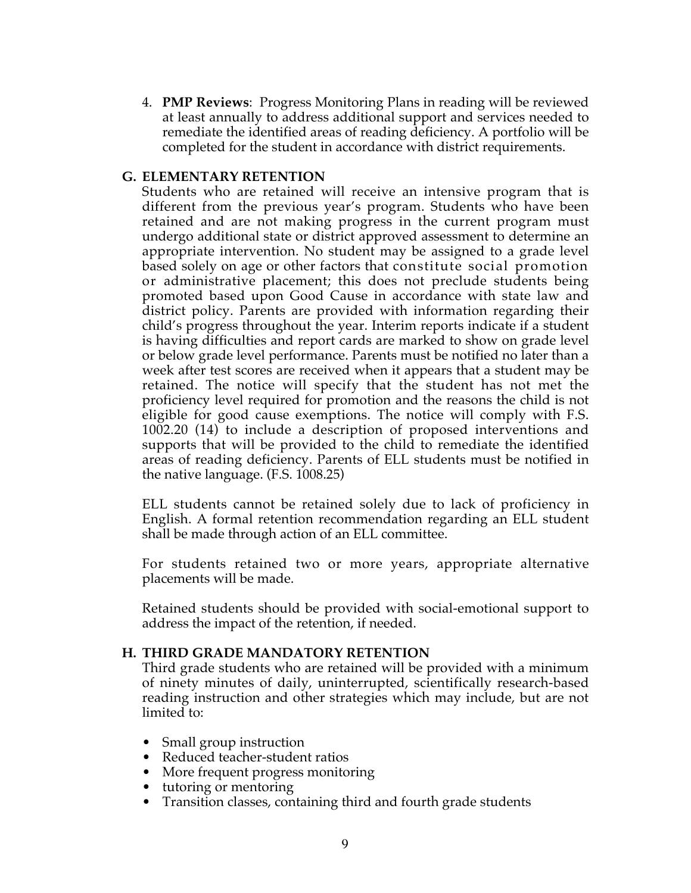4. **PMP Reviews**: Progress Monitoring Plans in reading will be reviewed at least annually to address additional support and services needed to remediate the identified areas of reading deficiency. A portfolio will be completed for the student in accordance with district requirements.

### **G. ELEMENTARY RETENTION**

Students who are retained will receive an intensive program that is different from the previous year's program. Students who have been retained and are not making progress in the current program must undergo additional state or district approved assessment to determine an appropriate intervention. No student may be assigned to a grade level based solely on age or other factors that constitute social promotion or administrative placement; this does not preclude students being promoted based upon Good Cause in accordance with state law and district policy. Parents are provided with information regarding their child's progress throughout the year. Interim reports indicate if a student is having difficulties and report cards are marked to show on grade level or below grade level performance. Parents must be notified no later than a week after test scores are received when it appears that a student may be retained. The notice will specify that the student has not met the proficiency level required for promotion and the reasons the child is not eligible for good cause exemptions. The notice will comply with F.S. 1002.20 (14) to include a description of proposed interventions and supports that will be provided to the child to remediate the identified areas of reading deficiency. Parents of ELL students must be notified in the native language. (F.S. 1008.25)

ELL students cannot be retained solely due to lack of proficiency in English. A formal retention recommendation regarding an ELL student shall be made through action of an ELL committee.

For students retained two or more years, appropriate alternative placements will be made.

Retained students should be provided with social-emotional support to address the impact of the retention, if needed.

## **H. THIRD GRADE MANDATORY RETENTION**

Third grade students who are retained will be provided with a minimum of ninety minutes of daily, uninterrupted, scientifically research-based reading instruction and other strategies which may include, but are not limited to:

- Small group instruction
- Reduced teacher-student ratios
- More frequent progress monitoring
- tutoring or mentoring
- Transition classes, containing third and fourth grade students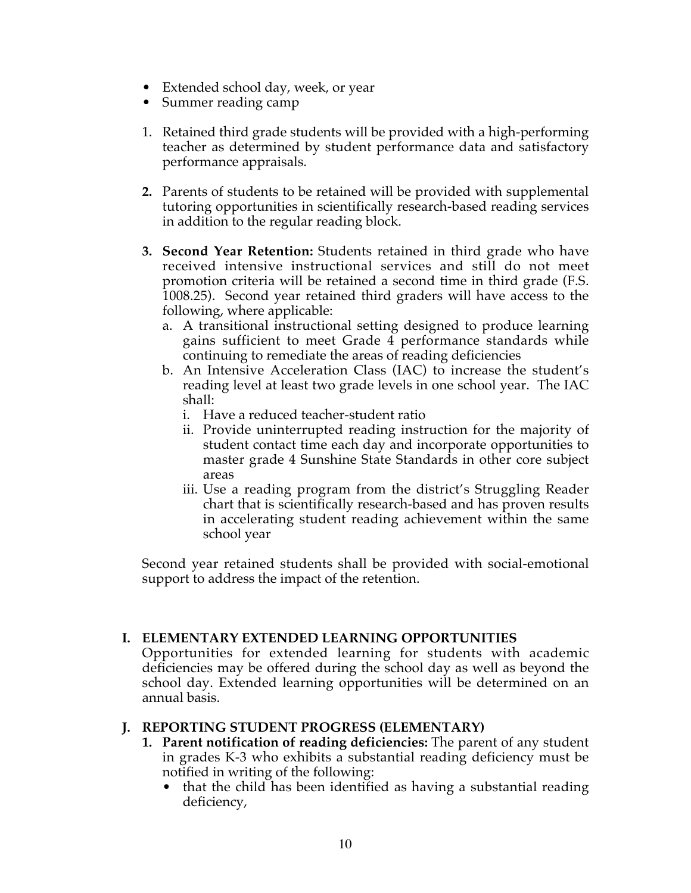- Extended school day, week, or year
- Summer reading camp
- 1. Retained third grade students will be provided with a high-performing teacher as determined by student performance data and satisfactory performance appraisals.
- **2.** Parents of students to be retained will be provided with supplemental tutoring opportunities in scientifically research-based reading services in addition to the regular reading block.
- **3. Second Year Retention:** Students retained in third grade who have received intensive instructional services and still do not meet promotion criteria will be retained a second time in third grade (F.S. 1008.25). Second year retained third graders will have access to the following, where applicable:
	- a. A transitional instructional setting designed to produce learning gains sufficient to meet Grade 4 performance standards while continuing to remediate the areas of reading deficiencies
	- b. An Intensive Acceleration Class (IAC) to increase the student's reading level at least two grade levels in one school year. The IAC shall:
		- i. Have a reduced teacher-student ratio
		- ii. Provide uninterrupted reading instruction for the majority of student contact time each day and incorporate opportunities to master grade 4 Sunshine State Standards in other core subject areas
		- iii. Use a reading program from the district's Struggling Reader chart that is scientifically research-based and has proven results in accelerating student reading achievement within the same school year

Second year retained students shall be provided with social-emotional support to address the impact of the retention.

# **I. ELEMENTARY EXTENDED LEARNING OPPORTUNITIES**

Opportunities for extended learning for students with academic deficiencies may be offered during the school day as well as beyond the school day. Extended learning opportunities will be determined on an annual basis.

# **J. REPORTING STUDENT PROGRESS (ELEMENTARY)**

- **1. Parent notification of reading deficiencies:** The parent of any student in grades K-3 who exhibits a substantial reading deficiency must be notified in writing of the following:
	- that the child has been identified as having a substantial reading deficiency,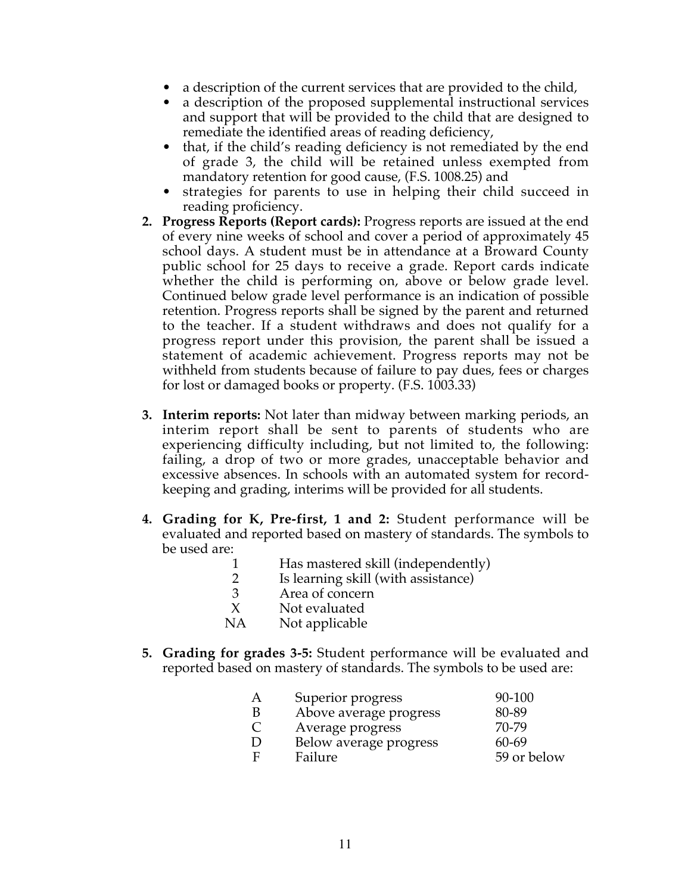- a description of the current services that are provided to the child,
- a description of the proposed supplemental instructional services and support that will be provided to the child that are designed to remediate the identified areas of reading deficiency,
- that, if the child's reading deficiency is not remediated by the end of grade 3, the child will be retained unless exempted from mandatory retention for good cause, (F.S. 1008.25) and
- strategies for parents to use in helping their child succeed in reading proficiency.
- **2. Progress Reports (Report cards):** Progress reports are issued at the end of every nine weeks of school and cover a period of approximately 45 school days. A student must be in attendance at a Broward County public school for 25 days to receive a grade. Report cards indicate whether the child is performing on, above or below grade level. Continued below grade level performance is an indication of possible retention. Progress reports shall be signed by the parent and returned to the teacher. If a student withdraws and does not qualify for a progress report under this provision, the parent shall be issued a statement of academic achievement. Progress reports may not be withheld from students because of failure to pay dues, fees or charges for lost or damaged books or property. (F.S. 1003.33)
- **3. Interim reports:** Not later than midway between marking periods, an interim report shall be sent to parents of students who are experiencing difficulty including, but not limited to, the following: failing, a drop of two or more grades, unacceptable behavior and excessive absences. In schools with an automated system for recordkeeping and grading, interims will be provided for all students.
- **4. Grading for K, Pre-first, 1 and 2:** Student performance will be evaluated and reported based on mastery of standards. The symbols to be used are:
	- 1 Has mastered skill (independently)<br>2 Is learning skill (with assistance)
	- 2 Is learning skill (with assistance)
	- 3 Area of concern<br>X Not evaluated
	- Not evaluated
	- NA Not applicable
- **5. Grading for grades 3-5:** Student performance will be evaluated and reported based on mastery of standards. The symbols to be used are:

| Superior progress      | 90-100                 |
|------------------------|------------------------|
| Above average progress | 80-89                  |
| Average progress       | $70-79$                |
|                        | 60-69                  |
| Failure                | 59 or below            |
|                        | Below average progress |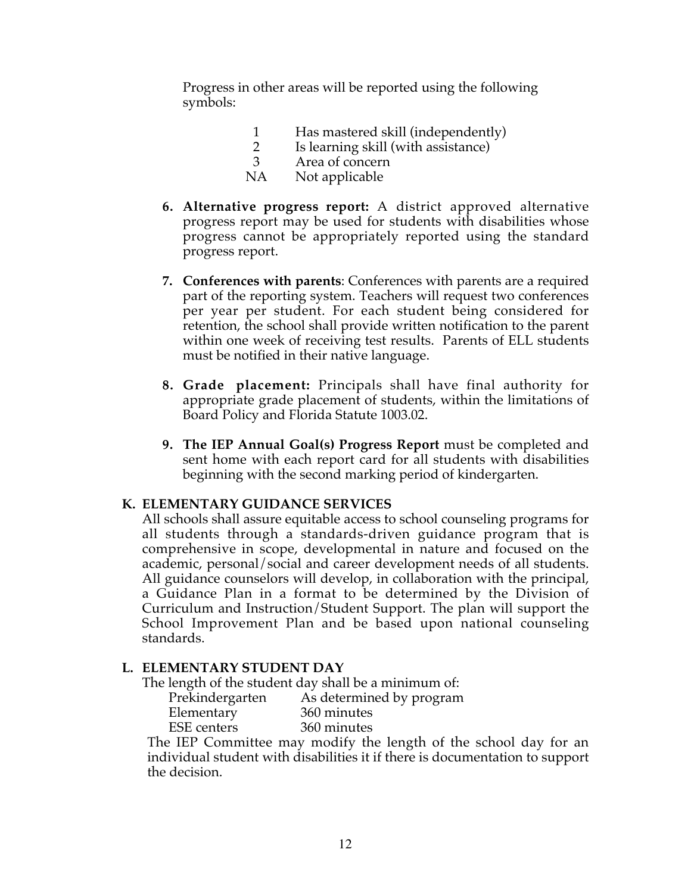Progress in other areas will be reported using the following symbols:

- 1 Has mastered skill (independently)
- 2 Is learning skill (with assistance)<br>3 Area of concern
- Area of concern
- NA Not applicable
- **6. Alternative progress report:** A district approved alternative progress report may be used for students with disabilities whose progress cannot be appropriately reported using the standard progress report.
- **7. Conferences with parents**: Conferences with parents are a required part of the reporting system. Teachers will request two conferences per year per student. For each student being considered for retention, the school shall provide written notification to the parent within one week of receiving test results. Parents of ELL students must be notified in their native language.
- **8. Grade placement:** Principals shall have final authority for appropriate grade placement of students, within the limitations of Board Policy and Florida Statute 1003.02.
- **9. The IEP Annual Goal(s) Progress Report** must be completed and sent home with each report card for all students with disabilities beginning with the second marking period of kindergarten.

# **K. ELEMENTARY GUIDANCE SERVICES**

All schools shall assure equitable access to school counseling programs for all students through a standards-driven guidance program that is comprehensive in scope, developmental in nature and focused on the academic, personal/social and career development needs of all students. All guidance counselors will develop, in collaboration with the principal, a Guidance Plan in a format to be determined by the Division of Curriculum and Instruction/Student Support. The plan will support the School Improvement Plan and be based upon national counseling standards.

## **L. ELEMENTARY STUDENT DAY**

The length of the student day shall be a minimum of:

Prekindergarten As determined by program

Elementary 360 minutes

ESE centers 360 minutes

The IEP Committee may modify the length of the school day for an individual student with disabilities it if there is documentation to support the decision.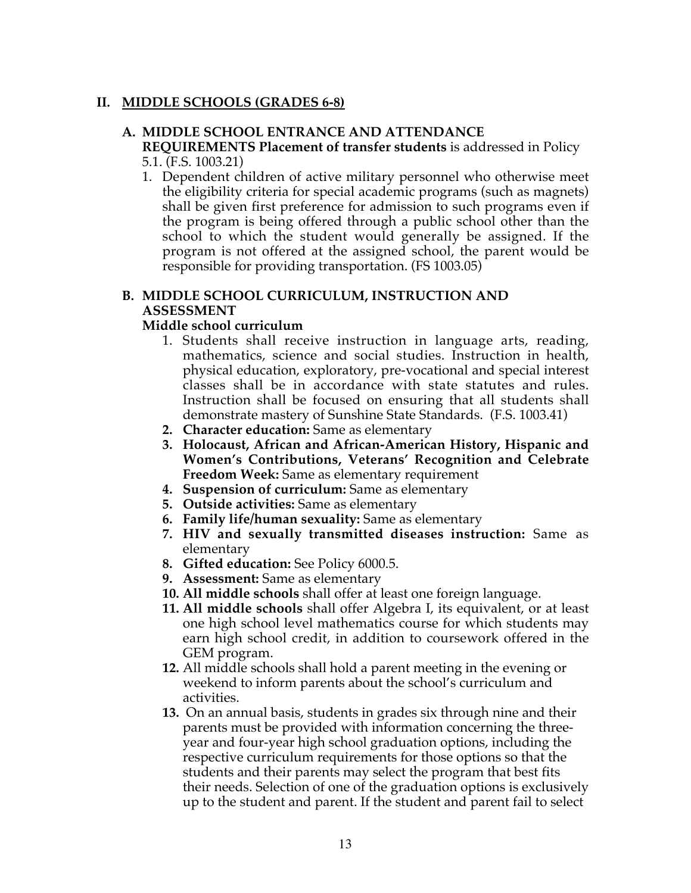## **II. MIDDLE SCHOOLS (GRADES 6-8)**

#### **A. MIDDLE SCHOOL ENTRANCE AND ATTENDANCE REQUIREMENTS Placement of transfer students** is addressed in Policy 5.1. (F.S. 1003.21)

1. Dependent children of active military personnel who otherwise meet the eligibility criteria for special academic programs (such as magnets) shall be given first preference for admission to such programs even if the program is being offered through a public school other than the school to which the student would generally be assigned. If the program is not offered at the assigned school, the parent would be responsible for providing transportation. (FS 1003.05)

## **B. MIDDLE SCHOOL CURRICULUM, INSTRUCTION AND ASSESSMENT**

## **Middle school curriculum**

- 1. Students shall receive instruction in language arts, reading, mathematics, science and social studies. Instruction in health, physical education, exploratory, pre-vocational and special interest classes shall be in accordance with state statutes and rules. Instruction shall be focused on ensuring that all students shall demonstrate mastery of Sunshine State Standards. (F.S. 1003.41)
- **2. Character education:** Same as elementary
- **3. Holocaust, African and African-American History, Hispanic and Women's Contributions, Veterans' Recognition and Celebrate Freedom Week:** Same as elementary requirement
- **4. Suspension of curriculum:** Same as elementary
- **5. Outside activities:** Same as elementary
- **6. Family life/human sexuality:** Same as elementary
- **7. HIV and sexually transmitted diseases instruction:** Same as elementary
- **8. Gifted education:** See Policy 6000.5.
- **9. Assessment:** Same as elementary
- **10. All middle schools** shall offer at least one foreign language.
- **11. All middle schools** shall offer Algebra I, its equivalent, or at least one high school level mathematics course for which students may earn high school credit, in addition to coursework offered in the GEM program.
- **12.** All middle schools shall hold a parent meeting in the evening or weekend to inform parents about the school's curriculum and activities.
- **13.** On an annual basis, students in grades six through nine and their parents must be provided with information concerning the threeyear and four-year high school graduation options, including the respective curriculum requirements for those options so that the students and their parents may select the program that best fits their needs. Selection of one of the graduation options is exclusively up to the student and parent. If the student and parent fail to select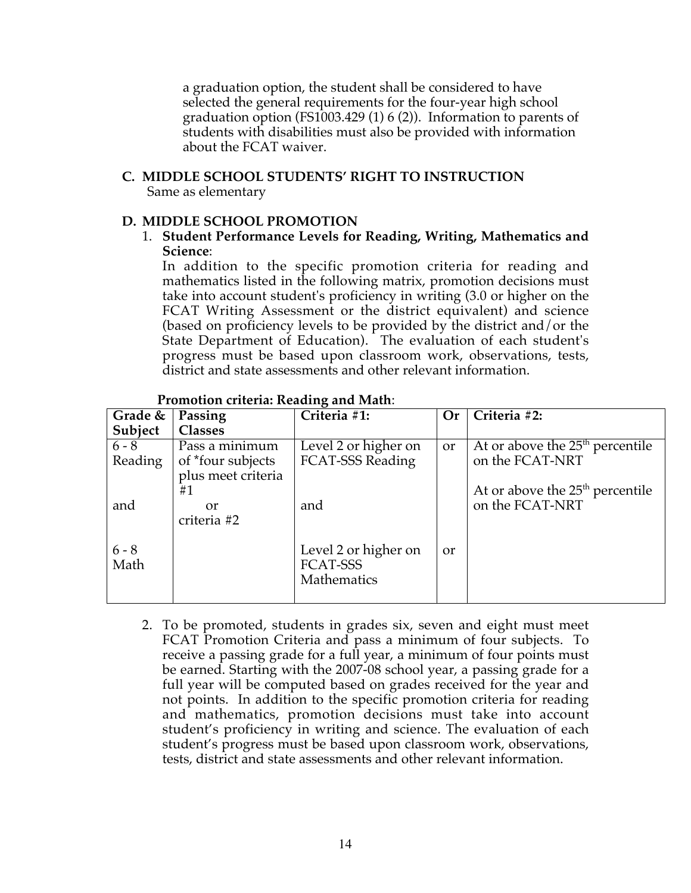a graduation option, the student shall be considered to have selected the general requirements for the four-year high school graduation option (FS1003.429 (1) 6 (2)). Information to parents of students with disabilities must also be provided with information about the FCAT waiver.

**C. MIDDLE SCHOOL STUDENTS' RIGHT TO INSTRUCTION** Same as elementary

## **D. MIDDLE SCHOOL PROMOTION**

1. **Student Performance Levels for Reading, Writing, Mathematics and Science**:

In addition to the specific promotion criteria for reading and mathematics listed in the following matrix, promotion decisions must take into account student's proficiency in writing (3.0 or higher on the FCAT Writing Assessment or the district equivalent) and science (based on proficiency levels to be provided by the district and/or the State Department of Education). The evaluation of each student's progress must be based upon classroom work, observations, tests, district and state assessments and other relevant information.

| Grade & | Passing            | Criteria #1:            | Or            | Criteria #2:                                |
|---------|--------------------|-------------------------|---------------|---------------------------------------------|
|         | <b>Classes</b>     |                         |               |                                             |
| Subject |                    |                         |               |                                             |
| $6 - 8$ | Pass a minimum     | Level 2 or higher on    | <sub>or</sub> | At or above the $25th$ percentile           |
| Reading | of *four subjects  | <b>FCAT-SSS Reading</b> |               | on the FCAT-NRT                             |
|         | plus meet criteria |                         |               |                                             |
|         | #1                 |                         |               | At or above the 25 <sup>th</sup> percentile |
| and     | or                 | and                     |               | on the FCAT-NRT                             |
|         | criteria #2        |                         |               |                                             |
|         |                    |                         |               |                                             |
| $6 - 8$ |                    | Level 2 or higher on    | or            |                                             |
| Math    |                    | FCAT-SSS                |               |                                             |
|         |                    | Mathematics             |               |                                             |
|         |                    |                         |               |                                             |

**Promotion criteria: Reading and Math**:

2. To be promoted, students in grades six, seven and eight must meet FCAT Promotion Criteria and pass a minimum of four subjects. To receive a passing grade for a full year, a minimum of four points must be earned. Starting with the 2007-08 school year, a passing grade for a full year will be computed based on grades received for the year and not points. In addition to the specific promotion criteria for reading and mathematics, promotion decisions must take into account student's proficiency in writing and science. The evaluation of each student's progress must be based upon classroom work, observations, tests, district and state assessments and other relevant information.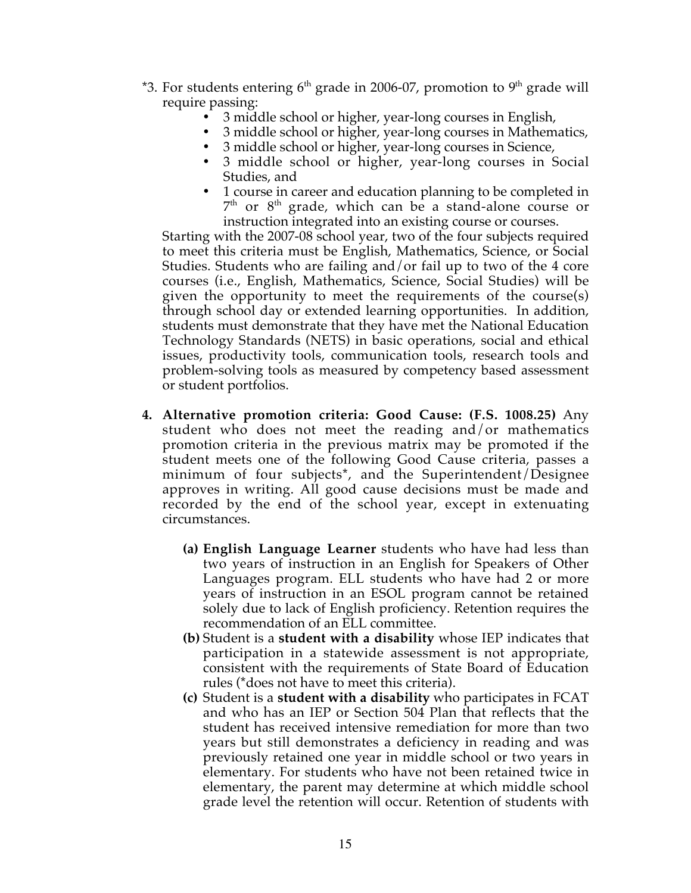- \*3. For students entering  $6<sup>th</sup>$  grade in 2006-07, promotion to  $9<sup>th</sup>$  grade will require passing:
	- 3 middle school or higher, year-long courses in English,
	- 3 middle school or higher, year-long courses in Mathematics,
	- 3 middle school or higher, year-long courses in Science,
	- 3 middle school or higher, year-long courses in Social Studies, and
	- 1 course in career and education planning to be completed in  $7<sup>th</sup>$  or  $8<sup>th</sup>$  grade, which can be a stand-alone course or instruction integrated into an existing course or courses.

Starting with the 2007-08 school year, two of the four subjects required to meet this criteria must be English, Mathematics, Science, or Social Studies. Students who are failing and/or fail up to two of the 4 core courses (i.e., English, Mathematics, Science, Social Studies) will be given the opportunity to meet the requirements of the course(s) through school day or extended learning opportunities. In addition, students must demonstrate that they have met the National Education Technology Standards (NETS) in basic operations, social and ethical issues, productivity tools, communication tools, research tools and problem-solving tools as measured by competency based assessment or student portfolios.

- **4. Alternative promotion criteria: Good Cause: (F.S. 1008.25)** Any student who does not meet the reading and/or mathematics promotion criteria in the previous matrix may be promoted if the student meets one of the following Good Cause criteria, passes a minimum of four subjects\*, and the Superintendent/Designee approves in writing. All good cause decisions must be made and recorded by the end of the school year, except in extenuating circumstances.
	- **(a) English Language Learner** students who have had less than two years of instruction in an English for Speakers of Other Languages program. ELL students who have had 2 or more years of instruction in an ESOL program cannot be retained solely due to lack of English proficiency. Retention requires the recommendation of an ELL committee.
	- **(b)** Student is a **student with a disability** whose IEP indicates that participation in a statewide assessment is not appropriate, consistent with the requirements of State Board of Education rules (\*does not have to meet this criteria).
	- **(c)** Student is a **student with a disability** who participates in FCAT and who has an IEP or Section 504 Plan that reflects that the student has received intensive remediation for more than two years but still demonstrates a deficiency in reading and was previously retained one year in middle school or two years in elementary. For students who have not been retained twice in elementary, the parent may determine at which middle school grade level the retention will occur. Retention of students with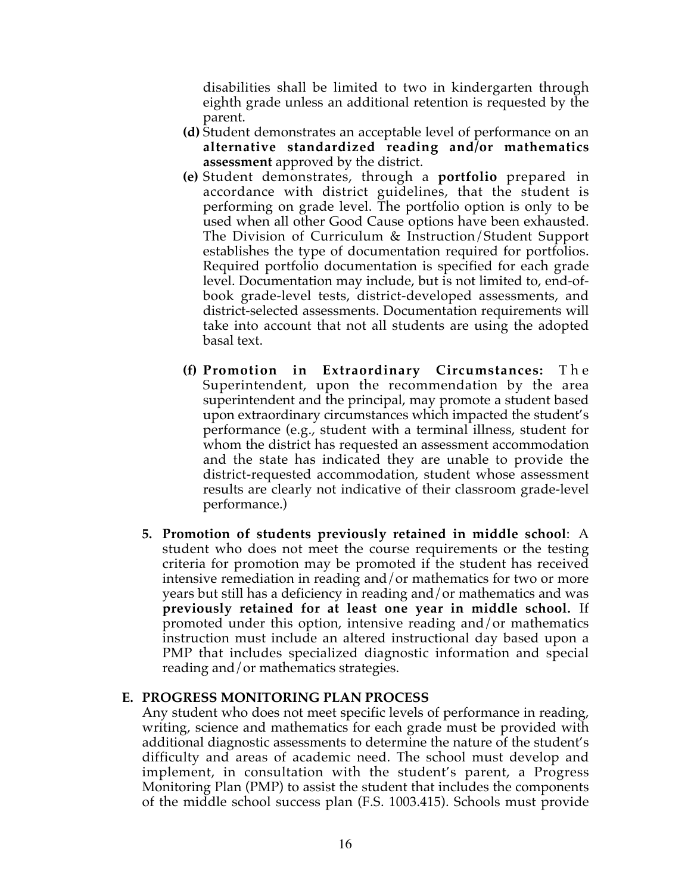disabilities shall be limited to two in kindergarten through eighth grade unless an additional retention is requested by the parent.

- **(d)** Student demonstrates an acceptable level of performance on an **alternative standardized reading and/or mathematics assessment** approved by the district.
- **(e)** Student demonstrates, through a **portfolio** prepared in accordance with district guidelines, that the student is performing on grade level. The portfolio option is only to be used when all other Good Cause options have been exhausted. The Division of Curriculum & Instruction/Student Support establishes the type of documentation required for portfolios. Required portfolio documentation is specified for each grade level. Documentation may include, but is not limited to, end-ofbook grade-level tests, district-developed assessments, and district-selected assessments. Documentation requirements will take into account that not all students are using the adopted basal text.
- **(f) Promotion in Extraordinary Circumstances:** The Superintendent, upon the recommendation by the area superintendent and the principal, may promote a student based upon extraordinary circumstances which impacted the student's performance (e.g., student with a terminal illness, student for whom the district has requested an assessment accommodation and the state has indicated they are unable to provide the district-requested accommodation, student whose assessment results are clearly not indicative of their classroom grade-level performance.)
- **5. Promotion of students previously retained in middle school**: A student who does not meet the course requirements or the testing criteria for promotion may be promoted if the student has received intensive remediation in reading and/or mathematics for two or more years but still has a deficiency in reading and/or mathematics and was **previously retained for at least one year in middle school.** If promoted under this option, intensive reading and/or mathematics instruction must include an altered instructional day based upon a PMP that includes specialized diagnostic information and special reading and/or mathematics strategies.

#### **E. PROGRESS MONITORING PLAN PROCESS**

Any student who does not meet specific levels of performance in reading, writing, science and mathematics for each grade must be provided with additional diagnostic assessments to determine the nature of the student's difficulty and areas of academic need. The school must develop and implement, in consultation with the student's parent, a Progress Monitoring Plan (PMP) to assist the student that includes the components of the middle school success plan (F.S. 1003.415). Schools must provide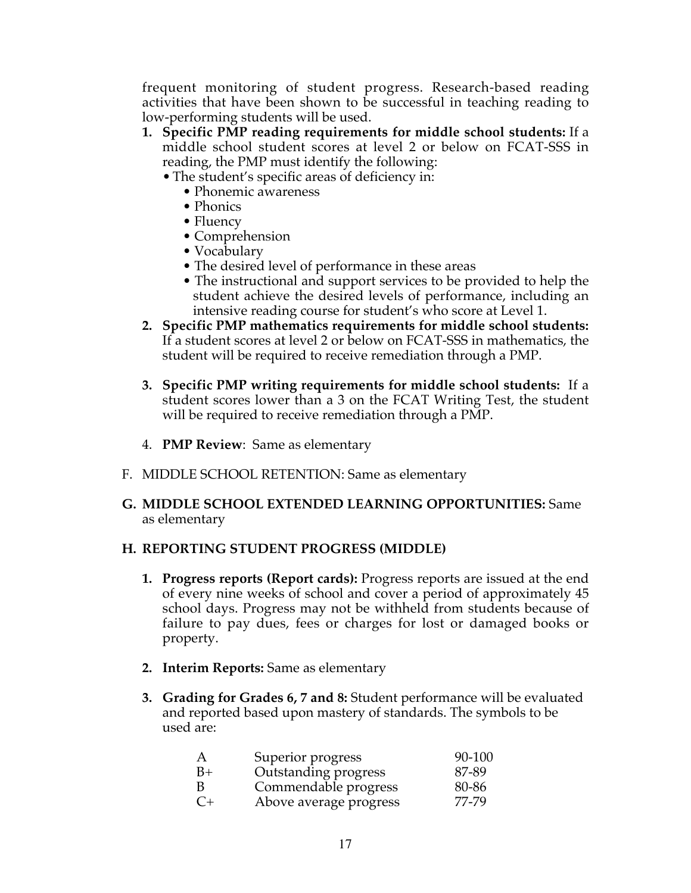frequent monitoring of student progress. Research-based reading activities that have been shown to be successful in teaching reading to low-performing students will be used.

- **1. Specific PMP reading requirements for middle school students:** If a middle school student scores at level 2 or below on FCAT-SSS in reading, the PMP must identify the following:
	- The student's specific areas of deficiency in:
		- Phonemic awareness
		- Phonics
		- Fluency
		- Comprehension
		- Vocabulary
		- The desired level of performance in these areas
		- The instructional and support services to be provided to help the student achieve the desired levels of performance, including an intensive reading course for student's who score at Level 1.
- **2. Specific PMP mathematics requirements for middle school students:** If a student scores at level 2 or below on FCAT-SSS in mathematics, the student will be required to receive remediation through a PMP.
- **3. Specific PMP writing requirements for middle school students:** If a student scores lower than a 3 on the FCAT Writing Test, the student will be required to receive remediation through a PMP.
- 4. **PMP Review**: Same as elementary
- F. MIDDLE SCHOOL RETENTION: Same as elementary
- **G. MIDDLE SCHOOL EXTENDED LEARNING OPPORTUNITIES:** Same as elementary

## **H. REPORTING STUDENT PROGRESS (MIDDLE)**

- **1. Progress reports (Report cards):** Progress reports are issued at the end of every nine weeks of school and cover a period of approximately 45 school days. Progress may not be withheld from students because of failure to pay dues, fees or charges for lost or damaged books or property.
- **2. Interim Reports:** Same as elementary
- **3. Grading for Grades 6, 7 and 8:** Student performance will be evaluated and reported based upon mastery of standards. The symbols to be used are:

| A       | Superior progress      | 90-100 |
|---------|------------------------|--------|
| $B+$    | Outstanding progress   | 87-89  |
| B       | Commendable progress   | 80-86  |
| $($ $+$ | Above average progress | 77-79  |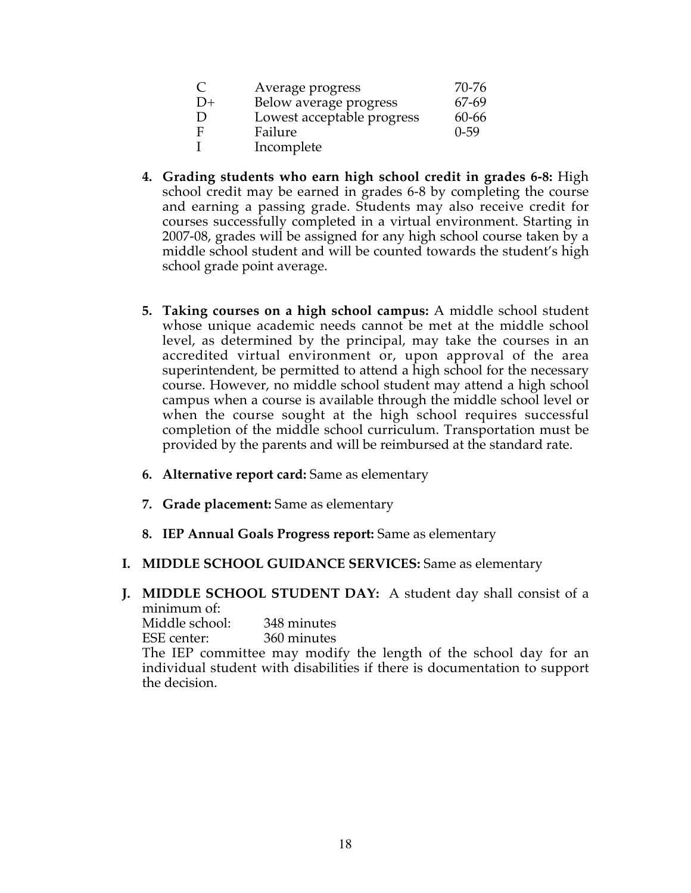| $\mathcal{C}$ | Average progress           | 70-76     |
|---------------|----------------------------|-----------|
| $D+$          | Below average progress     | $67 - 69$ |
| $\Box$        | Lowest acceptable progress | 60-66     |
| E             | Failure                    | $0-59$    |
|               | Incomplete                 |           |

- **4. Grading students who earn high school credit in grades 6-8:** High school credit may be earned in grades 6-8 by completing the course and earning a passing grade. Students may also receive credit for courses successfully completed in a virtual environment. Starting in 2007-08, grades will be assigned for any high school course taken by a middle school student and will be counted towards the student's high school grade point average.
- **5. Taking courses on a high school campus:** A middle school student whose unique academic needs cannot be met at the middle school level, as determined by the principal, may take the courses in an accredited virtual environment or, upon approval of the area superintendent, be permitted to attend a high school for the necessary course. However, no middle school student may attend a high school campus when a course is available through the middle school level or when the course sought at the high school requires successful completion of the middle school curriculum. Transportation must be provided by the parents and will be reimbursed at the standard rate.
- **6. Alternative report card:** Same as elementary
- **7. Grade placement:** Same as elementary
- **8. IEP Annual Goals Progress report:** Same as elementary
- **I. MIDDLE SCHOOL GUIDANCE SERVICES:** Same as elementary
- **J. MIDDLE SCHOOL STUDENT DAY:** A student day shall consist of a minimum of: Middle school: 348 minutes ESE center: 360 minutes

The IEP committee may modify the length of the school day for an individual student with disabilities if there is documentation to support the decision.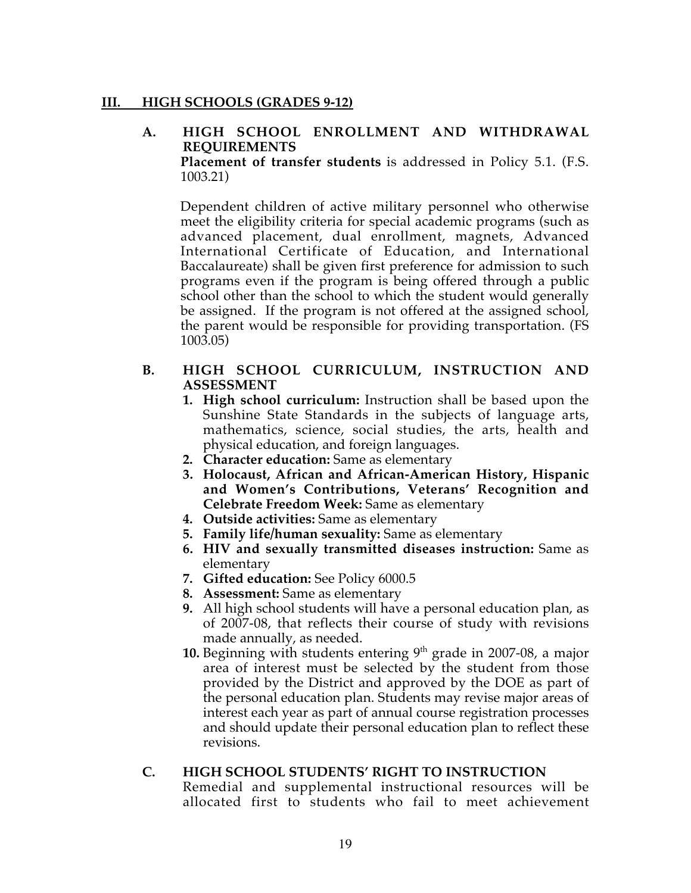## **III. HIGH SCHOOLS (GRADES 9-12)**

## **A. HIGH SCHOOL ENROLLMENT AND WITHDRAWAL REQUIREMENTS**

**Placement of transfer students** is addressed in Policy 5.1. (F.S. 1003.21)

Dependent children of active military personnel who otherwise meet the eligibility criteria for special academic programs (such as advanced placement, dual enrollment, magnets, Advanced International Certificate of Education, and International Baccalaureate) shall be given first preference for admission to such programs even if the program is being offered through a public school other than the school to which the student would generally be assigned. If the program is not offered at the assigned school, the parent would be responsible for providing transportation. (FS 1003.05)

#### **B. HIGH SCHOOL CURRICULUM, INSTRUCTION AND ASSESSMENT**

- **1. High school curriculum:** Instruction shall be based upon the Sunshine State Standards in the subjects of language arts, mathematics, science, social studies, the arts, health and physical education, and foreign languages.
- **2. Character education:** Same as elementary
- **3. Holocaust, African and African-American History, Hispanic and Women's Contributions, Veterans' Recognition and Celebrate Freedom Week:** Same as elementary
- **4. Outside activities:** Same as elementary
- **5. Family life/human sexuality:** Same as elementary
- **6. HIV and sexually transmitted diseases instruction:** Same as elementary
- **7. Gifted education:** See Policy 6000.5
- **8. Assessment:** Same as elementary
- **9.** All high school students will have a personal education plan, as of 2007-08, that reflects their course of study with revisions made annually, as needed.
- **10.** Beginning with students entering 9<sup>th</sup> grade in 2007-08, a major area of interest must be selected by the student from those provided by the District and approved by the DOE as part of the personal education plan. Students may revise major areas of interest each year as part of annual course registration processes and should update their personal education plan to reflect these revisions.

#### **C. HIGH SCHOOL STUDENTS' RIGHT TO INSTRUCTION**

Remedial and supplemental instructional resources will be allocated first to students who fail to meet achievement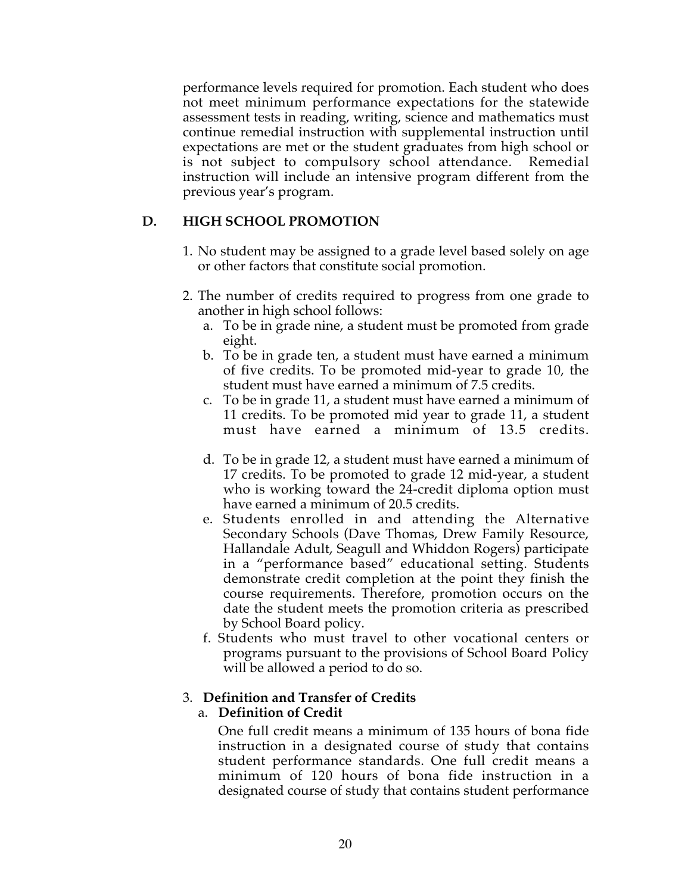performance levels required for promotion. Each student who does not meet minimum performance expectations for the statewide assessment tests in reading, writing, science and mathematics must continue remedial instruction with supplemental instruction until expectations are met or the student graduates from high school or is not subject to compulsory school attendance. Remedial instruction will include an intensive program different from the previous year's program.

## **D. HIGH SCHOOL PROMOTION**

- 1. No student may be assigned to a grade level based solely on age or other factors that constitute social promotion.
- 2. The number of credits required to progress from one grade to another in high school follows:
	- a. To be in grade nine, a student must be promoted from grade eight.
	- b. To be in grade ten, a student must have earned a minimum of five credits. To be promoted mid-year to grade 10, the student must have earned a minimum of 7.5 credits.
	- c. To be in grade 11, a student must have earned a minimum of 11 credits. To be promoted mid year to grade 11, a student must have earned a minimum of 13.5 credits.
	- d. To be in grade 12, a student must have earned a minimum of 17 credits. To be promoted to grade 12 mid-year, a student who is working toward the 24-credit diploma option must have earned a minimum of 20.5 credits.
	- e. Students enrolled in and attending the Alternative Secondary Schools (Dave Thomas, Drew Family Resource, Hallandale Adult, Seagull and Whiddon Rogers) participate in a "performance based" educational setting. Students demonstrate credit completion at the point they finish the course requirements. Therefore, promotion occurs on the date the student meets the promotion criteria as prescribed by School Board policy.
	- f. Students who must travel to other vocational centers or programs pursuant to the provisions of School Board Policy will be allowed a period to do so.

## 3. **Definition and Transfer of Credits**

## a. **Definition of Credit**

One full credit means a minimum of 135 hours of bona fide instruction in a designated course of study that contains student performance standards. One full credit means a minimum of 120 hours of bona fide instruction in a designated course of study that contains student performance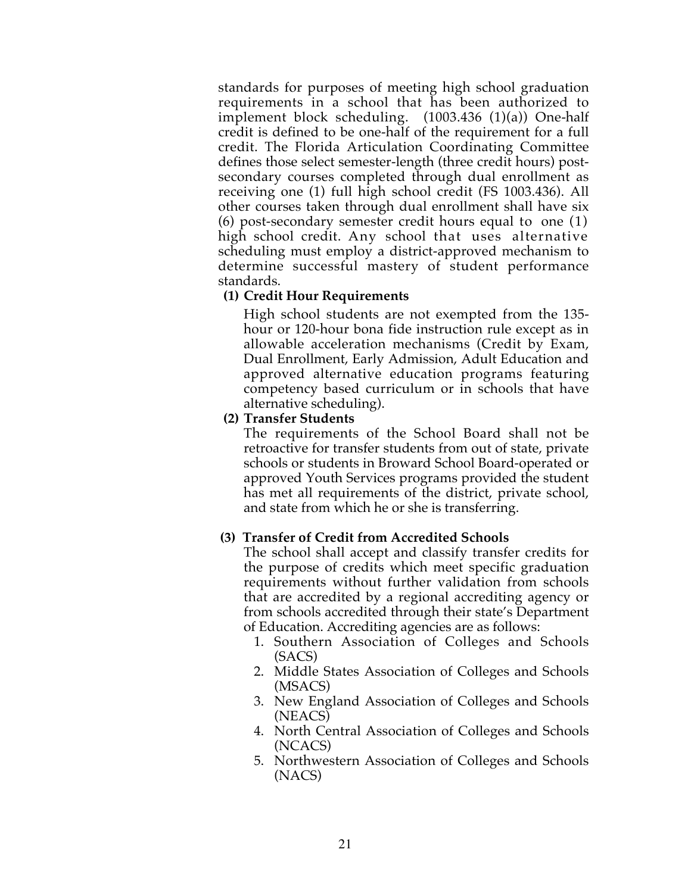standards for purposes of meeting high school graduation requirements in a school that has been authorized to implement block scheduling. (1003.436 (1)(a)) One-half credit is defined to be one-half of the requirement for a full credit. The Florida Articulation Coordinating Committee defines those select semester-length (three credit hours) postsecondary courses completed through dual enrollment as receiving one (1) full high school credit (FS 1003.436). All other courses taken through dual enrollment shall have six (6) post-secondary semester credit hours equal to one (1) high school credit. Any school that uses alternative scheduling must employ a district-approved mechanism to determine successful mastery of student performance standards.

## **(1) Credit Hour Requirements**

High school students are not exempted from the 135 hour or 120-hour bona fide instruction rule except as in allowable acceleration mechanisms (Credit by Exam, Dual Enrollment, Early Admission, Adult Education and approved alternative education programs featuring competency based curriculum or in schools that have alternative scheduling).

#### **(2) Transfer Students**

The requirements of the School Board shall not be retroactive for transfer students from out of state, private schools or students in Broward School Board-operated or approved Youth Services programs provided the student has met all requirements of the district, private school, and state from which he or she is transferring.

#### **(3) Transfer of Credit from Accredited Schools**

The school shall accept and classify transfer credits for the purpose of credits which meet specific graduation requirements without further validation from schools that are accredited by a regional accrediting agency or from schools accredited through their state's Department of Education. Accrediting agencies are as follows:

- 1. Southern Association of Colleges and Schools (SACS)
- 2. Middle States Association of Colleges and Schools (MSACS)
- 3. New England Association of Colleges and Schools (NEACS)
- 4. North Central Association of Colleges and Schools (NCACS)
- 5. Northwestern Association of Colleges and Schools (NACS)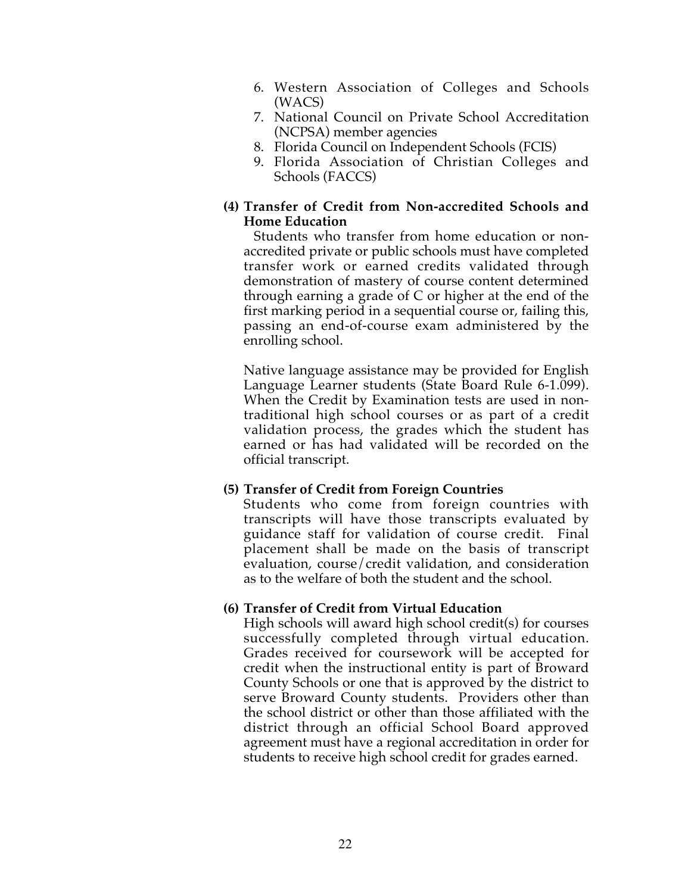- 6. Western Association of Colleges and Schools (WACS)
- 7. National Council on Private School Accreditation (NCPSA) member agencies
- 8. Florida Council on Independent Schools (FCIS)
- 9. Florida Association of Christian Colleges and Schools (FACCS)

### **(4) Transfer of Credit from Non-accredited Schools and Home Education**

Students who transfer from home education or nonaccredited private or public schools must have completed transfer work or earned credits validated through demonstration of mastery of course content determined through earning a grade of C or higher at the end of the first marking period in a sequential course or, failing this, passing an end-of-course exam administered by the enrolling school.

Native language assistance may be provided for English Language Learner students (State Board Rule 6-1.099). When the Credit by Examination tests are used in nontraditional high school courses or as part of a credit validation process, the grades which the student has earned or has had validated will be recorded on the official transcript.

## **(5) Transfer of Credit from Foreign Countries**

Students who come from foreign countries with transcripts will have those transcripts evaluated by guidance staff for validation of course credit. Final placement shall be made on the basis of transcript evaluation, course/credit validation, and consideration as to the welfare of both the student and the school.

#### **(6) Transfer of Credit from Virtual Education**

High schools will award high school credit(s) for courses successfully completed through virtual education. Grades received for coursework will be accepted for credit when the instructional entity is part of Broward County Schools or one that is approved by the district to serve Broward County students. Providers other than the school district or other than those affiliated with the district through an official School Board approved agreement must have a regional accreditation in order for students to receive high school credit for grades earned.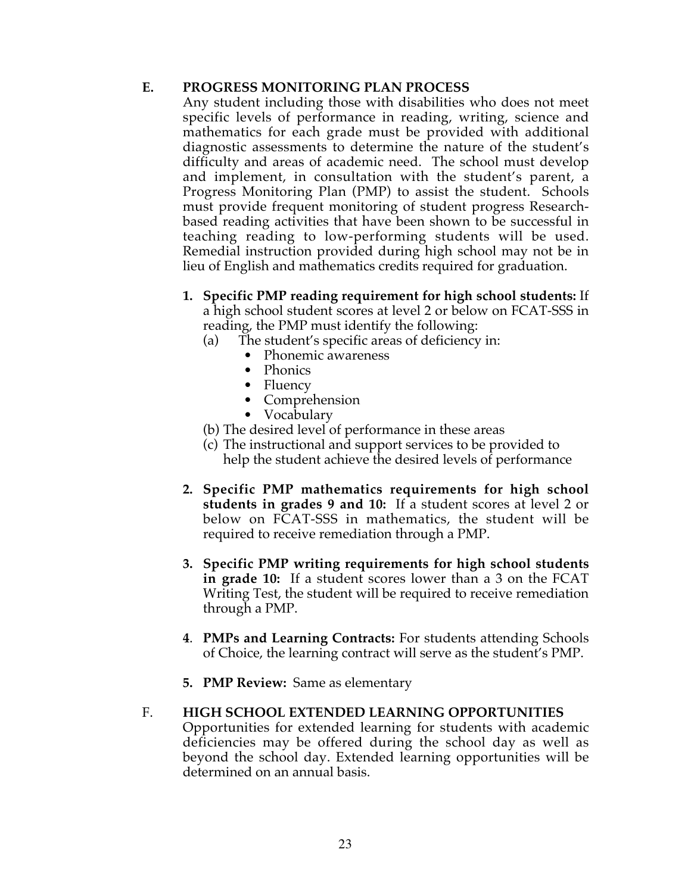# **E. PROGRESS MONITORING PLAN PROCESS**

Any student including those with disabilities who does not meet specific levels of performance in reading, writing, science and mathematics for each grade must be provided with additional diagnostic assessments to determine the nature of the student's difficulty and areas of academic need. The school must develop and implement, in consultation with the student's parent, a Progress Monitoring Plan (PMP) to assist the student. Schools must provide frequent monitoring of student progress Researchbased reading activities that have been shown to be successful in teaching reading to low-performing students will be used. Remedial instruction provided during high school may not be in lieu of English and mathematics credits required for graduation.

- **1. Specific PMP reading requirement for high school students:** If a high school student scores at level 2 or below on FCAT-SSS in reading, the PMP must identify the following:
	- (a) The student's specific areas of deficiency in:
		- Phonemic awareness
		- Phonics
		- Fluency
		- Comprehension
		- Vocabulary
	- (b) The desired level of performance in these areas
	- (c) The instructional and support services to be provided to help the student achieve the desired levels of performance
- **2. Specific PMP mathematics requirements for high school students in grades 9 and 10:** If a student scores at level 2 or below on FCAT-SSS in mathematics, the student will be required to receive remediation through a PMP.
- **3. Specific PMP writing requirements for high school students in grade 10:** If a student scores lower than a 3 on the FCAT Writing Test, the student will be required to receive remediation through a PMP.
- **4**. **PMPs and Learning Contracts:** For students attending Schools of Choice, the learning contract will serve as the student's PMP.
- **5. PMP Review:** Same as elementary

## F. **HIGH SCHOOL EXTENDED LEARNING OPPORTUNITIES**

Opportunities for extended learning for students with academic deficiencies may be offered during the school day as well as beyond the school day. Extended learning opportunities will be determined on an annual basis.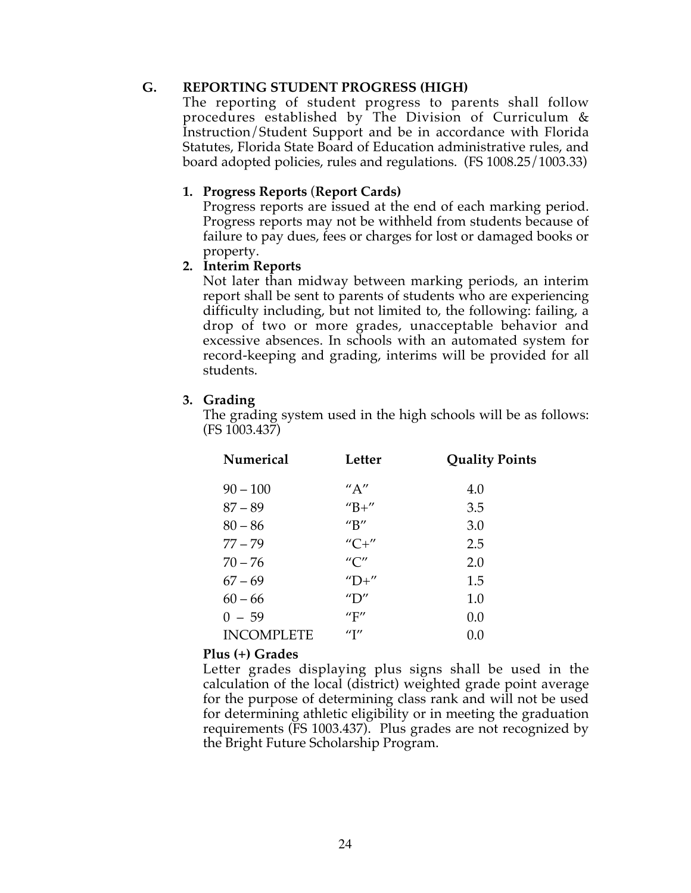## **G. REPORTING STUDENT PROGRESS (HIGH)**

The reporting of student progress to parents shall follow procedures established by The Division of Curriculum & Instruction/Student Support and be in accordance with Florida Statutes, Florida State Board of Education administrative rules, and board adopted policies, rules and regulations. (FS 1008.25/1003.33)

#### **1. Progress Reports** (**Report Cards)**

Progress reports are issued at the end of each marking period. Progress reports may not be withheld from students because of failure to pay dues, fees or charges for lost or damaged books or property.

#### **2. Interim Reports**

Not later than midway between marking periods, an interim report shall be sent to parents of students who are experiencing difficulty including, but not limited to, the following: failing, a drop of two or more grades, unacceptable behavior and excessive absences. In schools with an automated system for record-keeping and grading, interims will be provided for all students.

### **3. Grading**

The grading system used in the high schools will be as follows: (FS 1003.437)

| <b>Numerical</b>  | Letter                                 | <b>Quality Points</b> |
|-------------------|----------------------------------------|-----------------------|
| $90 - 100$        | ''A''                                  | 4.0                   |
| $87 - 89$         | " $B+$ "                               | 3.5                   |
| $80 - 86$         | $^{\prime\prime}$ B $^{\prime\prime}$  | 3.0                   |
| $77 - 79$         | $C + T'$                               | 2.5                   |
| $70 - 76$         | $^{\prime\prime}C^{\prime\prime}$      | 2.0                   |
| $67 - 69$         | $^{\prime\prime}$ D+ $^{\prime\prime}$ | 1.5                   |
| $60 - 66$         | " $D$ "                                | 1.0                   |
| $0 - 59$          | $^{\prime\prime}$ F $^{\prime\prime}$  | 0.0                   |
| <b>INCOMPLETE</b> | $^{\prime\prime}$ T $^{\prime\prime}$  | 0.0                   |

## **Plus (+) Grades**

Letter grades displaying plus signs shall be used in the calculation of the local (district) weighted grade point average for the purpose of determining class rank and will not be used for determining athletic eligibility or in meeting the graduation requirements (FS 1003.437). Plus grades are not recognized by the Bright Future Scholarship Program.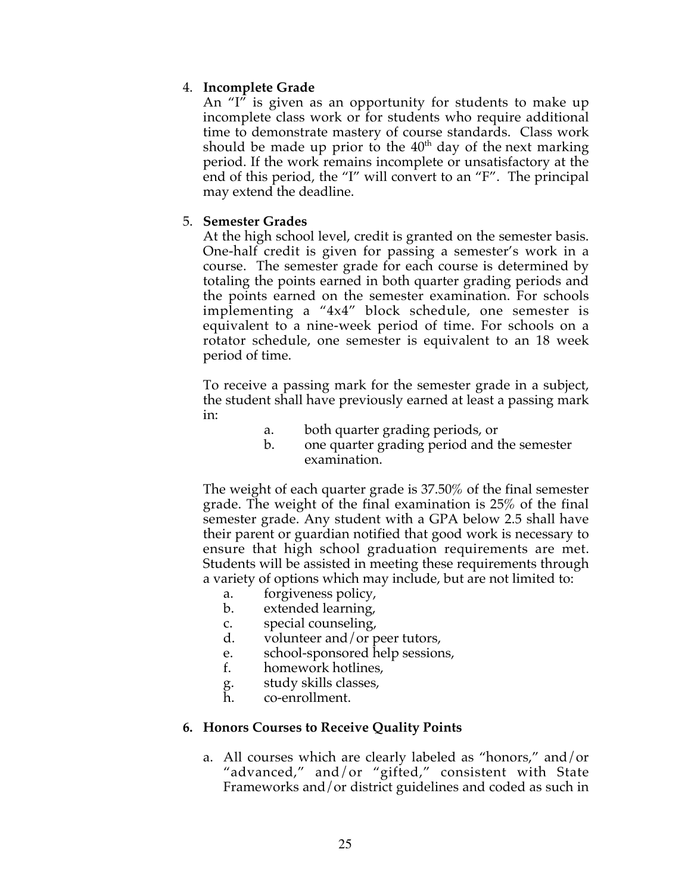## 4. **Incomplete Grade**

An "I" is given as an opportunity for students to make up incomplete class work or for students who require additional time to demonstrate mastery of course standards. Class work should be made up prior to the  $40<sup>th</sup>$  day of the next marking period. If the work remains incomplete or unsatisfactory at the end of this period, the "I" will convert to an "F". The principal may extend the deadline.

# 5. **Semester Grades**

At the high school level, credit is granted on the semester basis. One-half credit is given for passing a semester's work in a course. The semester grade for each course is determined by totaling the points earned in both quarter grading periods and the points earned on the semester examination. For schools implementing a "4x4" block schedule, one semester is equivalent to a nine-week period of time. For schools on a rotator schedule, one semester is equivalent to an 18 week period of time.

To receive a passing mark for the semester grade in a subject, the student shall have previously earned at least a passing mark in:

- a. both quarter grading periods, or
- b. one quarter grading period and the semester examination.

The weight of each quarter grade is 37.50% of the final semester grade. The weight of the final examination is 25% of the final semester grade. Any student with a GPA below 2.5 shall have their parent or guardian notified that good work is necessary to ensure that high school graduation requirements are met. Students will be assisted in meeting these requirements through a variety of options which may include, but are not limited to:

- a. forgiveness policy,
- b. extended learning,
- c. special counseling,
- d. volunteer and/or peer tutors,
- e. school-sponsored help sessions,
- f. homework hotlines,
- g. study skills classes,
- h. co-enrollment.

## **6. Honors Courses to Receive Quality Points**

a. All courses which are clearly labeled as "honors," and/or "advanced," and/or "gifted," consistent with State Frameworks and/or district guidelines and coded as such in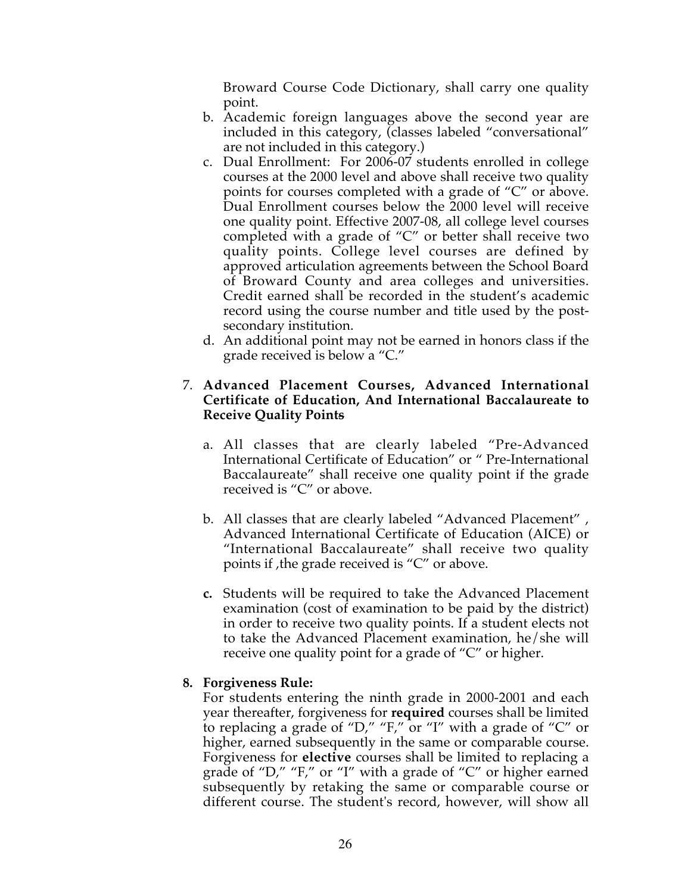Broward Course Code Dictionary, shall carry one quality point.

- b. Academic foreign languages above the second year are included in this category, (classes labeled "conversational" are not included in this category.)
- c. Dual Enrollment: For 2006-07 students enrolled in college courses at the 2000 level and above shall receive two quality points for courses completed with a grade of "C" or above. Dual Enrollment courses below the 2000 level will receive one quality point. Effective 2007-08, all college level courses completed with a grade of "C" or better shall receive two quality points. College level courses are defined by approved articulation agreements between the School Board of Broward County and area colleges and universities. Credit earned shall be recorded in the student's academic record using the course number and title used by the postsecondary institution.
- d. An additional point may not be earned in honors class if the grade received is below a "C."

### 7. **Advanced Placement Courses, Advanced International Certificate of Education, And International Baccalaureate to Receive Quality Points**

- a. All classes that are clearly labeled "Pre-Advanced International Certificate of Education" or " Pre-International Baccalaureate" shall receive one quality point if the grade received is "C" or above.
- b. All classes that are clearly labeled "Advanced Placement" , Advanced International Certificate of Education (AICE) or "International Baccalaureate" shall receive two quality points if ,the grade received is "C" or above.
- **c.** Students will be required to take the Advanced Placement examination (cost of examination to be paid by the district) in order to receive two quality points. If a student elects not to take the Advanced Placement examination, he/she will receive one quality point for a grade of "C" or higher.

## **8. Forgiveness Rule:**

For students entering the ninth grade in 2000-2001 and each year thereafter, forgiveness for **required** courses shall be limited to replacing a grade of "D," "F," or "I" with a grade of "C" or higher, earned subsequently in the same or comparable course. Forgiveness for **elective** courses shall be limited to replacing a grade of "D," "F," or "I" with a grade of "C" or higher earned subsequently by retaking the same or comparable course or different course. The student's record, however, will show all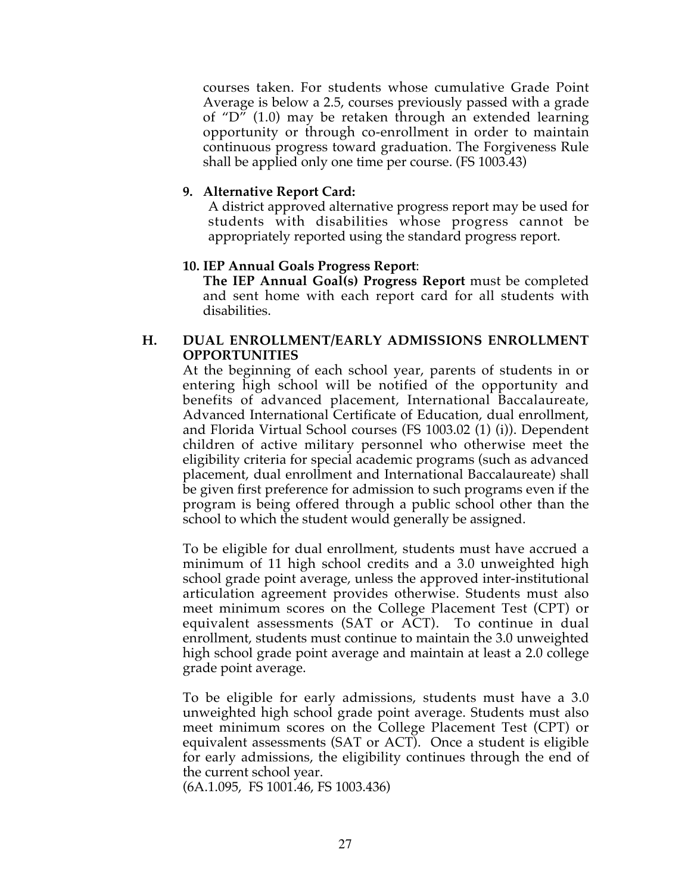courses taken. For students whose cumulative Grade Point Average is below a 2.5, courses previously passed with a grade of "D" (1.0) may be retaken through an extended learning opportunity or through co-enrollment in order to maintain continuous progress toward graduation. The Forgiveness Rule shall be applied only one time per course. (FS 1003.43)

### **9. Alternative Report Card:**

A district approved alternative progress report may be used for students with disabilities whose progress cannot be appropriately reported using the standard progress report.

### **10. IEP Annual Goals Progress Report**:

**The IEP Annual Goal(s) Progress Report** must be completed and sent home with each report card for all students with disabilities.

### **H. DUAL ENROLLMENT/EARLY ADMISSIONS ENROLLMENT OPPORTUNITIES**

At the beginning of each school year, parents of students in or entering high school will be notified of the opportunity and benefits of advanced placement, International Baccalaureate, Advanced International Certificate of Education, dual enrollment, and Florida Virtual School courses (FS 1003.02 (1) (i)). Dependent children of active military personnel who otherwise meet the eligibility criteria for special academic programs (such as advanced placement, dual enrollment and International Baccalaureate) shall be given first preference for admission to such programs even if the program is being offered through a public school other than the school to which the student would generally be assigned.

To be eligible for dual enrollment, students must have accrued a minimum of 11 high school credits and a 3.0 unweighted high school grade point average, unless the approved inter-institutional articulation agreement provides otherwise. Students must also meet minimum scores on the College Placement Test (CPT) or equivalent assessments (SAT or ACT). To continue in dual enrollment, students must continue to maintain the 3.0 unweighted high school grade point average and maintain at least a 2.0 college grade point average.

To be eligible for early admissions, students must have a 3.0 unweighted high school grade point average. Students must also meet minimum scores on the College Placement Test (CPT) or equivalent assessments (SAT or ACT). Once a student is eligible for early admissions, the eligibility continues through the end of the current school year.

(6A.1.095, FS 1001.46, FS 1003.436)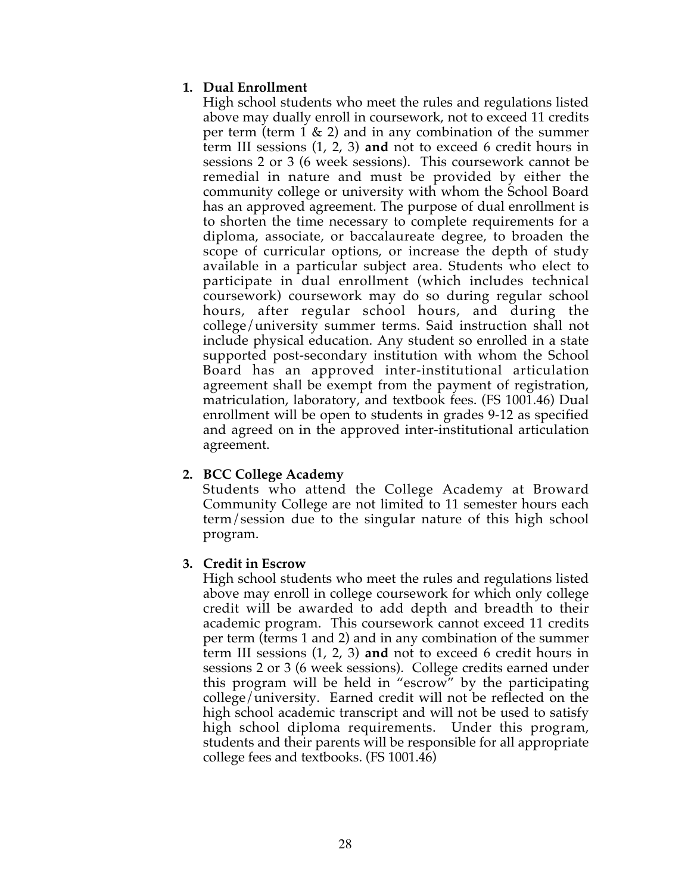## **1. Dual Enrollment**

High school students who meet the rules and regulations listed above may dually enroll in coursework, not to exceed 11 credits per term (term  $1 \& 2$ ) and in any combination of the summer term III sessions (1, 2, 3) **and** not to exceed 6 credit hours in sessions 2 or 3 (6 week sessions). This coursework cannot be remedial in nature and must be provided by either the community college or university with whom the School Board has an approved agreement. The purpose of dual enrollment is to shorten the time necessary to complete requirements for a diploma, associate, or baccalaureate degree, to broaden the scope of curricular options, or increase the depth of study available in a particular subject area. Students who elect to participate in dual enrollment (which includes technical coursework) coursework may do so during regular school hours, after regular school hours, and during the college/university summer terms. Said instruction shall not include physical education. Any student so enrolled in a state supported post-secondary institution with whom the School Board has an approved inter-institutional articulation agreement shall be exempt from the payment of registration, matriculation, laboratory, and textbook fees. (FS 1001.46) Dual enrollment will be open to students in grades 9-12 as specified and agreed on in the approved inter-institutional articulation agreement.

## **2. BCC College Academy**

Students who attend the College Academy at Broward Community College are not limited to 11 semester hours each term/session due to the singular nature of this high school program.

## **3. Credit in Escrow**

High school students who meet the rules and regulations listed above may enroll in college coursework for which only college credit will be awarded to add depth and breadth to their academic program. This coursework cannot exceed 11 credits per term (terms 1 and 2) and in any combination of the summer term III sessions (1, 2, 3) **and** not to exceed 6 credit hours in sessions 2 or 3 (6 week sessions). College credits earned under this program will be held in "escrow" by the participating college/university. Earned credit will not be reflected on the high school academic transcript and will not be used to satisfy high school diploma requirements. Under this program, students and their parents will be responsible for all appropriate college fees and textbooks. (FS 1001.46)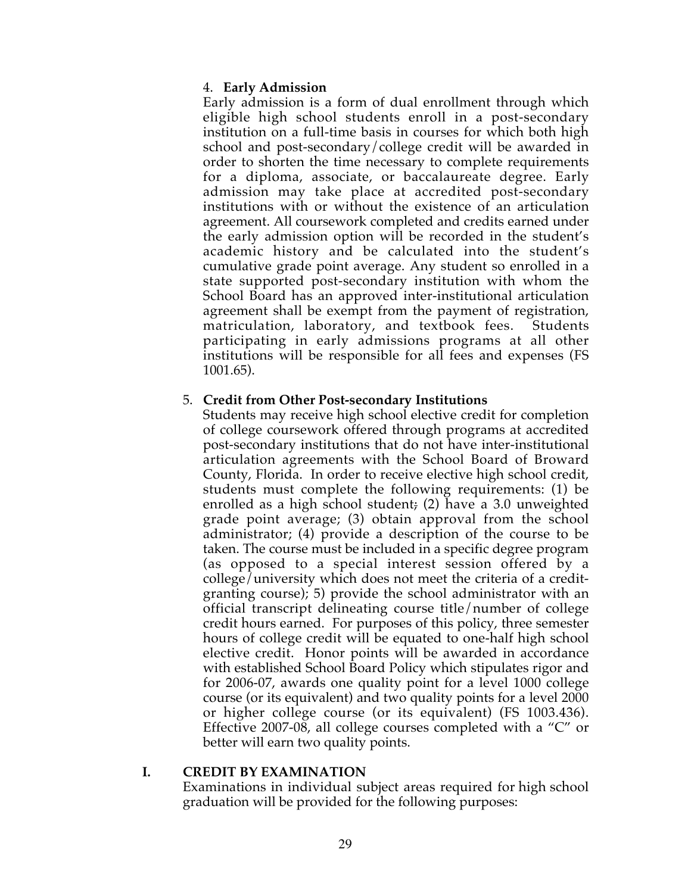### 4. **Early Admission**

Early admission is a form of dual enrollment through which eligible high school students enroll in a post-secondary institution on a full-time basis in courses for which both high school and post-secondary/college credit will be awarded in order to shorten the time necessary to complete requirements for a diploma, associate, or baccalaureate degree. Early admission may take place at accredited post-secondary institutions with or without the existence of an articulation agreement. All coursework completed and credits earned under the early admission option will be recorded in the student's academic history and be calculated into the student's cumulative grade point average. Any student so enrolled in a state supported post-secondary institution with whom the School Board has an approved inter-institutional articulation agreement shall be exempt from the payment of registration, matriculation, laboratory, and textbook fees. Students participating in early admissions programs at all other institutions will be responsible for all fees and expenses (FS 1001.65).

## 5. **Credit from Other Post-secondary Institutions**

Students may receive high school elective credit for completion of college coursework offered through programs at accredited post-secondary institutions that do not have inter-institutional articulation agreements with the School Board of Broward County, Florida. In order to receive elective high school credit, students must complete the following requirements: (1) be enrolled as a high school student; (2) have a 3.0 unweighted grade point average; (3) obtain approval from the school administrator; (4) provide a description of the course to be taken. The course must be included in a specific degree program (as opposed to a special interest session offered by a college/university which does not meet the criteria of a creditgranting course); 5) provide the school administrator with an official transcript delineating course title/number of college credit hours earned. For purposes of this policy, three semester hours of college credit will be equated to one-half high school elective credit. Honor points will be awarded in accordance with established School Board Policy which stipulates rigor and for 2006-07, awards one quality point for a level 1000 college course (or its equivalent) and two quality points for a level 2000 or higher college course (or its equivalent) (FS 1003.436). Effective 2007-08, all college courses completed with a "C" or better will earn two quality points.

## **I. CREDIT BY EXAMINATION**

Examinations in individual subject areas required for high school graduation will be provided for the following purposes: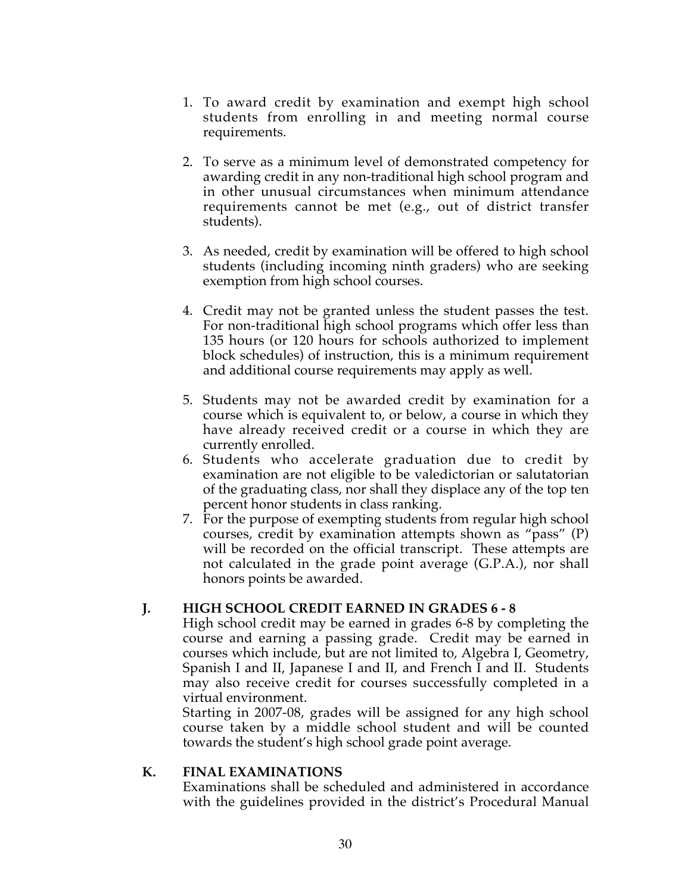- 1. To award credit by examination and exempt high school students from enrolling in and meeting normal course requirements.
- 2. To serve as a minimum level of demonstrated competency for awarding credit in any non-traditional high school program and in other unusual circumstances when minimum attendance requirements cannot be met (e.g., out of district transfer students).
- 3. As needed, credit by examination will be offered to high school students (including incoming ninth graders) who are seeking exemption from high school courses.
- 4. Credit may not be granted unless the student passes the test. For non-traditional high school programs which offer less than 135 hours (or 120 hours for schools authorized to implement block schedules) of instruction, this is a minimum requirement and additional course requirements may apply as well.
- 5. Students may not be awarded credit by examination for a course which is equivalent to, or below, a course in which they have already received credit or a course in which they are currently enrolled.
- 6. Students who accelerate graduation due to credit by examination are not eligible to be valedictorian or salutatorian of the graduating class, nor shall they displace any of the top ten percent honor students in class ranking.
- 7. For the purpose of exempting students from regular high school courses, credit by examination attempts shown as "pass" (P) will be recorded on the official transcript. These attempts are not calculated in the grade point average (G.P.A.), nor shall honors points be awarded.

## **J. HIGH SCHOOL CREDIT EARNED IN GRADES 6 - 8**

High school credit may be earned in grades 6-8 by completing the course and earning a passing grade. Credit may be earned in courses which include, but are not limited to, Algebra I, Geometry, Spanish I and II, Japanese I and II, and French I and II. Students may also receive credit for courses successfully completed in a virtual environment.

Starting in 2007-08, grades will be assigned for any high school course taken by a middle school student and will be counted towards the student's high school grade point average.

## **K. FINAL EXAMINATIONS**

Examinations shall be scheduled and administered in accordance with the guidelines provided in the district's Procedural Manual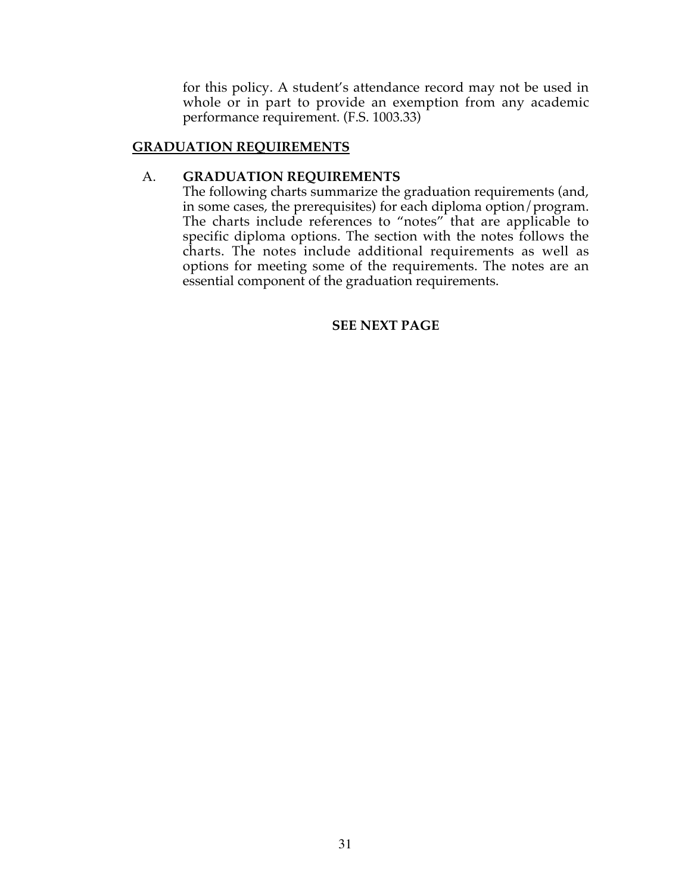for this policy. A student's attendance record may not be used in whole or in part to provide an exemption from any academic performance requirement. (F.S. 1003.33)

### **GRADUATION REQUIREMENTS**

## A. **GRADUATION REQUIREMENTS**

The following charts summarize the graduation requirements (and, in some cases, the prerequisites) for each diploma option/program. The charts include references to "notes" that are applicable to specific diploma options. The section with the notes follows the charts. The notes include additional requirements as well as options for meeting some of the requirements. The notes are an essential component of the graduation requirements.

## **SEE NEXT PAGE**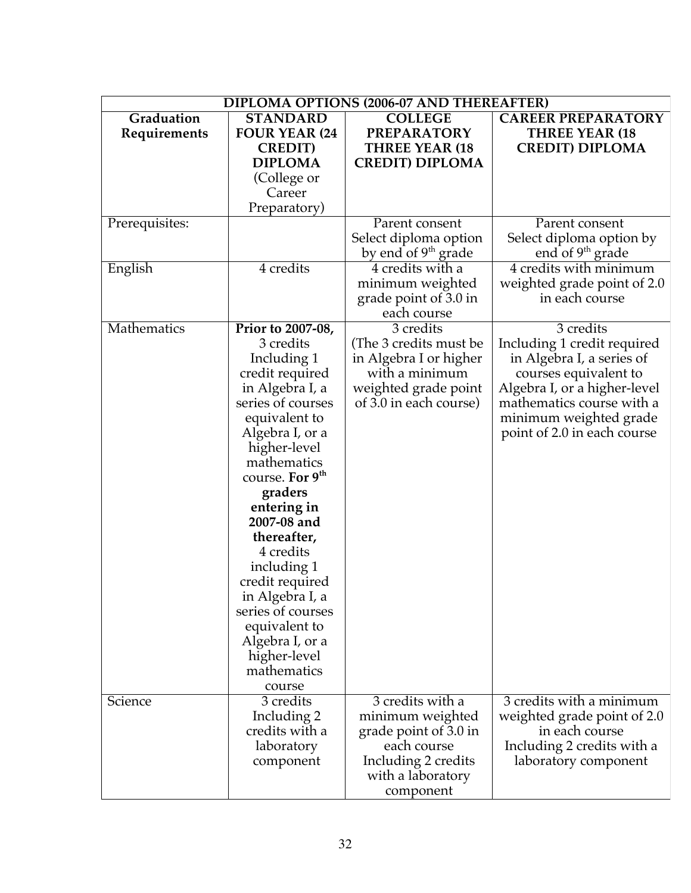| DIPLOMA OPTIONS (2006-07 AND THEREAFTER) |                                                                                                                                                                                                                                                                                                                                                                                                                              |                                                                                                                                       |                                                                                                                                                                                                                      |
|------------------------------------------|------------------------------------------------------------------------------------------------------------------------------------------------------------------------------------------------------------------------------------------------------------------------------------------------------------------------------------------------------------------------------------------------------------------------------|---------------------------------------------------------------------------------------------------------------------------------------|----------------------------------------------------------------------------------------------------------------------------------------------------------------------------------------------------------------------|
| Graduation                               | <b>STANDARD</b>                                                                                                                                                                                                                                                                                                                                                                                                              | <b>COLLEGE</b>                                                                                                                        | <b>CAREER PREPARATORY</b>                                                                                                                                                                                            |
| Requirements                             | <b>FOUR YEAR (24</b>                                                                                                                                                                                                                                                                                                                                                                                                         | <b>PREPARATORY</b>                                                                                                                    | <b>THREE YEAR (18</b>                                                                                                                                                                                                |
|                                          | <b>CREDIT)</b>                                                                                                                                                                                                                                                                                                                                                                                                               | <b>THREE YEAR (18</b>                                                                                                                 | <b>CREDIT) DIPLOMA</b>                                                                                                                                                                                               |
|                                          | <b>DIPLOMA</b>                                                                                                                                                                                                                                                                                                                                                                                                               | <b>CREDIT) DIPLOMA</b>                                                                                                                |                                                                                                                                                                                                                      |
|                                          | (College or                                                                                                                                                                                                                                                                                                                                                                                                                  |                                                                                                                                       |                                                                                                                                                                                                                      |
|                                          | Career                                                                                                                                                                                                                                                                                                                                                                                                                       |                                                                                                                                       |                                                                                                                                                                                                                      |
|                                          | Preparatory)                                                                                                                                                                                                                                                                                                                                                                                                                 |                                                                                                                                       |                                                                                                                                                                                                                      |
| Prerequisites:                           |                                                                                                                                                                                                                                                                                                                                                                                                                              | Parent consent<br>Select diploma option<br>by end of 9 <sup>th</sup> grade                                                            | Parent consent<br>Select diploma option by<br>end of $9th$ grade                                                                                                                                                     |
| English                                  | 4 credits                                                                                                                                                                                                                                                                                                                                                                                                                    | 4 credits with a<br>minimum weighted<br>grade point of 3.0 in<br>each course                                                          | 4 credits with minimum<br>weighted grade point of 2.0<br>in each course                                                                                                                                              |
| Mathematics                              | Prior to 2007-08,<br>3 credits<br>Including 1<br>credit required<br>in Algebra I, a<br>series of courses<br>equivalent to<br>Algebra I, or a<br>higher-level<br>mathematics<br>course. For 9 <sup>th</sup><br>graders<br>entering in<br>2007-08 and<br>thereafter,<br>4 credits<br>including 1<br>credit required<br>in Algebra I, a<br>series of courses<br>equivalent to<br>Algebra I, or a<br>higher-level<br>mathematics | 3 credits<br>(The 3 credits must be<br>in Algebra I or higher<br>with a minimum<br>weighted grade point<br>of 3.0 in each course)     | 3 credits<br>Including 1 credit required<br>in Algebra I, a series of<br>courses equivalent to<br>Algebra I, or a higher-level<br>mathematics course with a<br>minimum weighted grade<br>point of 2.0 in each course |
| Science                                  | course<br>3 credits<br>Including 2<br>credits with a<br>laboratory<br>component                                                                                                                                                                                                                                                                                                                                              | 3 credits with a<br>minimum weighted<br>grade point of 3.0 in<br>each course<br>Including 2 credits<br>with a laboratory<br>component | 3 credits with a minimum<br>weighted grade point of 2.0<br>in each course<br>Including 2 credits with a<br>laboratory component                                                                                      |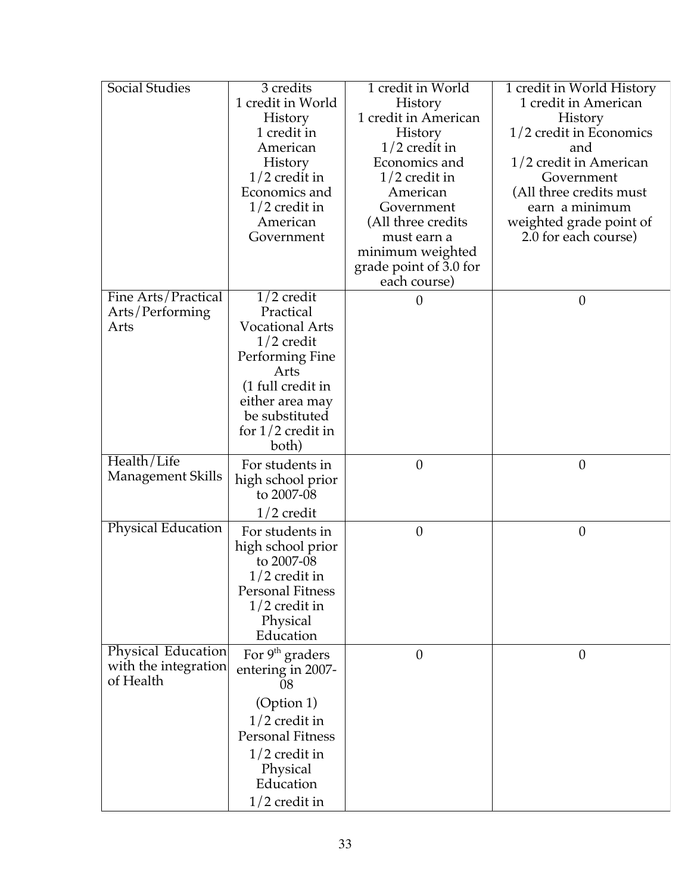| <b>Social Studies</b>    | 3 credits               | 1 credit in World      | 1 credit in World History |
|--------------------------|-------------------------|------------------------|---------------------------|
|                          | 1 credit in World       | History                | 1 credit in American      |
|                          | History                 | 1 credit in American   | History                   |
|                          | 1 credit in             | History                | $1/2$ credit in Economics |
|                          | American                | $1/2$ credit in        | and                       |
|                          | History                 | Economics and          | $1/2$ credit in American  |
|                          | $1/2$ credit in         | $1/2$ credit in        | Government                |
|                          | Economics and           | American               | (All three credits must)  |
|                          | $1/2$ credit in         | Government             | earn a minimum            |
|                          | American                | (All three credits     | weighted grade point of   |
|                          | Government              | must earn a            | 2.0 for each course)      |
|                          |                         | minimum weighted       |                           |
|                          |                         | grade point of 3.0 for |                           |
|                          |                         | each course)           |                           |
| Fine Arts/Practical      | $1/2$ credit            | 0                      | $\theta$                  |
| Arts/Performing          | Practical               |                        |                           |
| Arts                     | <b>Vocational Arts</b>  |                        |                           |
|                          | $1/2$ credit            |                        |                           |
|                          | Performing Fine         |                        |                           |
|                          | Arts                    |                        |                           |
|                          | (1 full credit in       |                        |                           |
|                          | either area may         |                        |                           |
|                          | be substituted          |                        |                           |
|                          | for $1/2$ credit in     |                        |                           |
|                          | both)                   |                        |                           |
| Health/Life              | For students in         | $\theta$               | $\theta$                  |
| <b>Management Skills</b> | high school prior       |                        |                           |
|                          | to 2007-08              |                        |                           |
|                          | $1/2$ credit            |                        |                           |
| Physical Education       | For students in         | $\theta$               | $\theta$                  |
|                          | high school prior       |                        |                           |
|                          | to 2007-08              |                        |                           |
|                          | $1/2$ credit in         |                        |                           |
|                          | <b>Personal Fitness</b> |                        |                           |
|                          | $1/2$ credit in         |                        |                           |
|                          | Physical                |                        |                           |
|                          | Education               |                        |                           |
| Physical Education       | For $9th$ graders       | $\theta$               | $\theta$                  |
| with the integration     | entering in 2007-       |                        |                           |
| of Health                | 08                      |                        |                           |
|                          | (Option 1)              |                        |                           |
|                          | $1/2$ credit in         |                        |                           |
|                          | <b>Personal Fitness</b> |                        |                           |
|                          | $1/2$ credit in         |                        |                           |
|                          | Physical                |                        |                           |
|                          | Education               |                        |                           |
|                          |                         |                        |                           |
|                          | $1/2$ credit in         |                        |                           |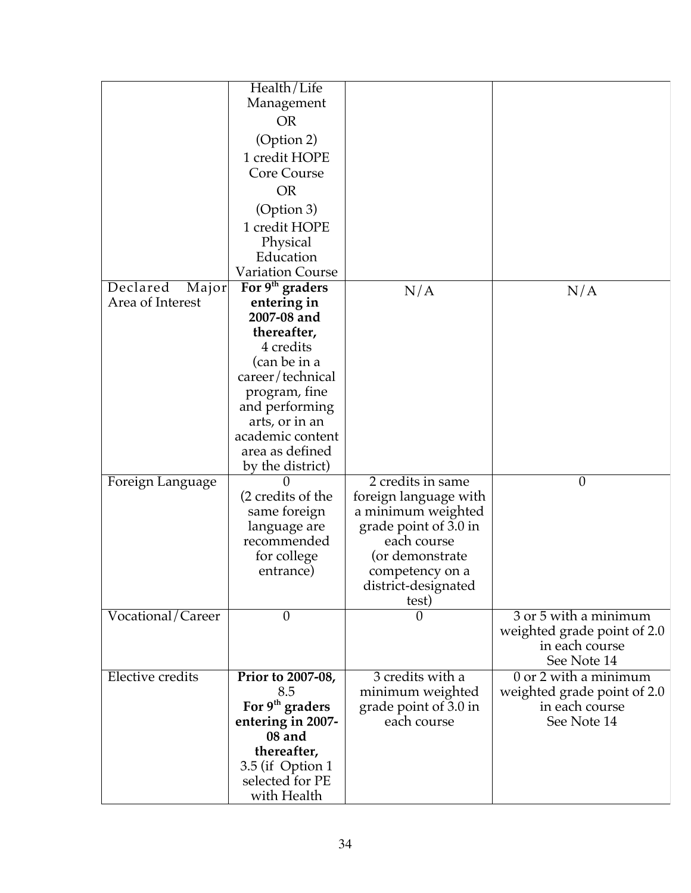|                         | Health/Life<br>Management        |                       |                                               |
|-------------------------|----------------------------------|-----------------------|-----------------------------------------------|
|                         | <b>OR</b>                        |                       |                                               |
|                         | (Option 2)                       |                       |                                               |
|                         | 1 credit HOPE                    |                       |                                               |
|                         | Core Course                      |                       |                                               |
|                         | <b>OR</b>                        |                       |                                               |
|                         | (Option 3)                       |                       |                                               |
|                         | 1 credit HOPE                    |                       |                                               |
|                         | Physical                         |                       |                                               |
|                         | Education                        |                       |                                               |
|                         | <b>Variation Course</b>          |                       |                                               |
| Declared<br>Major       | For 9 <sup>th</sup> graders      | N/A                   | N/A                                           |
| Area of Interest        | entering in                      |                       |                                               |
|                         | 2007-08 and                      |                       |                                               |
|                         | thereafter,                      |                       |                                               |
|                         | 4 credits                        |                       |                                               |
|                         | (can be in a<br>career/technical |                       |                                               |
|                         |                                  |                       |                                               |
|                         | program, fine<br>and performing  |                       |                                               |
|                         | arts, or in an                   |                       |                                               |
|                         | academic content                 |                       |                                               |
|                         | area as defined                  |                       |                                               |
|                         | by the district)                 |                       |                                               |
| Foreign Language        |                                  | 2 credits in same     | $\theta$                                      |
|                         | (2 credits of the                | foreign language with |                                               |
|                         | same foreign                     | a minimum weighted    |                                               |
|                         | language are                     | grade point of 3.0 in |                                               |
|                         | recommended                      | each course           |                                               |
|                         | for college                      | (or demonstrate)      |                                               |
|                         | entrance)                        | competency on a       |                                               |
|                         |                                  | district-designated   |                                               |
|                         |                                  | test)                 |                                               |
| Vocational/Career       | $\theta$                         | $\theta$              | 3 or 5 with a minimum                         |
|                         |                                  |                       | weighted grade point of 2.0<br>in each course |
|                         |                                  |                       | See Note 14                                   |
| <b>Elective credits</b> | Prior to 2007-08,                | 3 credits with a      | 0 or 2 with a minimum                         |
|                         | 8.5                              | minimum weighted      | weighted grade point of 2.0                   |
|                         | For 9 <sup>th</sup> graders      | grade point of 3.0 in | in each course                                |
|                         | entering in 2007-                | each course           | See Note 14                                   |
|                         | 08 and                           |                       |                                               |
|                         | thereafter,                      |                       |                                               |
|                         | 3.5 (if Option 1                 |                       |                                               |
|                         | selected for PE                  |                       |                                               |
|                         | with Health                      |                       |                                               |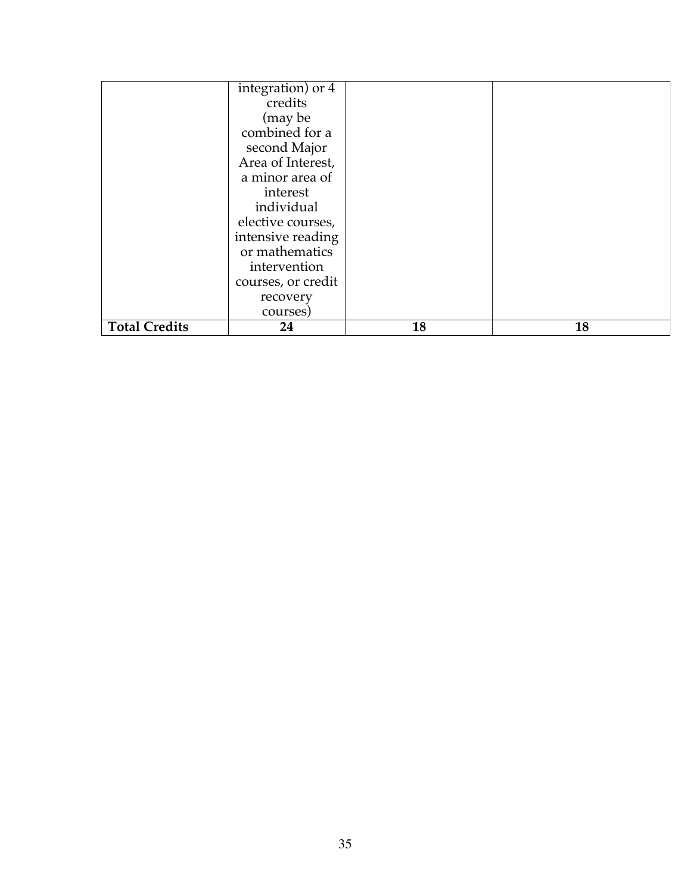|                      | integration) or $4$ |    |    |
|----------------------|---------------------|----|----|
|                      | credits             |    |    |
|                      | (may be             |    |    |
|                      | combined for a      |    |    |
|                      | second Major        |    |    |
|                      | Area of Interest,   |    |    |
|                      | a minor area of     |    |    |
|                      | interest            |    |    |
|                      | individual          |    |    |
|                      | elective courses,   |    |    |
|                      | intensive reading   |    |    |
|                      | or mathematics      |    |    |
|                      | intervention        |    |    |
|                      | courses, or credit  |    |    |
|                      | recovery            |    |    |
|                      | courses)            |    |    |
| <b>Total Credits</b> | 24                  | 18 | 18 |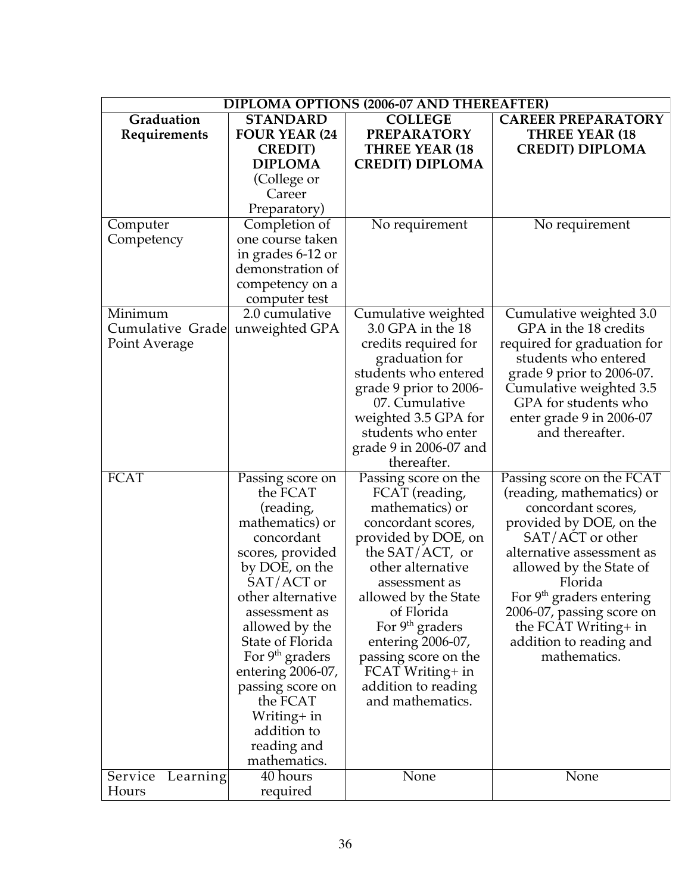| DIPLOMA OPTIONS (2006-07 AND THEREAFTER) |                                    |                                          |                                         |
|------------------------------------------|------------------------------------|------------------------------------------|-----------------------------------------|
| Graduation                               | <b>STANDARD</b>                    | <b>COLLEGE</b>                           | <b>CAREER PREPARATORY</b>               |
| Requirements                             | <b>FOUR YEAR (24</b>               | <b>PREPARATORY</b>                       | <b>THREE YEAR (18</b>                   |
|                                          | <b>CREDIT)</b>                     | <b>THREE YEAR (18</b>                    | <b>CREDIT) DIPLOMA</b>                  |
|                                          | <b>DIPLOMA</b>                     | <b>CREDIT) DIPLOMA</b>                   |                                         |
|                                          | (College or                        |                                          |                                         |
|                                          | Career                             |                                          |                                         |
|                                          | Preparatory)                       |                                          |                                         |
| Computer                                 | Completion of                      | No requirement                           | No requirement                          |
| Competency                               | one course taken                   |                                          |                                         |
|                                          | in grades 6-12 or                  |                                          |                                         |
|                                          | demonstration of                   |                                          |                                         |
|                                          | competency on a                    |                                          |                                         |
|                                          | computer test                      |                                          |                                         |
| Minimum                                  | 2.0 cumulative                     | Cumulative weighted                      | Cumulative weighted 3.0                 |
| Cumulative Grade                         | unweighted GPA                     | 3.0 GPA in the 18                        | GPA in the 18 credits                   |
| Point Average                            |                                    | credits required for                     | required for graduation for             |
|                                          |                                    | graduation for                           | students who entered                    |
|                                          |                                    | students who entered                     | grade 9 prior to 2006-07.               |
|                                          |                                    | grade 9 prior to 2006-                   | Cumulative weighted 3.5                 |
|                                          |                                    | 07. Cumulative                           | GPA for students who                    |
|                                          |                                    | weighted 3.5 GPA for                     | enter grade 9 in 2006-07                |
|                                          |                                    | students who enter                       | and thereafter.                         |
|                                          |                                    | grade 9 in $2006-07$ and                 |                                         |
|                                          |                                    | thereafter.                              |                                         |
| FCAT                                     | Passing score on                   | Passing score on the                     | Passing score on the FCAT               |
|                                          | the FCAT                           | FCAT (reading,                           | (reading, mathematics) or               |
|                                          | (reading,                          | mathematics) or                          | concordant scores,                      |
|                                          | mathematics) or                    | concordant scores,                       | provided by DOE, on the                 |
|                                          | concordant                         | provided by DOE, on                      | $SAT/ACT$ or other                      |
|                                          | scores, provided                   | the SAT/ACT, or                          | alternative assessment as               |
|                                          | by DOE, on the                     | other alternative                        | allowed by the State of                 |
|                                          | $SAT/ACT$ or<br>other alternative  | assessment as                            | Florida                                 |
|                                          |                                    | allowed by the State                     | For $9th$ graders entering              |
|                                          | assessment as                      | of Florida                               | 2006-07, passing score on               |
|                                          | allowed by the<br>State of Florida | For $9th$ graders                        | the FCAT Writing+ in                    |
|                                          | For $9th$ graders                  | entering 2006-07,                        | addition to reading and<br>mathematics. |
|                                          | entering 2006-07,                  | passing score on the<br>FCAT Writing+ in |                                         |
|                                          | passing score on                   | addition to reading                      |                                         |
|                                          | the FCAT                           | and mathematics.                         |                                         |
|                                          | Writing+ in                        |                                          |                                         |
|                                          | addition to                        |                                          |                                         |
|                                          | reading and                        |                                          |                                         |
|                                          | mathematics.                       |                                          |                                         |
| Service<br>Learning                      | 40 hours                           | None                                     | None                                    |
| Hours                                    | required                           |                                          |                                         |
|                                          |                                    |                                          |                                         |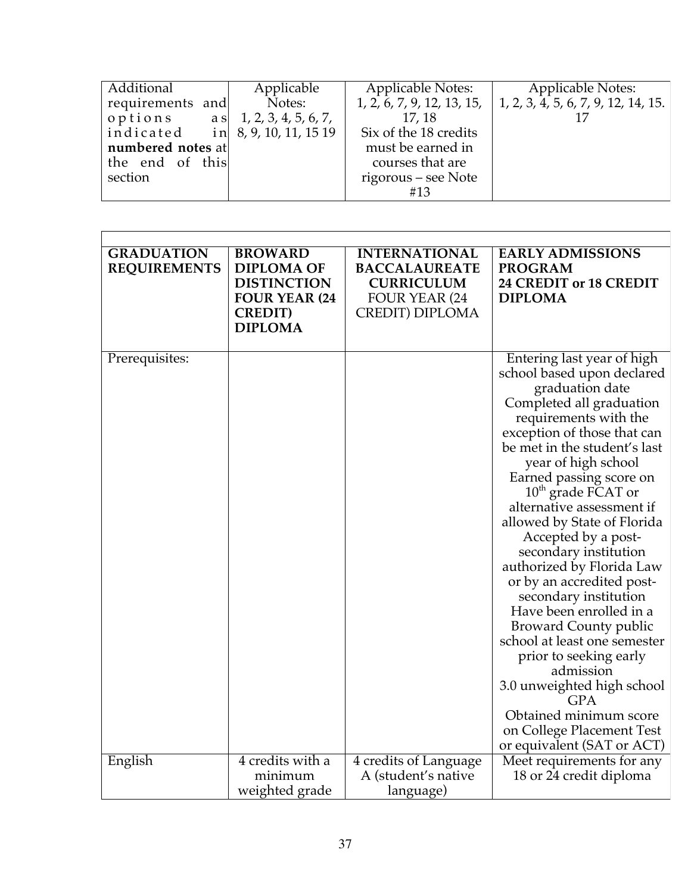| Additional        | Applicable                       | Applicable Notes:     | Applicable Notes:                                                |
|-------------------|----------------------------------|-----------------------|------------------------------------------------------------------|
|                   |                                  |                       |                                                                  |
| requirements and  | Notes:                           |                       | $1, 2, 6, 7, 9, 12, 13, 15, 1, 2, 3, 4, 5, 6, 7, 9, 12, 14, 15.$ |
|                   | options as 1, 2, 3, 4, 5, 6, 7,  | 17, 18                |                                                                  |
|                   | indicated in 8, 9, 10, 11, 15 19 | Six of the 18 credits |                                                                  |
| numbered notes at |                                  | must be earned in     |                                                                  |
| the end of this   |                                  | courses that are      |                                                                  |
| section           |                                  | rigorous – see Note   |                                                                  |
|                   |                                  | #13                   |                                                                  |

| <b>GRADUATION</b><br><b>REQUIREMENTS</b> | <b>BROWARD</b><br><b>DIPLOMA OF</b><br><b>DISTINCTION</b><br><b>FOUR YEAR (24</b><br><b>CREDIT)</b><br><b>DIPLOMA</b> | <b>INTERNATIONAL</b><br><b>BACCALAUREATE</b><br><b>CURRICULUM</b><br><b>FOUR YEAR (24</b><br><b>CREDIT) DIPLOMA</b> | <b>EARLY ADMISSIONS</b><br><b>PROGRAM</b><br>24 CREDIT or 18 CREDIT<br><b>DIPLOMA</b>                                                                                                                                                                                                                                                                                                                                                                                                                                                                                                                                                                                                                                                       |
|------------------------------------------|-----------------------------------------------------------------------------------------------------------------------|---------------------------------------------------------------------------------------------------------------------|---------------------------------------------------------------------------------------------------------------------------------------------------------------------------------------------------------------------------------------------------------------------------------------------------------------------------------------------------------------------------------------------------------------------------------------------------------------------------------------------------------------------------------------------------------------------------------------------------------------------------------------------------------------------------------------------------------------------------------------------|
| Prerequisites:                           |                                                                                                                       |                                                                                                                     | Entering last year of high<br>school based upon declared<br>graduation date<br>Completed all graduation<br>requirements with the<br>exception of those that can<br>be met in the student's last<br>year of high school<br>Earned passing score on<br>$10th$ grade FCAT or<br>alternative assessment if<br>allowed by State of Florida<br>Accepted by a post-<br>secondary institution<br>authorized by Florida Law<br>or by an accredited post-<br>secondary institution<br>Have been enrolled in a<br><b>Broward County public</b><br>school at least one semester<br>prior to seeking early<br>admission<br>3.0 unweighted high school<br><b>GPA</b><br>Obtained minimum score<br>on College Placement Test<br>or equivalent (SAT or ACT) |
| English                                  | 4 credits with a<br>minimum<br>weighted grade                                                                         | 4 credits of Language<br>A (student's native<br>language)                                                           | Meet requirements for any<br>18 or 24 credit diploma                                                                                                                                                                                                                                                                                                                                                                                                                                                                                                                                                                                                                                                                                        |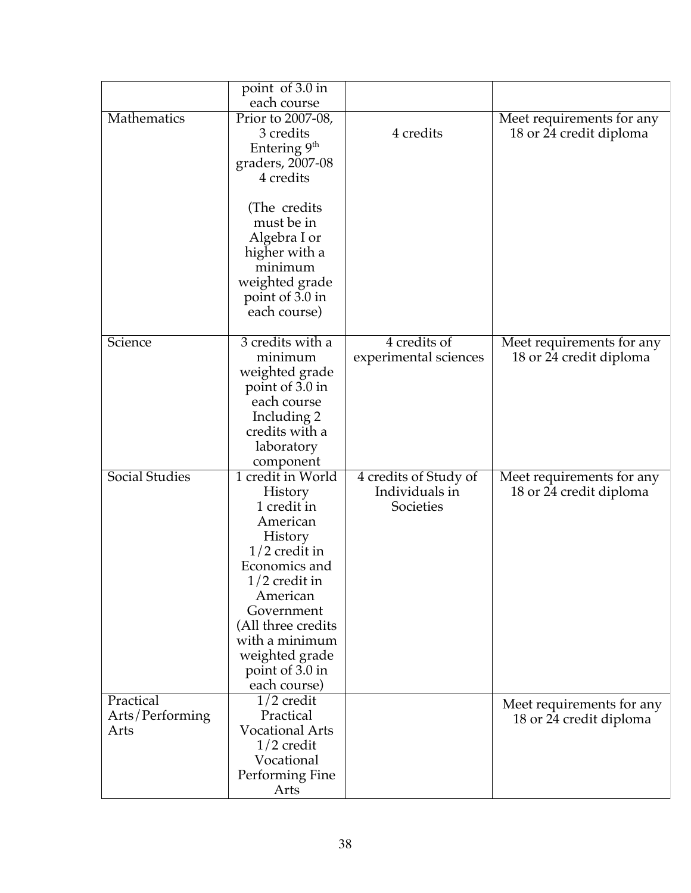|                       | point of 3.0 in            |                       |                                                      |
|-----------------------|----------------------------|-----------------------|------------------------------------------------------|
|                       | each course                |                       |                                                      |
| Mathematics           | Prior to 2007-08,          |                       | Meet requirements for any                            |
|                       | 3 credits                  | 4 credits             |                                                      |
|                       |                            |                       | 18 or 24 credit diploma                              |
|                       | Entering 9 <sup>th</sup>   |                       |                                                      |
|                       | graders, 2007-08           |                       |                                                      |
|                       | 4 credits                  |                       |                                                      |
|                       | (The credits)              |                       |                                                      |
|                       | must be in                 |                       |                                                      |
|                       | Algebra I or               |                       |                                                      |
|                       |                            |                       |                                                      |
|                       | higher with a<br>minimum   |                       |                                                      |
|                       |                            |                       |                                                      |
|                       | weighted grade             |                       |                                                      |
|                       | point of 3.0 in            |                       |                                                      |
|                       | each course)               |                       |                                                      |
| Science               | 3 credits with a           | 4 credits of          | Meet requirements for any                            |
|                       | minimum                    | experimental sciences | 18 or 24 credit diploma                              |
|                       | weighted grade             |                       |                                                      |
|                       | point of 3.0 in            |                       |                                                      |
|                       | each course                |                       |                                                      |
|                       | Including 2                |                       |                                                      |
|                       | credits with a             |                       |                                                      |
|                       | laboratory                 |                       |                                                      |
|                       | component                  |                       |                                                      |
| <b>Social Studies</b> | 1 credit in World          | 4 credits of Study of |                                                      |
|                       | History                    | Individuals in        | Meet requirements for any<br>18 or 24 credit diploma |
|                       | 1 credit in                | Societies             |                                                      |
|                       | American                   |                       |                                                      |
|                       |                            |                       |                                                      |
|                       | History<br>$1/2$ credit in |                       |                                                      |
|                       |                            |                       |                                                      |
|                       | Economics and              |                       |                                                      |
|                       | $1/2$ credit in            |                       |                                                      |
|                       | American                   |                       |                                                      |
|                       | Government                 |                       |                                                      |
|                       | (All three credits         |                       |                                                      |
|                       | with a minimum             |                       |                                                      |
|                       | weighted grade             |                       |                                                      |
|                       | point of 3.0 in            |                       |                                                      |
|                       | each course)               |                       |                                                      |
| Practical             | $1/2$ credit               |                       | Meet requirements for any                            |
| Arts/Performing       | Practical                  |                       | 18 or 24 credit diploma                              |
| Arts                  | <b>Vocational Arts</b>     |                       |                                                      |
|                       | $1/2$ credit               |                       |                                                      |
|                       | Vocational                 |                       |                                                      |
|                       | Performing Fine            |                       |                                                      |
|                       | Arts                       |                       |                                                      |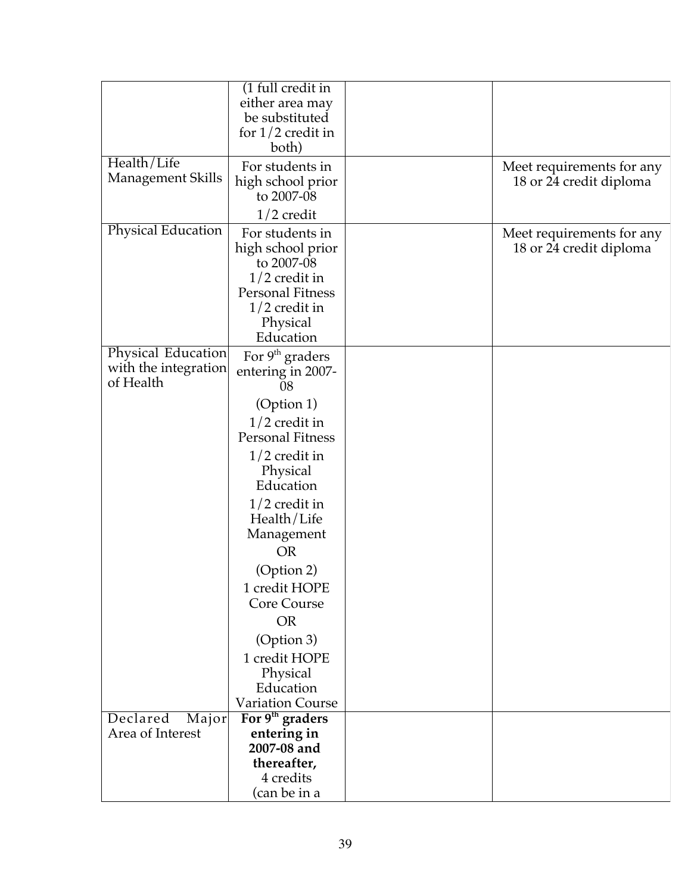|                           | (1 full credit in           |                           |
|---------------------------|-----------------------------|---------------------------|
|                           | either area may             |                           |
|                           | be substituted              |                           |
|                           | for $1/2$ credit in         |                           |
|                           | both)                       |                           |
| Health/Life               | For students in             | Meet requirements for any |
| <b>Management Skills</b>  | high school prior           | 18 or 24 credit diploma   |
|                           | to 2007-08                  |                           |
|                           | $1/2$ credit                |                           |
| <b>Physical Education</b> | For students in             | Meet requirements for any |
|                           | high school prior           | 18 or 24 credit diploma   |
|                           | to 2007-08                  |                           |
|                           | $1/2$ credit in             |                           |
|                           | <b>Personal Fitness</b>     |                           |
|                           | $1/2$ credit in             |                           |
|                           | Physical                    |                           |
|                           | Education                   |                           |
| Physical Education        | For 9 <sup>th</sup> graders |                           |
| with the integration      | entering in 2007-           |                           |
| of Health                 | 08                          |                           |
|                           | (Option 1)                  |                           |
|                           | $1/2$ credit in             |                           |
|                           | <b>Personal Fitness</b>     |                           |
|                           | $1/2$ credit in             |                           |
|                           | Physical                    |                           |
|                           | Education                   |                           |
|                           | $1/2$ credit in             |                           |
|                           | Health/Life                 |                           |
|                           | Management                  |                           |
|                           | <b>OR</b>                   |                           |
|                           | (Option 2)                  |                           |
|                           | 1 credit HOPE               |                           |
|                           | Core Course                 |                           |
|                           | <b>OR</b>                   |                           |
|                           | (Option 3)                  |                           |
|                           | 1 credit HOPE               |                           |
|                           | Physical                    |                           |
|                           | Education                   |                           |
|                           | <b>Variation Course</b>     |                           |
| Major<br>Declared         | For 9 <sup>th</sup> graders |                           |
| Area of Interest          | entering in                 |                           |
|                           | 2007-08 and                 |                           |
|                           | thereafter,                 |                           |
|                           | 4 credits                   |                           |
|                           | (can be in a                |                           |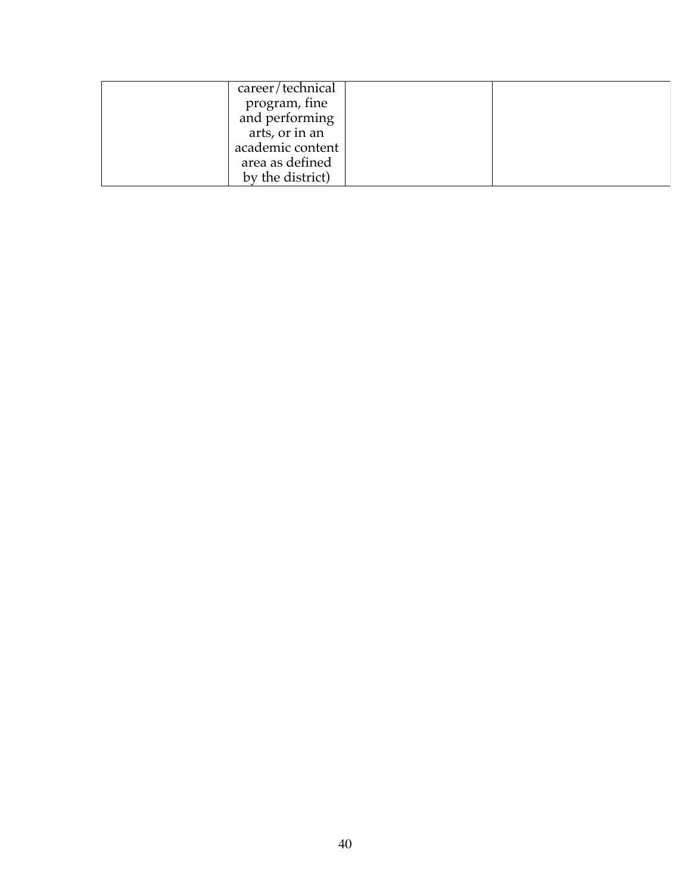| career/technical |  |
|------------------|--|
| program, fine    |  |
| and performing   |  |
| arts, or in an   |  |
| academic content |  |
| area as defined  |  |
| by the district) |  |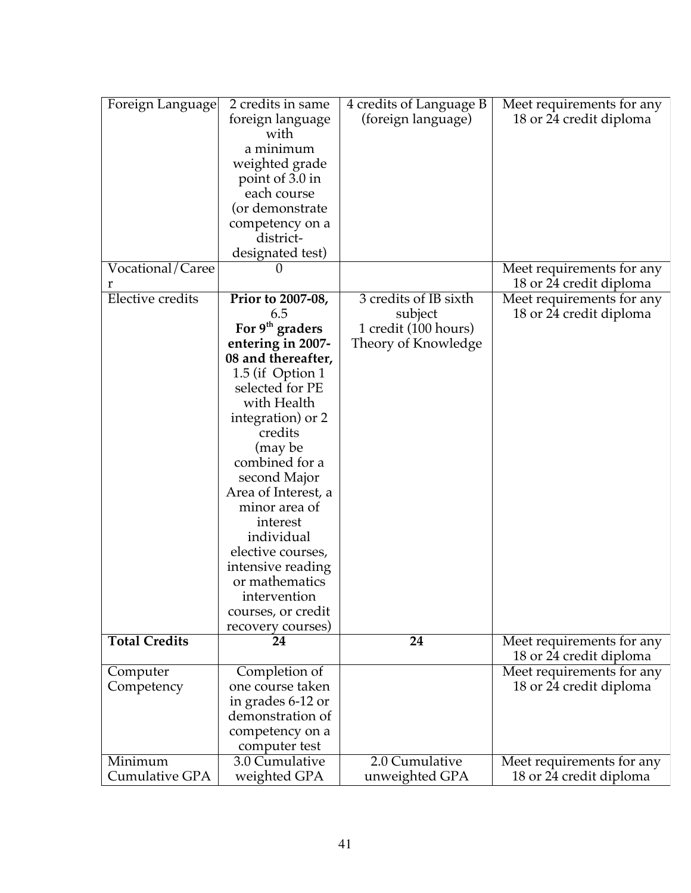| Foreign Language          | 2 credits in same<br>foreign language<br>with<br>a minimum<br>weighted grade<br>point of 3.0 in<br>each course<br>(or demonstrate<br>competency on a<br>district-                                                                                                                                                                                                                                                               | 4 credits of Language B<br>(foreign language)                                   | Meet requirements for any<br>18 or 24 credit diploma |
|---------------------------|---------------------------------------------------------------------------------------------------------------------------------------------------------------------------------------------------------------------------------------------------------------------------------------------------------------------------------------------------------------------------------------------------------------------------------|---------------------------------------------------------------------------------|------------------------------------------------------|
|                           | designated test)                                                                                                                                                                                                                                                                                                                                                                                                                |                                                                                 |                                                      |
| Vocational/Caree<br>r     |                                                                                                                                                                                                                                                                                                                                                                                                                                 |                                                                                 | Meet requirements for any<br>18 or 24 credit diploma |
| <b>Elective credits</b>   | Prior to 2007-08,<br>6.5<br>For 9 <sup>th</sup> graders<br>entering in 2007-<br>08 and thereafter,<br>1.5 (if Option 1<br>selected for PE<br>with Health<br>integration) or 2<br>credits<br>(may be)<br>combined for a<br>second Major<br>Area of Interest, a<br>minor area of<br>interest<br>individual<br>elective courses,<br>intensive reading<br>or mathematics<br>intervention<br>courses, or credit<br>recovery courses) | 3 credits of IB sixth<br>subject<br>1 credit (100 hours)<br>Theory of Knowledge | Meet requirements for any<br>18 or 24 credit diploma |
| <b>Total Credits</b>      | 24                                                                                                                                                                                                                                                                                                                                                                                                                              | 24                                                                              | Meet requirements for any<br>18 or 24 credit diploma |
| Computer<br>Competency    | Completion of<br>one course taken<br>in grades 6-12 or<br>demonstration of<br>competency on a<br>computer test                                                                                                                                                                                                                                                                                                                  |                                                                                 | Meet requirements for any<br>18 or 24 credit diploma |
| Minimum<br>Cumulative GPA | 3.0 Cumulative<br>weighted GPA                                                                                                                                                                                                                                                                                                                                                                                                  | 2.0 Cumulative<br>unweighted GPA                                                | Meet requirements for any<br>18 or 24 credit diploma |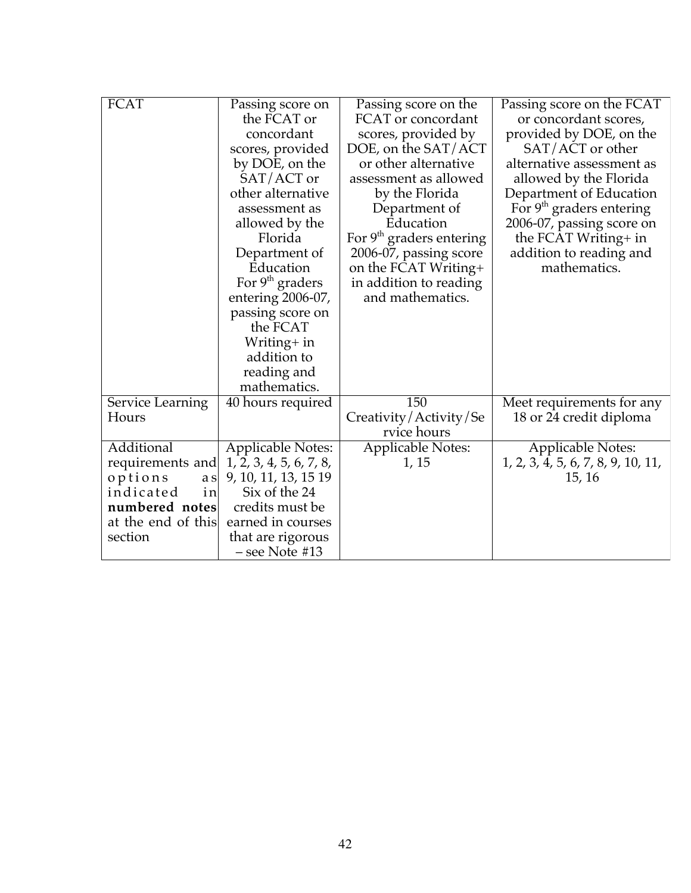| FCAT                                                                                                                   | Passing score on<br>the FCAT or<br>concordant<br>scores, provided<br>by DOE, on the<br>SAT/ACT or<br>other alternative<br>assessment as<br>allowed by the<br>Florida        | Passing score on the<br>FCAT or concordant<br>scores, provided by<br>DOE, on the SAT/ACT<br>or other alternative<br>assessment as allowed<br>by the Florida<br>Department of<br>Education<br>For $9th$ graders entering | Passing score on the FCAT<br>or concordant scores,<br>provided by DOE, on the<br>$SAT/ACT$ or other<br>alternative assessment as<br>allowed by the Florida<br>Department of Education<br>For $9th$ graders entering<br>2006-07, passing score on<br>the FCAT Writing+ in |
|------------------------------------------------------------------------------------------------------------------------|-----------------------------------------------------------------------------------------------------------------------------------------------------------------------------|-------------------------------------------------------------------------------------------------------------------------------------------------------------------------------------------------------------------------|--------------------------------------------------------------------------------------------------------------------------------------------------------------------------------------------------------------------------------------------------------------------------|
|                                                                                                                        | Department of<br>Education<br>For 9 <sup>th</sup> graders<br>entering 2006-07,<br>passing score on<br>the FCAT<br>Writing+ in<br>addition to<br>reading and<br>mathematics. | 2006-07, passing score<br>on the FCAT Writing+<br>in addition to reading<br>and mathematics.                                                                                                                            | addition to reading and<br>mathematics.                                                                                                                                                                                                                                  |
| Service Learning<br>Hours                                                                                              | 40 hours required                                                                                                                                                           | 150<br>Creativity/Activity/Se<br>rvice hours                                                                                                                                                                            | Meet requirements for any<br>18 or 24 credit diploma                                                                                                                                                                                                                     |
| Additional<br>requirements and<br>options<br>a s<br>indicated<br>in<br>numbered notes<br>at the end of this<br>section | Applicable Notes:<br>1, 2, 3, 4, 5, 6, 7, 8,<br>9, 10, 11, 13, 15 19<br>Six of the 24<br>credits must be<br>earned in courses<br>that are rigorous<br>- see Note #13        | <b>Applicable Notes:</b><br>1, 15                                                                                                                                                                                       | <b>Applicable Notes:</b><br>1, 2, 3, 4, 5, 6, 7, 8, 9, 10, 11,<br>15, 16                                                                                                                                                                                                 |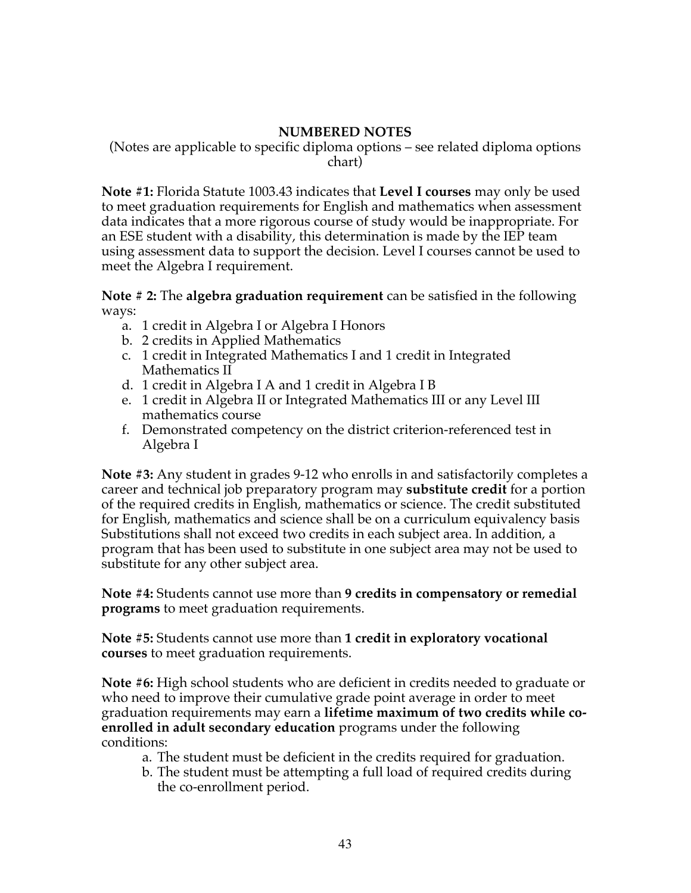# **NUMBERED NOTES**

(Notes are applicable to specific diploma options – see related diploma options chart)

**Note #1:** Florida Statute 1003.43 indicates that **Level I courses** may only be used to meet graduation requirements for English and mathematics when assessment data indicates that a more rigorous course of study would be inappropriate. For an ESE student with a disability, this determination is made by the IEP team using assessment data to support the decision. Level I courses cannot be used to meet the Algebra I requirement.

### **Note # 2:** The **algebra graduation requirement** can be satisfied in the following ways:

- a. 1 credit in Algebra I or Algebra I Honors
- b. 2 credits in Applied Mathematics
- c. 1 credit in Integrated Mathematics I and 1 credit in Integrated Mathematics II
- d. 1 credit in Algebra I A and 1 credit in Algebra I B
- e. 1 credit in Algebra II or Integrated Mathematics III or any Level III mathematics course
- f. Demonstrated competency on the district criterion-referenced test in Algebra I

**Note #3:** Any student in grades 9-12 who enrolls in and satisfactorily completes a career and technical job preparatory program may **substitute credit** for a portion of the required credits in English, mathematics or science. The credit substituted for English, mathematics and science shall be on a curriculum equivalency basis Substitutions shall not exceed two credits in each subject area. In addition, a program that has been used to substitute in one subject area may not be used to substitute for any other subject area.

**Note #4:** Students cannot use more than **9 credits in compensatory or remedial programs** to meet graduation requirements.

**Note #5:** Students cannot use more than **1 credit in exploratory vocational courses** to meet graduation requirements.

**Note #6:** High school students who are deficient in credits needed to graduate or who need to improve their cumulative grade point average in order to meet graduation requirements may earn a **lifetime maximum of two credits while coenrolled in adult secondary education** programs under the following conditions:

- a. The student must be deficient in the credits required for graduation.
- b. The student must be attempting a full load of required credits during the co-enrollment period.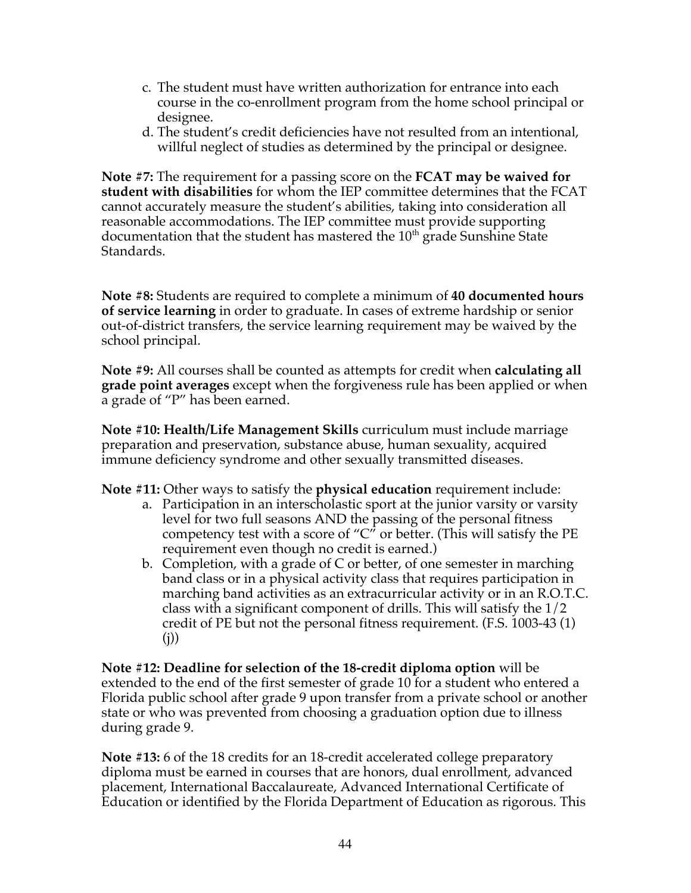- c. The student must have written authorization for entrance into each course in the co-enrollment program from the home school principal or designee.
- d. The student's credit deficiencies have not resulted from an intentional, willful neglect of studies as determined by the principal or designee.

**Note #7:** The requirement for a passing score on the **FCAT may be waived for student with disabilities** for whom the IEP committee determines that the FCAT cannot accurately measure the student's abilities, taking into consideration all reasonable accommodations. The IEP committee must provide supporting documentation that the student has mastered the  $10<sup>th</sup>$  grade Sunshine State Standards.

**Note #8:** Students are required to complete a minimum of **40 documented hours of service learning** in order to graduate. In cases of extreme hardship or senior out-of-district transfers, the service learning requirement may be waived by the school principal.

**Note #9:** All courses shall be counted as attempts for credit when **calculating all grade point averages** except when the forgiveness rule has been applied or when a grade of "P" has been earned.

**Note #10: Health/Life Management Skills** curriculum must include marriage preparation and preservation, substance abuse, human sexuality, acquired immune deficiency syndrome and other sexually transmitted diseases.

**Note #11:** Other ways to satisfy the **physical education** requirement include:

- a. Participation in an interscholastic sport at the junior varsity or varsity level for two full seasons AND the passing of the personal fitness competency test with a score of " $C$ " or better. (This will satisfy the PE requirement even though no credit is earned.)
- b. Completion, with a grade of C or better, of one semester in marching band class or in a physical activity class that requires participation in marching band activities as an extracurricular activity or in an R.O.T.C. class with a significant component of drills. This will satisfy the 1/2 credit of PE but not the personal fitness requirement. (F.S. 1003-43 (1) (j))

**Note #12: Deadline for selection of the 18-credit diploma option** will be extended to the end of the first semester of grade 10 for a student who entered a Florida public school after grade 9 upon transfer from a private school or another state or who was prevented from choosing a graduation option due to illness during grade 9.

**Note #13:** 6 of the 18 credits for an 18-credit accelerated college preparatory diploma must be earned in courses that are honors, dual enrollment, advanced placement, International Baccalaureate, Advanced International Certificate of Education or identified by the Florida Department of Education as rigorous. This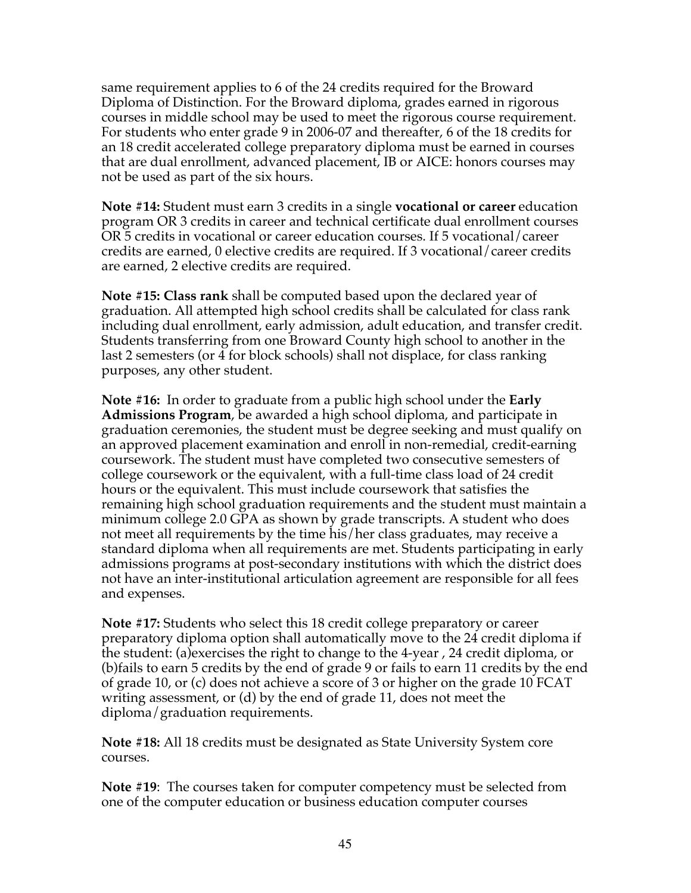same requirement applies to 6 of the 24 credits required for the Broward Diploma of Distinction. For the Broward diploma, grades earned in rigorous courses in middle school may be used to meet the rigorous course requirement. For students who enter grade 9 in 2006-07 and thereafter, 6 of the 18 credits for an 18 credit accelerated college preparatory diploma must be earned in courses that are dual enrollment, advanced placement, IB or AICE: honors courses may not be used as part of the six hours.

**Note #14:** Student must earn 3 credits in a single **vocational or career** education program OR 3 credits in career and technical certificate dual enrollment courses OR 5 credits in vocational or career education courses. If 5 vocational/career credits are earned, 0 elective credits are required. If 3 vocational/career credits are earned, 2 elective credits are required.

**Note #15: Class rank** shall be computed based upon the declared year of graduation. All attempted high school credits shall be calculated for class rank including dual enrollment, early admission, adult education, and transfer credit. Students transferring from one Broward County high school to another in the last 2 semesters (or 4 for block schools) shall not displace, for class ranking purposes, any other student.

**Note #16:** In order to graduate from a public high school under the **Early Admissions Program**, be awarded a high school diploma, and participate in graduation ceremonies, the student must be degree seeking and must qualify on an approved placement examination and enroll in non-remedial, credit-earning coursework. The student must have completed two consecutive semesters of college coursework or the equivalent, with a full-time class load of 24 credit hours or the equivalent. This must include coursework that satisfies the remaining high school graduation requirements and the student must maintain a minimum college 2.0 GPA as shown by grade transcripts. A student who does not meet all requirements by the time his/her class graduates, may receive a standard diploma when all requirements are met. Students participating in early admissions programs at post-secondary institutions with which the district does not have an inter-institutional articulation agreement are responsible for all fees and expenses.

**Note #17:** Students who select this 18 credit college preparatory or career preparatory diploma option shall automatically move to the 24 credit diploma if the student: (a)exercises the right to change to the 4-year , 24 credit diploma, or (b)fails to earn 5 credits by the end of grade 9 or fails to earn 11 credits by the end of grade 10, or (c) does not achieve a score of 3 or higher on the grade 10 FCAT writing assessment, or (d) by the end of grade 11, does not meet the diploma/graduation requirements.

**Note #18:** All 18 credits must be designated as State University System core courses.

**Note #19**: The courses taken for computer competency must be selected from one of the computer education or business education computer courses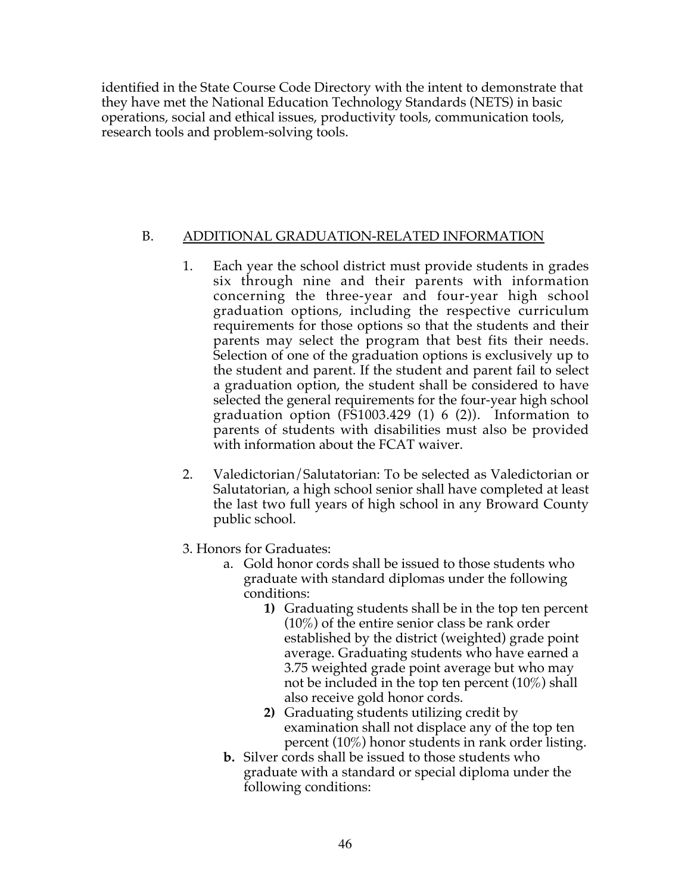identified in the State Course Code Directory with the intent to demonstrate that they have met the National Education Technology Standards (NETS) in basic operations, social and ethical issues, productivity tools, communication tools, research tools and problem-solving tools.

# B. ADDITIONAL GRADUATION-RELATED INFORMATION

- 1. Each year the school district must provide students in grades six through nine and their parents with information concerning the three-year and four-year high school graduation options, including the respective curriculum requirements for those options so that the students and their parents may select the program that best fits their needs. Selection of one of the graduation options is exclusively up to the student and parent. If the student and parent fail to select a graduation option, the student shall be considered to have selected the general requirements for the four-year high school graduation option (FS1003.429 (1) 6 (2)). Information to parents of students with disabilities must also be provided with information about the FCAT waiver.
- 2. Valedictorian/Salutatorian: To be selected as Valedictorian or Salutatorian, a high school senior shall have completed at least the last two full years of high school in any Broward County public school.
- 3. Honors for Graduates:
	- a. Gold honor cords shall be issued to those students who graduate with standard diplomas under the following conditions:
		- **1)** Graduating students shall be in the top ten percent (10%) of the entire senior class be rank order established by the district (weighted) grade point average. Graduating students who have earned a 3.75 weighted grade point average but who may not be included in the top ten percent (10%) shall also receive gold honor cords.
		- **2)** Graduating students utilizing credit by examination shall not displace any of the top ten percent (10%) honor students in rank order listing.
	- **b.** Silver cords shall be issued to those students who graduate with a standard or special diploma under the following conditions: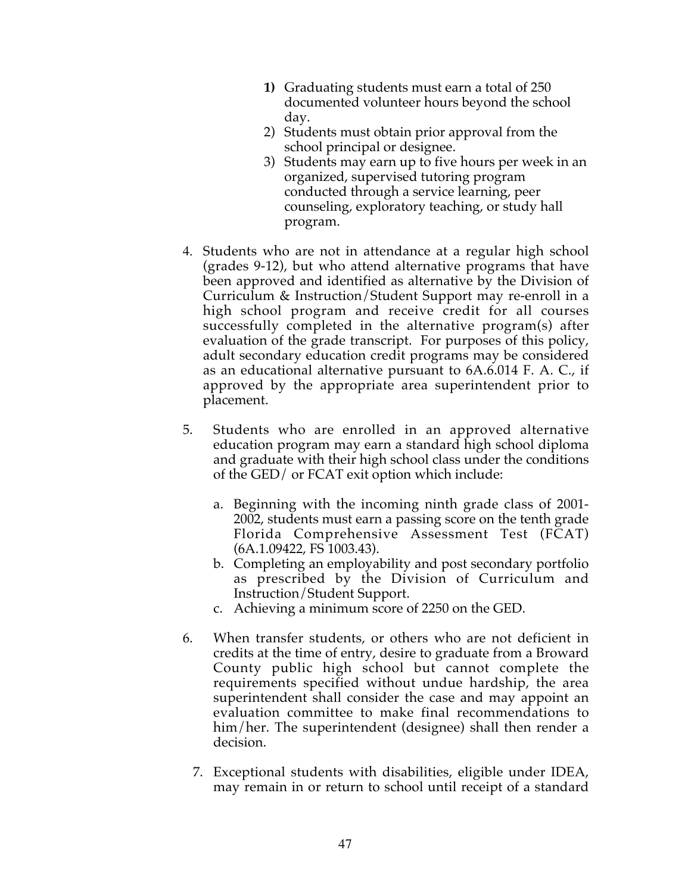- **1)** Graduating students must earn a total of 250 documented volunteer hours beyond the school day.
- 2) Students must obtain prior approval from the school principal or designee.
- 3) Students may earn up to five hours per week in an organized, supervised tutoring program conducted through a service learning, peer counseling, exploratory teaching, or study hall program.
- 4. Students who are not in attendance at a regular high school (grades 9-12), but who attend alternative programs that have been approved and identified as alternative by the Division of Curriculum & Instruction/Student Support may re-enroll in a high school program and receive credit for all courses successfully completed in the alternative program(s) after evaluation of the grade transcript. For purposes of this policy, adult secondary education credit programs may be considered as an educational alternative pursuant to 6A.6.014 F. A. C., if approved by the appropriate area superintendent prior to placement.
- 5. Students who are enrolled in an approved alternative education program may earn a standard high school diploma and graduate with their high school class under the conditions of the GED/ or FCAT exit option which include:
	- a. Beginning with the incoming ninth grade class of 2001- 2002, students must earn a passing score on the tenth grade Florida Comprehensive Assessment Test (FCAT) (6A.1.09422, FS 1003.43).
	- b. Completing an employability and post secondary portfolio as prescribed by the Division of Curriculum and Instruction/Student Support.
	- c. Achieving a minimum score of 2250 on the GED.
- 6. When transfer students, or others who are not deficient in credits at the time of entry, desire to graduate from a Broward County public high school but cannot complete the requirements specified without undue hardship, the area superintendent shall consider the case and may appoint an evaluation committee to make final recommendations to him/her. The superintendent (designee) shall then render a decision.
	- 7. Exceptional students with disabilities, eligible under IDEA, may remain in or return to school until receipt of a standard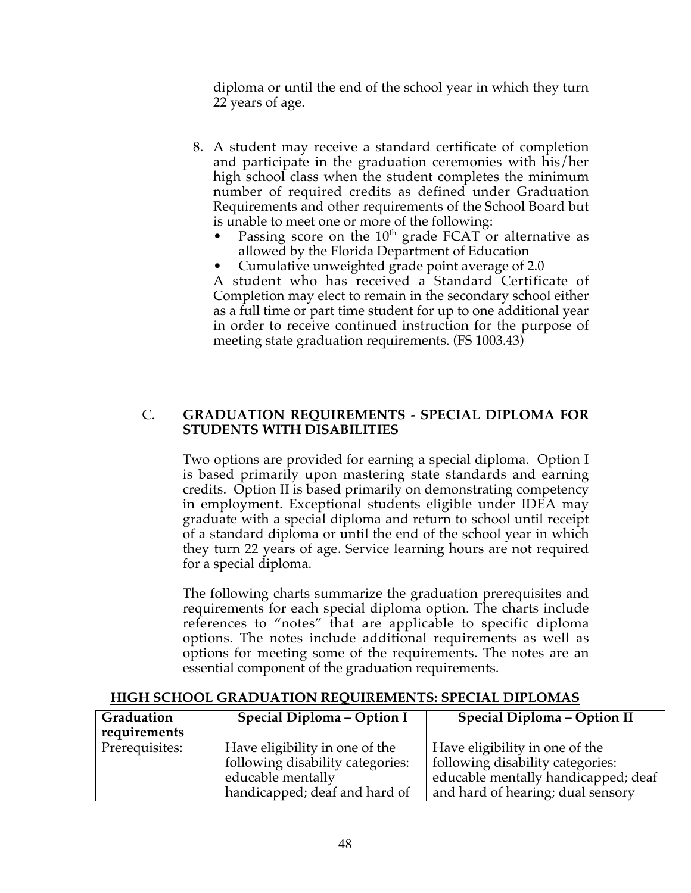diploma or until the end of the school year in which they turn 22 years of age.

- 8. A student may receive a standard certificate of completion and participate in the graduation ceremonies with his/her high school class when the student completes the minimum number of required credits as defined under Graduation Requirements and other requirements of the School Board but is unable to meet one or more of the following:
	- Passing score on the  $10<sup>th</sup>$  grade FCAT or alternative as allowed by the Florida Department of Education
	- Cumulative unweighted grade point average of 2.0

A student who has received a Standard Certificate of Completion may elect to remain in the secondary school either as a full time or part time student for up to one additional year in order to receive continued instruction for the purpose of meeting state graduation requirements. (FS 1003.43)

## C. **GRADUATION REQUIREMENTS - SPECIAL DIPLOMA FOR STUDENTS WITH DISABILITIES**

Two options are provided for earning a special diploma. Option I is based primarily upon mastering state standards and earning credits. Option II is based primarily on demonstrating competency in employment. Exceptional students eligible under IDEA may graduate with a special diploma and return to school until receipt of a standard diploma or until the end of the school year in which they turn 22 years of age. Service learning hours are not required for a special diploma.

The following charts summarize the graduation prerequisites and requirements for each special diploma option. The charts include references to "notes" that are applicable to specific diploma options. The notes include additional requirements as well as options for meeting some of the requirements. The notes are an essential component of the graduation requirements.

| Graduation<br>requirements | Special Diploma - Option I       | Special Diploma - Option II         |
|----------------------------|----------------------------------|-------------------------------------|
| Prerequisites:             | Have eligibility in one of the   | Have eligibility in one of the      |
|                            | following disability categories: | following disability categories:    |
|                            | educable mentally                | educable mentally handicapped; deaf |
|                            | handicapped; deaf and hard of    | and hard of hearing; dual sensory   |

## **HIGH SCHOOL GRADUATION REQUIREMENTS: SPECIAL DIPLOMAS**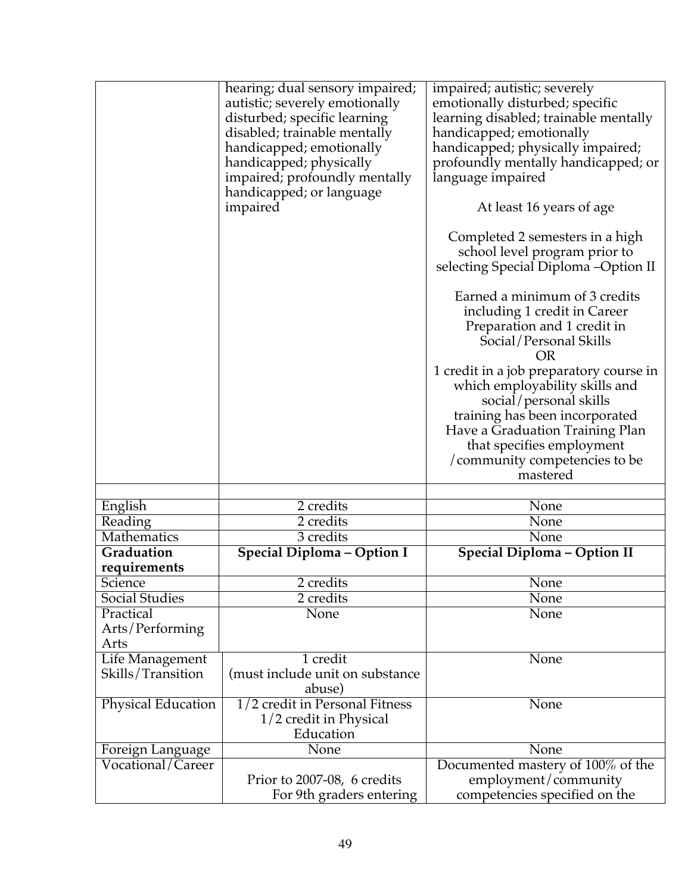|                                      | hearing; dual sensory impaired;<br>autistic; severely emotionally<br>disturbed; specific learning<br>disabled; trainable mentally<br>handicapped; emotionally<br>handicapped; physically<br>impaired; profoundly mentally<br>handicapped; or language<br>impaired | impaired; autistic; severely<br>emotionally disturbed; specific<br>learning disabled; trainable mentally<br>handicapped; emotionally<br>handicapped; physically impaired;<br>profoundly mentally handicapped; or<br>language impaired<br>At least 16 years of age<br>Completed 2 semesters in a high<br>school level program prior to<br>selecting Special Diploma - Option II<br>Earned a minimum of 3 credits<br>including 1 credit in Career<br>Preparation and 1 credit in<br>Social/Personal Skills<br>OR<br>1 credit in a job preparatory course in<br>which employability skills and<br>social/personal skills<br>training has been incorporated<br>Have a Graduation Training Plan |
|--------------------------------------|-------------------------------------------------------------------------------------------------------------------------------------------------------------------------------------------------------------------------------------------------------------------|--------------------------------------------------------------------------------------------------------------------------------------------------------------------------------------------------------------------------------------------------------------------------------------------------------------------------------------------------------------------------------------------------------------------------------------------------------------------------------------------------------------------------------------------------------------------------------------------------------------------------------------------------------------------------------------------|
|                                      |                                                                                                                                                                                                                                                                   | that specifies employment<br>/ community competencies to be<br>mastered                                                                                                                                                                                                                                                                                                                                                                                                                                                                                                                                                                                                                    |
|                                      |                                                                                                                                                                                                                                                                   |                                                                                                                                                                                                                                                                                                                                                                                                                                                                                                                                                                                                                                                                                            |
| English                              | 2 credits                                                                                                                                                                                                                                                         | None                                                                                                                                                                                                                                                                                                                                                                                                                                                                                                                                                                                                                                                                                       |
| Reading                              | 2 credits                                                                                                                                                                                                                                                         | None                                                                                                                                                                                                                                                                                                                                                                                                                                                                                                                                                                                                                                                                                       |
| Mathematics                          | $3$ credits                                                                                                                                                                                                                                                       | None                                                                                                                                                                                                                                                                                                                                                                                                                                                                                                                                                                                                                                                                                       |
| Graduation                           | Special Diploma - Option I                                                                                                                                                                                                                                        | Special Diploma - Option II                                                                                                                                                                                                                                                                                                                                                                                                                                                                                                                                                                                                                                                                |
| requirements                         |                                                                                                                                                                                                                                                                   |                                                                                                                                                                                                                                                                                                                                                                                                                                                                                                                                                                                                                                                                                            |
| Science                              | 2 credits                                                                                                                                                                                                                                                         | None                                                                                                                                                                                                                                                                                                                                                                                                                                                                                                                                                                                                                                                                                       |
| Social Studies                       | 2 credits                                                                                                                                                                                                                                                         | None                                                                                                                                                                                                                                                                                                                                                                                                                                                                                                                                                                                                                                                                                       |
| Practical<br>Arts/Performing<br>Arts | None                                                                                                                                                                                                                                                              | None                                                                                                                                                                                                                                                                                                                                                                                                                                                                                                                                                                                                                                                                                       |
| Life Management<br>Skills/Transition | $1$ credit<br>(must include unit on substance<br>abuse)                                                                                                                                                                                                           | None                                                                                                                                                                                                                                                                                                                                                                                                                                                                                                                                                                                                                                                                                       |
| Physical Education                   | 1/2 credit in Personal Fitness<br>1/2 credit in Physical<br>Education                                                                                                                                                                                             | None                                                                                                                                                                                                                                                                                                                                                                                                                                                                                                                                                                                                                                                                                       |
| Foreign Language                     | None                                                                                                                                                                                                                                                              | <b>None</b>                                                                                                                                                                                                                                                                                                                                                                                                                                                                                                                                                                                                                                                                                |
| Vocational/Career                    | Prior to 2007-08, 6 credits<br>For 9th graders entering                                                                                                                                                                                                           | Documented mastery of 100% of the<br>employment/community<br>competencies specified on the                                                                                                                                                                                                                                                                                                                                                                                                                                                                                                                                                                                                 |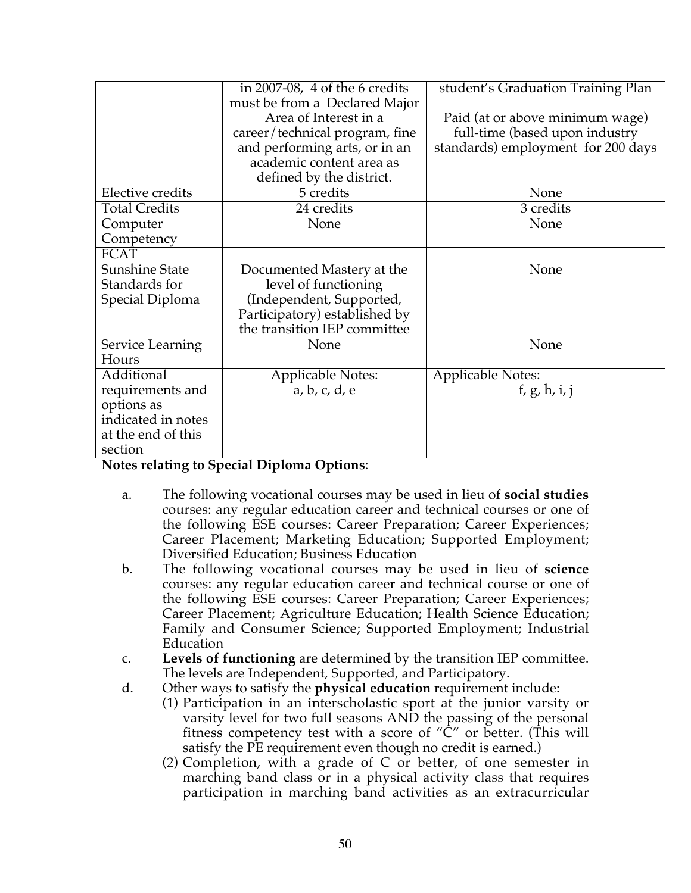|                         | in $2007-08$ , 4 of the 6 credits | student's Graduation Training Plan |
|-------------------------|-----------------------------------|------------------------------------|
|                         | must be from a Declared Major     |                                    |
|                         | Area of Interest in a             | Paid (at or above minimum wage)    |
|                         | career/technical program, fine    | full-time (based upon industry     |
|                         | and performing arts, or in an     | standards) employment for 200 days |
|                         | academic content area as          |                                    |
|                         | defined by the district.          |                                    |
| Elective credits        | 5 credits                         | None                               |
| <b>Total Credits</b>    | 24 credits                        | 3 credits                          |
| Computer                | None                              | None                               |
| Competency              |                                   |                                    |
| <b>FCAT</b>             |                                   |                                    |
| <b>Sunshine State</b>   | Documented Mastery at the         | None                               |
| Standards for           | level of functioning              |                                    |
| Special Diploma         | (Independent, Supported,          |                                    |
|                         | Participatory) established by     |                                    |
|                         | the transition IEP committee      |                                    |
| <b>Service Learning</b> | None                              | None                               |
| Hours                   |                                   |                                    |
| Additional              | <b>Applicable Notes:</b>          | <b>Applicable Notes:</b>           |
| requirements and        | a, b, c, d, e                     | f, g, h, i, j                      |
| options as              |                                   |                                    |
| indicated in notes      |                                   |                                    |
| at the end of this      |                                   |                                    |
| section                 |                                   |                                    |

**Notes relating to Special Diploma Options**:

- a. The following vocational courses may be used in lieu of **social studies** courses: any regular education career and technical courses or one of the following ESE courses: Career Preparation; Career Experiences; Career Placement; Marketing Education; Supported Employment; Diversified Education; Business Education
- b. The following vocational courses may be used in lieu of **science** courses: any regular education career and technical course or one of the following ESE courses: Career Preparation; Career Experiences; Career Placement; Agriculture Education; Health Science Education; Family and Consumer Science; Supported Employment; Industrial Education
- c. **Levels of functioning** are determined by the transition IEP committee. The levels are Independent, Supported, and Participatory.
- d. Other ways to satisfy the **physical education** requirement include:
	- (1) Participation in an interscholastic sport at the junior varsity or varsity level for two full seasons AND the passing of the personal fitness competency test with a score of " $\tilde{C}$ " or better. (This will satisfy the PE requirement even though no credit is earned.)
	- (2) Completion, with a grade of C or better, of one semester in marching band class or in a physical activity class that requires participation in marching band activities as an extracurricular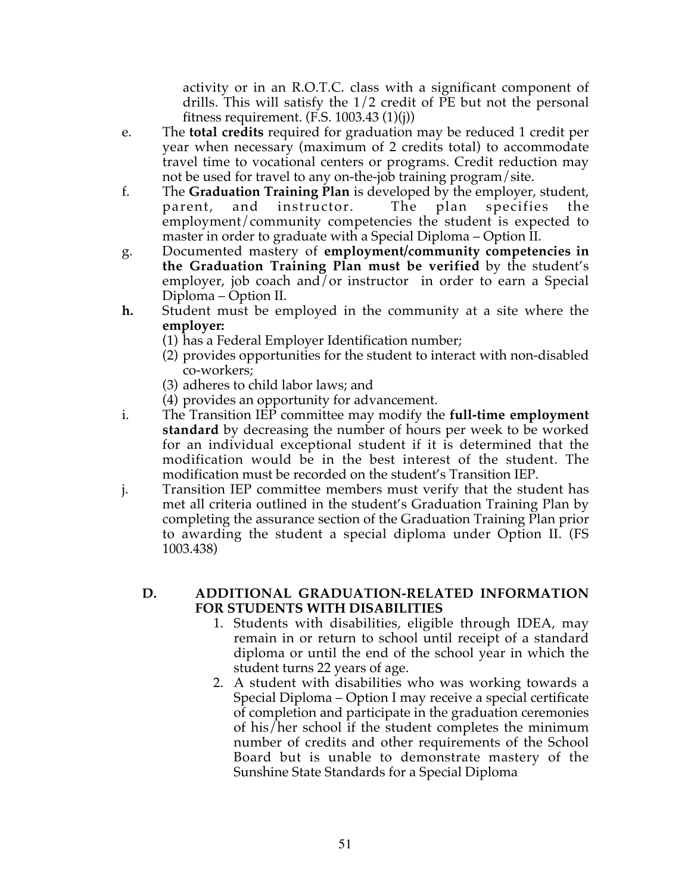activity or in an R.O.T.C. class with a significant component of drills. This will satisfy the 1/2 credit of PE but not the personal fitness requirement.  $(F.S. 1003.43 (1)(i))$ 

- e. The **total credits** required for graduation may be reduced 1 credit per year when necessary (maximum of 2 credits total) to accommodate travel time to vocational centers or programs. Credit reduction may not be used for travel to any on-the-job training program/site.
- f. The **Graduation Training Plan** is developed by the employer, student, parent, and instructor. The plan specifies the employment/community competencies the student is expected to master in order to graduate with a Special Diploma – Option II.
- g. Documented mastery of **employment/community competencies in the Graduation Training Plan must be verified** by the student's employer, job coach and/or instructor in order to earn a Special Diploma – Option II.
- **h.** Student must be employed in the community at a site where the **employer:**
	- (1) has a Federal Employer Identification number;
	- (2) provides opportunities for the student to interact with non-disabled co-workers;
	- (3) adheres to child labor laws; and
	- (4) provides an opportunity for advancement.
- i. The Transition IEP committee may modify the **full-time employment standard** by decreasing the number of hours per week to be worked for an individual exceptional student if it is determined that the modification would be in the best interest of the student. The modification must be recorded on the student's Transition IEP.
- j. Transition IEP committee members must verify that the student has met all criteria outlined in the student's Graduation Training Plan by completing the assurance section of the Graduation Training Plan prior to awarding the student a special diploma under Option II. (FS 1003.438)

## **D. ADDITIONAL GRADUATION-RELATED INFORMATION FOR STUDENTS WITH DISABILITIES**

- 1. Students with disabilities, eligible through IDEA, may remain in or return to school until receipt of a standard diploma or until the end of the school year in which the student turns 22 years of age.
- 2. A student with disabilities who was working towards a Special Diploma – Option I may receive a special certificate of completion and participate in the graduation ceremonies of his/her school if the student completes the minimum number of credits and other requirements of the School Board but is unable to demonstrate mastery of the Sunshine State Standards for a Special Diploma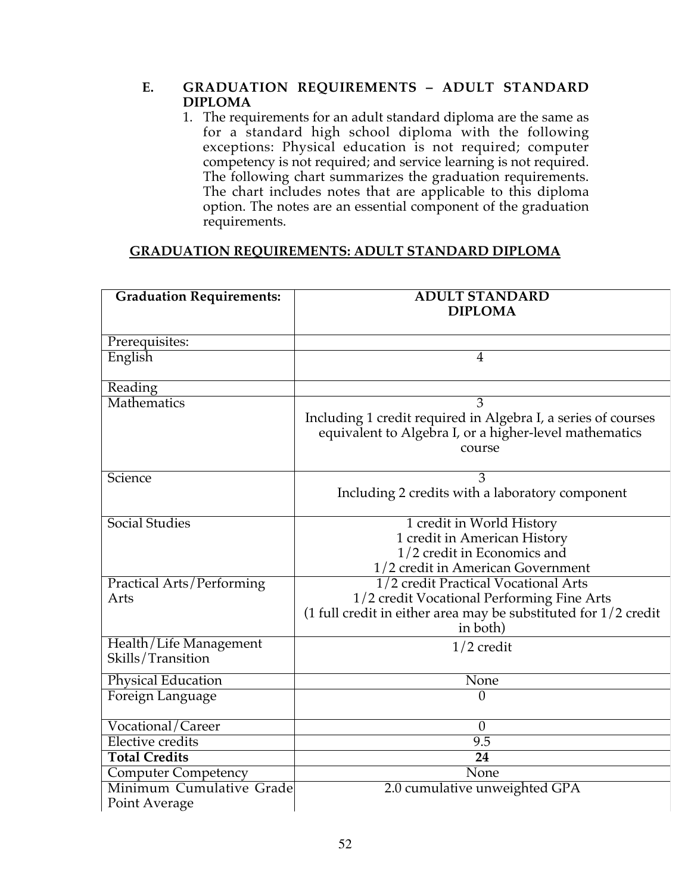## **E. GRADUATION REQUIREMENTS – ADULT STANDARD DIPLOMA**

1. The requirements for an adult standard diploma are the same as for a standard high school diploma with the following exceptions: Physical education is not required; computer competency is not required; and service learning is not required. The following chart summarizes the graduation requirements. The chart includes notes that are applicable to this diploma option. The notes are an essential component of the graduation requirements.

# **GRADUATION REQUIREMENTS: ADULT STANDARD DIPLOMA**

| <b>Graduation Requirements:</b>             | <b>ADULT STANDARD</b>                                                                                                                                               |
|---------------------------------------------|---------------------------------------------------------------------------------------------------------------------------------------------------------------------|
|                                             | <b>DIPLOMA</b>                                                                                                                                                      |
|                                             |                                                                                                                                                                     |
| Prerequisites:                              |                                                                                                                                                                     |
| English                                     | 4                                                                                                                                                                   |
| Reading                                     |                                                                                                                                                                     |
| Mathematics                                 | 3<br>Including 1 credit required in Algebra I, a series of courses<br>equivalent to Algebra I, or a higher-level mathematics<br>course                              |
| Science                                     | 3<br>Including 2 credits with a laboratory component                                                                                                                |
| <b>Social Studies</b>                       | 1 credit in World History<br>1 credit in American History<br>1/2 credit in Economics and<br>1/2 credit in American Government                                       |
| Practical Arts/Performing<br>Arts           | 1/2 credit Practical Vocational Arts<br>1/2 credit Vocational Performing Fine Arts<br>(1 full credit in either area may be substituted for $1/2$ credit<br>in both) |
| Health/Life Management<br>Skills/Transition | $1/2$ credit                                                                                                                                                        |
| Physical Education                          | None                                                                                                                                                                |
| Foreign Language                            | 0                                                                                                                                                                   |
| Vocational/Career                           | $\theta$                                                                                                                                                            |
| <b>Elective credits</b>                     | 9.5                                                                                                                                                                 |
| <b>Total Credits</b>                        | 24                                                                                                                                                                  |
| <b>Computer Competency</b>                  | None                                                                                                                                                                |
| Minimum Cumulative Grade<br>Point Average   | 2.0 cumulative unweighted GPA                                                                                                                                       |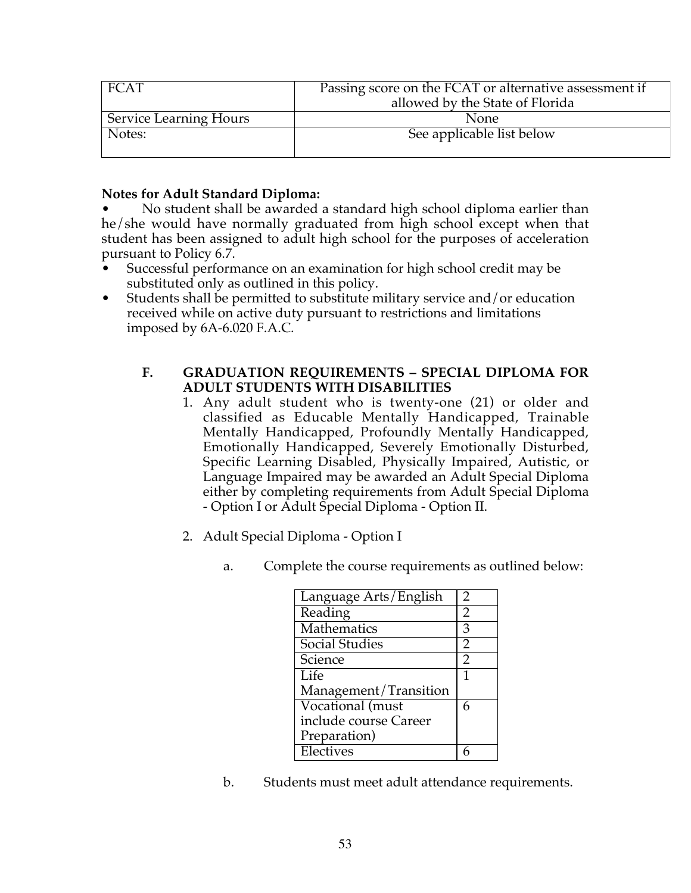| <b>FCAT</b>                   | Passing score on the FCAT or alternative assessment if<br>allowed by the State of Florida |
|-------------------------------|-------------------------------------------------------------------------------------------|
| <b>Service Learning Hours</b> | None.                                                                                     |
| Notes:                        | See applicable list below                                                                 |

### **Notes for Adult Standard Diploma:**

• No student shall be awarded a standard high school diploma earlier than he/she would have normally graduated from high school except when that student has been assigned to adult high school for the purposes of acceleration pursuant to Policy 6.7.

- Successful performance on an examination for high school credit may be substituted only as outlined in this policy.
- Students shall be permitted to substitute military service and/or education received while on active duty pursuant to restrictions and limitations imposed by 6A-6.020 F.A.C.

### **F. GRADUATION REQUIREMENTS – SPECIAL DIPLOMA FOR ADULT STUDENTS WITH DISABILITIES**

- 1. Any adult student who is twenty-one (21) or older and classified as Educable Mentally Handicapped, Trainable Mentally Handicapped, Profoundly Mentally Handicapped, Emotionally Handicapped, Severely Emotionally Disturbed, Specific Learning Disabled, Physically Impaired, Autistic, or Language Impaired may be awarded an Adult Special Diploma either by completing requirements from Adult Special Diploma - Option I or Adult Special Diploma - Option II.
- 2. Adult Special Diploma Option I
	- a. Complete the course requirements as outlined below:

| Language Arts/English | 2              |
|-----------------------|----------------|
| Reading               | $\overline{2}$ |
| <b>Mathematics</b>    | 3              |
| <b>Social Studies</b> | $\overline{2}$ |
| Science               | $\overline{2}$ |
| Life                  | 1              |
| Management/Transition |                |
| Vocational (must      | 6              |
| include course Career |                |
| Preparation)          |                |
| Electives             |                |

b. Students must meet adult attendance requirements.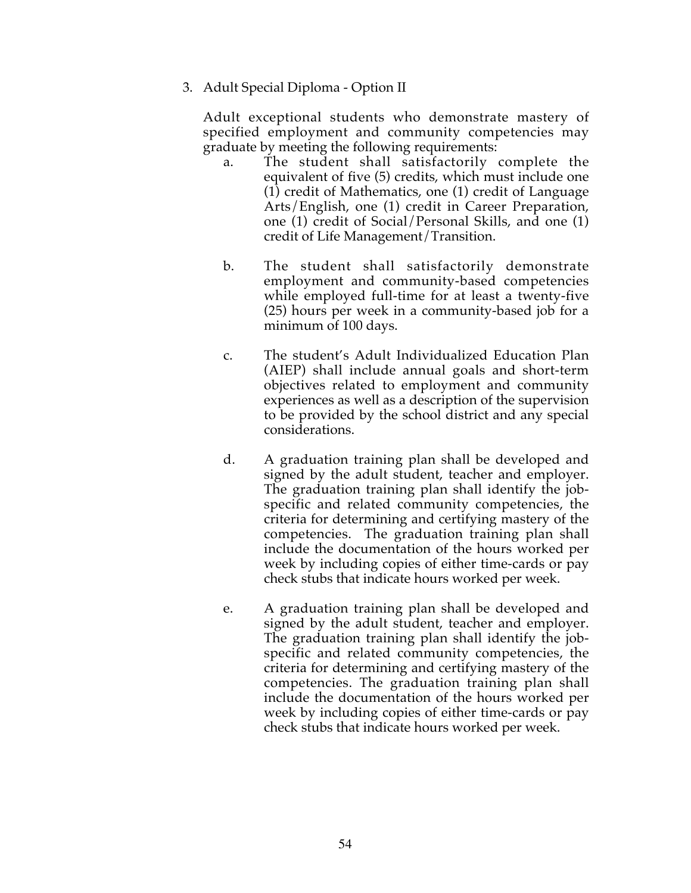3. Adult Special Diploma - Option II

Adult exceptional students who demonstrate mastery of specified employment and community competencies may graduate by meeting the following requirements:

- a. The student shall satisfactorily complete the equivalent of five (5) credits, which must include one (1) credit of Mathematics, one (1) credit of Language Arts/English, one (1) credit in Career Preparation, one (1) credit of Social/Personal Skills, and one (1) credit of Life Management/Transition.
- b. The student shall satisfactorily demonstrate employment and community-based competencies while employed full-time for at least a twenty-five (25) hours per week in a community-based job for a minimum of 100 days.
- c. The student's Adult Individualized Education Plan (AIEP) shall include annual goals and short-term objectives related to employment and community experiences as well as a description of the supervision to be provided by the school district and any special considerations.
- d. A graduation training plan shall be developed and signed by the adult student, teacher and employer. The graduation training plan shall identify the jobspecific and related community competencies, the criteria for determining and certifying mastery of the competencies. The graduation training plan shall include the documentation of the hours worked per week by including copies of either time-cards or pay check stubs that indicate hours worked per week.
- e. A graduation training plan shall be developed and signed by the adult student, teacher and employer. The graduation training plan shall identify the jobspecific and related community competencies, the criteria for determining and certifying mastery of the competencies. The graduation training plan shall include the documentation of the hours worked per week by including copies of either time-cards or pay check stubs that indicate hours worked per week.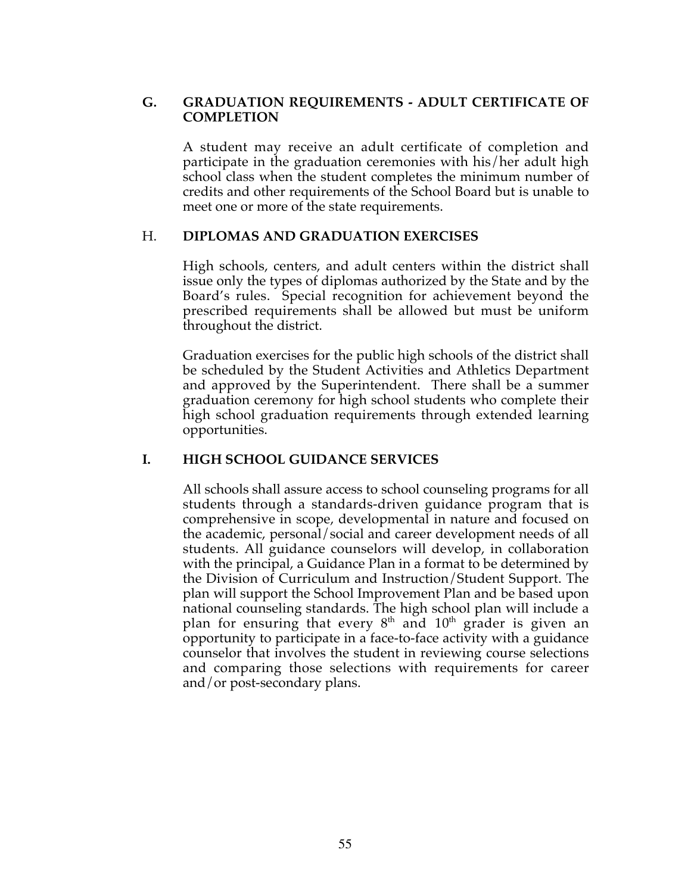### **G. GRADUATION REQUIREMENTS - ADULT CERTIFICATE OF COMPLETION**

A student may receive an adult certificate of completion and participate in the graduation ceremonies with his/her adult high school class when the student completes the minimum number of credits and other requirements of the School Board but is unable to meet one or more of the state requirements.

### H. **DIPLOMAS AND GRADUATION EXERCISES**

High schools, centers, and adult centers within the district shall issue only the types of diplomas authorized by the State and by the Board's rules. Special recognition for achievement beyond the prescribed requirements shall be allowed but must be uniform throughout the district.

Graduation exercises for the public high schools of the district shall be scheduled by the Student Activities and Athletics Department and approved by the Superintendent. There shall be a summer graduation ceremony for high school students who complete their high school graduation requirements through extended learning opportunities.

## **I. HIGH SCHOOL GUIDANCE SERVICES**

All schools shall assure access to school counseling programs for all students through a standards-driven guidance program that is comprehensive in scope, developmental in nature and focused on the academic, personal/social and career development needs of all students. All guidance counselors will develop, in collaboration with the principal, a Guidance Plan in a format to be determined by the Division of Curriculum and Instruction/Student Support. The plan will support the School Improvement Plan and be based upon national counseling standards. The high school plan will include a plan for ensuring that every  $8<sup>th</sup>$  and  $10<sup>th</sup>$  grader is given an opportunity to participate in a face-to-face activity with a guidance counselor that involves the student in reviewing course selections and comparing those selections with requirements for career and/or post-secondary plans.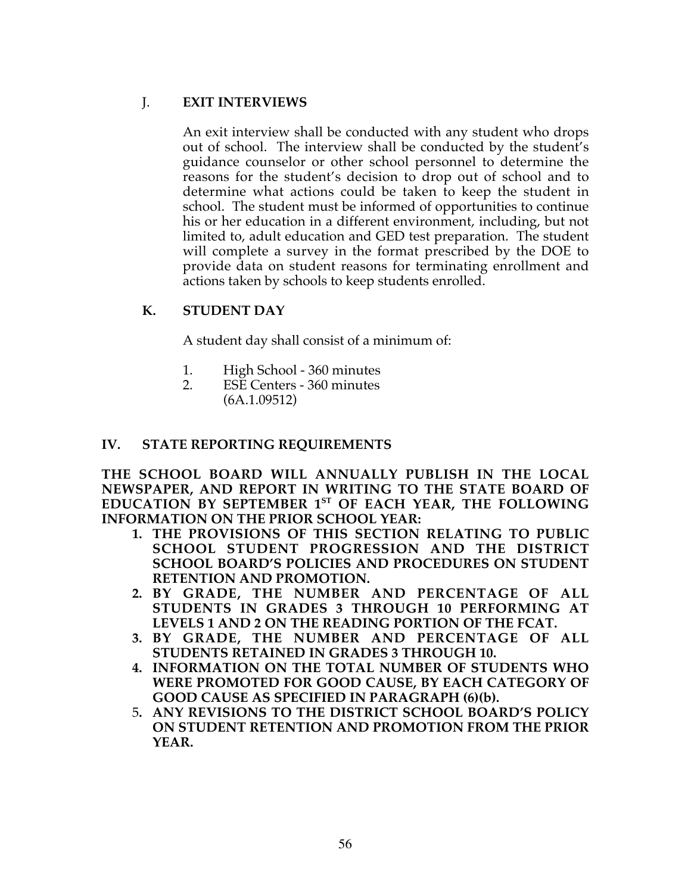# J. **EXIT INTERVIEWS**

An exit interview shall be conducted with any student who drops out of school. The interview shall be conducted by the student's guidance counselor or other school personnel to determine the reasons for the student's decision to drop out of school and to determine what actions could be taken to keep the student in school. The student must be informed of opportunities to continue his or her education in a different environment, including, but not limited to, adult education and GED test preparation. The student will complete a survey in the format prescribed by the DOE to provide data on student reasons for terminating enrollment and actions taken by schools to keep students enrolled.

# **K. STUDENT DAY**

A student day shall consist of a minimum of:

- 1. High School 360 minutes
- 2. ESE Centers 360 minutes (6A.1.09512)

## **IV. STATE REPORTING REQUIREMENTS**

**THE SCHOOL BOARD WILL ANNUALLY PUBLISH IN THE LOCAL NEWSPAPER, AND REPORT IN WRITING TO THE STATE BOARD OF EDUCATION BY SEPTEMBER 1ST OF EACH YEAR, THE FOLLOWING INFORMATION ON THE PRIOR SCHOOL YEAR:**

- **1. THE PROVISIONS OF THIS SECTION RELATING TO PUBLIC SCHOOL STUDENT PROGRESSION AND THE DISTRICT SCHOOL BOARD'S POLICIES AND PROCEDURES ON STUDENT RETENTION AND PROMOTION.**
- **2. BY GRADE, THE NUMBER AND PERCENTAGE OF ALL STUDENTS IN GRADES 3 THROUGH 10 PERFORMING AT LEVELS 1 AND 2 ON THE READING PORTION OF THE FCAT.**
- **3. BY GRADE, THE NUMBER AND PERCENTAGE OF ALL STUDENTS RETAINED IN GRADES 3 THROUGH 10.**
- **4. INFORMATION ON THE TOTAL NUMBER OF STUDENTS WHO WERE PROMOTED FOR GOOD CAUSE, BY EACH CATEGORY OF GOOD CAUSE AS SPECIFIED IN PARAGRAPH (6)(b).**
- 5**. ANY REVISIONS TO THE DISTRICT SCHOOL BOARD'S POLICY ON STUDENT RETENTION AND PROMOTION FROM THE PRIOR YEAR.**